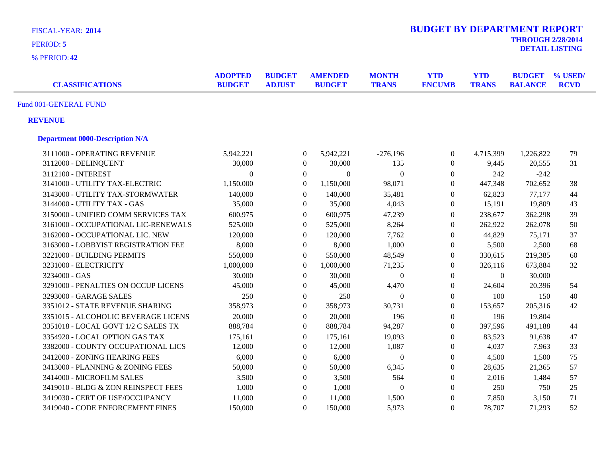| <b>BUDGET BY DEPARTMENT REPORT</b><br>FISCAL-YEAR: 2014 |                                 |                                |                                 |                              |                             |                            |                                 |                        |
|---------------------------------------------------------|---------------------------------|--------------------------------|---------------------------------|------------------------------|-----------------------------|----------------------------|---------------------------------|------------------------|
| PERIOD: 5                                               |                                 |                                |                                 |                              |                             |                            | <b>THROUGH 2/28/2014</b>        | <b>DETAIL LISTING</b>  |
| % PERIOD: 42                                            |                                 |                                |                                 |                              |                             |                            |                                 |                        |
| <b>CLASSIFICATIONS</b>                                  | <b>ADOPTED</b><br><b>BUDGET</b> | <b>BUDGET</b><br><b>ADJUST</b> | <b>AMENDED</b><br><b>BUDGET</b> | <b>MONTH</b><br><b>TRANS</b> | <b>YTD</b><br><b>ENCUMB</b> | <b>YTD</b><br><b>TRANS</b> | <b>BUDGET</b><br><b>BALANCE</b> | % USED/<br><b>RCVD</b> |
| Fund 001-GENERAL FUND                                   |                                 |                                |                                 |                              |                             |                            |                                 |                        |
| <b>REVENUE</b>                                          |                                 |                                |                                 |                              |                             |                            |                                 |                        |
| <b>Department 0000-Description N/A</b>                  |                                 |                                |                                 |                              |                             |                            |                                 |                        |
| 3111000 - OPERATING REVENUE                             | 5,942,221                       |                                | 5,942,221<br>$\theta$           | $-276,196$                   | $\boldsymbol{0}$            | 4,715,399                  | 1,226,822                       | 79                     |
| 3112000 - DELINQUENT                                    | 30,000                          |                                | 30,000<br>$\boldsymbol{0}$      | 135                          | $\boldsymbol{0}$            | 9,445                      | 20,555                          | 31                     |
| 3112100 - INTEREST                                      | $\Omega$                        |                                | $\boldsymbol{0}$                | $\boldsymbol{0}$<br>$\Omega$ | $\overline{0}$              | 242                        | $-242$                          |                        |
| 3141000 - UTILITY TAX-ELECTRIC                          | 1,150,000                       |                                | $\boldsymbol{0}$<br>1,150,000   | 98,071                       | $\overline{0}$              | 447,348                    | 702,652                         | 38                     |
| 3143000 - UTILITY TAX-STORMWATER                        | 140,000                         |                                | $\boldsymbol{0}$<br>140,000     | 35,481                       | $\overline{0}$              | 62,823                     | 77,177                          | 44                     |
| 3144000 - UTILITY TAX - GAS                             | 35,000                          |                                | $\boldsymbol{0}$<br>35,000      | 4,043                        | $\boldsymbol{0}$            | 15,191                     | 19,809                          | 43                     |
| 3150000 - UNIFIED COMM SERVICES TAX                     | 600,975                         |                                | $\boldsymbol{0}$<br>600,975     | 47,239                       | $\boldsymbol{0}$            | 238,677                    | 362,298                         | 39                     |
| 3161000 - OCCUPATIONAL LIC-RENEWALS                     | 525,000                         |                                | $\boldsymbol{0}$<br>525,000     | 8,264                        | $\overline{0}$              | 262,922                    | 262,078                         | 50                     |
| 3162000 - OCCUPATIONAL LIC. NEW                         | 120,000                         |                                | $\boldsymbol{0}$<br>120,000     | 7,762                        | $\boldsymbol{0}$            | 44,829                     | 75,171                          | 37                     |
| 3163000 - LOBBYIST REGISTRATION FEE                     | 8,000                           |                                | $\mathbf{0}$<br>8,000           | 1,000                        | $\overline{0}$              | 5,500                      | 2,500                           | 68                     |
| 3221000 - BUILDING PERMITS                              | 550,000                         |                                | $\boldsymbol{0}$<br>550,000     | 48,549                       | $\boldsymbol{0}$            | 330,615                    | 219,385                         | 60                     |
| 3231000 - ELECTRICITY                                   | 1,000,000                       |                                | $\Omega$<br>1,000,000           | 71,235                       | $\boldsymbol{0}$            | 326,116                    | 673,884                         | 32                     |
| 3234000 - GAS                                           | 30,000                          |                                | $\mathbf{0}$<br>30,000          | $\boldsymbol{0}$             | $\theta$                    | $\overline{0}$             | 30,000                          |                        |
| 3291000 - PENALTIES ON OCCUP LICENS                     | 45,000                          |                                | $\mathbf{0}$<br>45,000          | 4,470                        | $\overline{0}$              | 24,604                     | 20,396                          | 54                     |
| 3293000 - GARAGE SALES                                  | 250                             |                                | $\mathbf{0}$<br>250             | $\theta$                     | $\overline{0}$              | 100                        | 150                             | 40                     |
| 3351012 - STATE REVENUE SHARING                         | 358,973                         |                                | $\boldsymbol{0}$<br>358,973     | 30,731                       | $\overline{0}$              | 153,657                    | 205,316                         | 42                     |
| 3351015 - ALCOHOLIC BEVERAGE LICENS                     | 20,000                          |                                | $\boldsymbol{0}$<br>20,000      | 196                          | $\boldsymbol{0}$            | 196                        | 19,804                          |                        |
| 3351018 - LOCAL GOVT 1/2 C SALES TX                     | 888,784                         |                                | $\boldsymbol{0}$<br>888,784     | 94,287                       | $\overline{0}$              | 397,596                    | 491,188                         | 44                     |
| 3354920 - LOCAL OPTION GAS TAX                          | 175,161                         |                                | $\boldsymbol{0}$<br>175,161     | 19,093                       | $\boldsymbol{0}$            | 83,523                     | 91,638                          | 47                     |
| 3382000 - COUNTY OCCUPATIONAL LICS                      | 12,000                          |                                | $\Omega$<br>12,000              | 1,087                        | $\overline{0}$              | 4,037                      | 7,963                           | 33                     |
| 3412000 - ZONING HEARING FEES                           | 6,000                           |                                | $\mathbf{0}$<br>6,000           | $\theta$                     | $\boldsymbol{0}$            | 4,500                      | 1,500                           | 75                     |
| 3413000 - PLANNING & ZONING FEES                        | 50,000                          |                                | $\Omega$<br>50,000              | 6,345                        | $\boldsymbol{0}$            | 28,635                     | 21,365                          | 57                     |
| 3414000 - MICROFILM SALES                               | 3,500                           |                                | $\Omega$<br>3,500               | 564                          | $\overline{0}$              | 2,016                      | 1,484                           | 57                     |
| 3419010 - BLDG & ZON REINSPECT FEES                     | 1,000                           |                                | $\mathbf{0}$<br>1,000           | $\mathbf{0}$                 | $\boldsymbol{0}$            | 250                        | 750                             | 25                     |
| 3419030 - CERT OF USE/OCCUPANCY                         | 11,000                          |                                | $\Omega$<br>11,000              | 1,500                        | $\boldsymbol{0}$            | 7,850                      | 3,150                           | 71                     |
| 3419040 - CODE ENFORCEMENT FINES                        | 150,000                         |                                | $\Omega$<br>150,000             | 5,973                        | $\boldsymbol{0}$            | 78,707                     | 71,293                          | 52                     |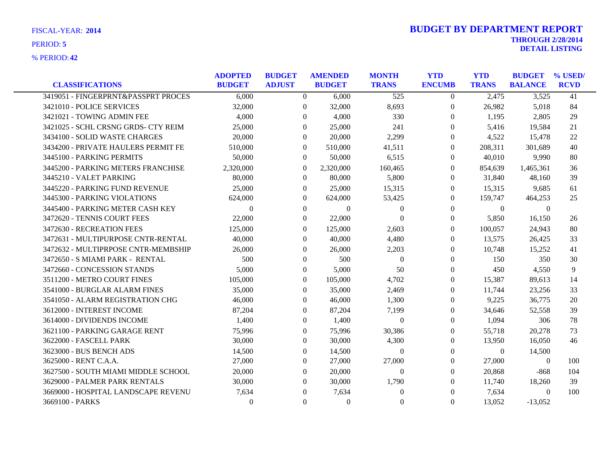|                                     | <b>ADOPTED</b> | <b>BUDGET</b>    | <b>AMENDED</b> | <b>MONTH</b>     | <b>YTD</b>       | <b>YTD</b>   | <b>BUDGET</b>  | % USED/     |
|-------------------------------------|----------------|------------------|----------------|------------------|------------------|--------------|----------------|-------------|
| <b>CLASSIFICATIONS</b>              | <b>BUDGET</b>  | <b>ADJUST</b>    | <b>BUDGET</b>  | <b>TRANS</b>     | <b>ENCUMB</b>    | <b>TRANS</b> | <b>BALANCE</b> | <b>RCVD</b> |
| 3419051 - FINGERPRNT&PASSPRT PROCES | 6,000          | $\theta$         | 6.000          | 525              | $\theta$         | 2,475        | 3,525          | 41          |
| 3421010 - POLICE SERVICES           | 32,000         | $\theta$         | 32,000         | 8,693            | $\boldsymbol{0}$ | 26,982       | 5,018          | 84          |
| 3421021 - TOWING ADMIN FEE          | 4,000          | $\theta$         | 4,000          | 330              | 0                | 1,195        | 2,805          | 29          |
| 3421025 - SCHL CRSNG GRDS- CTY REIM | 25,000         | 0                | 25,000         | 241              | $\Omega$         | 5,416        | 19,584         | 21          |
| 3434100 - SOLID WASTE CHARGES       | 20,000         | $\Omega$         | 20,000         | 2,299            | $\Omega$         | 4,522        | 15,478         | 22          |
| 3434200 - PRIVATE HAULERS PERMIT FE | 510,000        | $\theta$         | 510,000        | 41,511           | $\theta$         | 208,311      | 301,689        | 40          |
| 3445100 - PARKING PERMITS           | 50,000         | $\theta$         | 50,000         | 6,515            | $\Omega$         | 40,010       | 9,990          | 80          |
| 3445200 - PARKING METERS FRANCHISE  | 2,320,000      | $\theta$         | 2,320,000      | 160,465          | $\theta$         | 854,639      | 1,465,361      | 36          |
| 3445210 - VALET PARKING             | 80,000         | $\boldsymbol{0}$ | 80,000         | 5,800            | $\theta$         | 31,840       | 48,160         | 39          |
| 3445220 - PARKING FUND REVENUE      | 25,000         | $\theta$         | 25,000         | 15,315           | $\Omega$         | 15,315       | 9,685          | 61          |
| 3445300 - PARKING VIOLATIONS        | 624,000        | $\Omega$         | 624,000        | 53,425           | $\theta$         | 159,747      | 464,253        | 25          |
| 3445400 - PARKING METER CASH KEY    | $\Omega$       | $\Omega$         | $\Omega$       | $\theta$         | $\theta$         | $\Omega$     | $\theta$       |             |
| 3472620 - TENNIS COURT FEES         | 22,000         | $\theta$         | 22,000         | $\theta$         | $\overline{0}$   | 5,850        | 16,150         | 26          |
| 3472630 - RECREATION FEES           | 125,000        | $\Omega$         | 125,000        | 2,603            | $\Omega$         | 100,057      | 24,943         | 80          |
| 3472631 - MULTIPURPOSE CNTR-RENTAL  | 40,000         | $\Omega$         | 40,000         | 4,480            | $\Omega$         | 13,575       | 26,425         | 33          |
| 3472632 - MULTIPRPOSE CNTR-MEMBSHIP | 26,000         | $\overline{0}$   | 26,000         | 2,203            | $\overline{0}$   | 10,748       | 15,252         | 41          |
| 3472650 - S MIAMI PARK - RENTAL     | 500            | $\theta$         | 500            | $\boldsymbol{0}$ | $\theta$         | 150          | 350            | 30          |
| 3472660 - CONCESSION STANDS         | 5,000          | $\Omega$         | 5,000          | 50               | $\Omega$         | 450          | 4,550          | 9           |
| 3511200 - METRO COURT FINES         | 105,000        | $\Omega$         | 105,000        | 4,702            | $\Omega$         | 15,387       | 89,613         | 14          |
| 3541000 - BURGLAR ALARM FINES       | 35,000         | $\theta$         | 35,000         | 2,469            | $\boldsymbol{0}$ | 11,744       | 23,256         | 33          |
| 3541050 - ALARM REGISTRATION CHG    | 46,000         | $\Omega$         | 46,000         | 1,300            | $\theta$         | 9,225        | 36,775         | 20          |
| 3612000 - INTEREST INCOME           | 87,204         | $\Omega$         | 87,204         | 7,199            | $\Omega$         | 34,646       | 52,558         | 39          |
| 3614000 - DIVIDENDS INCOME          | 1,400          | $\Omega$         | 1,400          | $\Omega$         | $\Omega$         | 1,094        | 306            | 78          |
| 3621100 - PARKING GARAGE RENT       | 75,996         | $\Omega$         | 75,996         | 30,386           | $\theta$         | 55,718       | 20,278         | 73          |
| 3622000 - FASCELL PARK              | 30,000         | $\theta$         | 30,000         | 4,300            | 0                | 13,950       | 16,050         | 46          |
| 3623000 - BUS BENCH ADS             | 14.500         | $\Omega$         | 14.500         | $\theta$         | $\Omega$         | 0            | 14,500         |             |
| 3625000 - RENT C.A.A.               | 27,000         | $\Omega$         | 27,000         | 27,000           | $\Omega$         | 27,000       | $\Omega$       | 100         |
| 3627500 - SOUTH MIAMI MIDDLE SCHOOL | 20,000         | $\Omega$         | 20,000         | $\theta$         | $\theta$         | 20,868       | $-868$         | 104         |
| 3629000 - PALMER PARK RENTALS       | 30,000         | $\Omega$         | 30,000         | 1,790            | $\Omega$         | 11,740       | 18,260         | 39          |
| 3669000 - HOSPITAL LANDSCAPE REVENU | 7,634          | $\Omega$         | 7,634          | $\theta$         | $\Omega$         | 7,634        | $\theta$       | 100         |
| 3669100 - PARKS                     | $\Omega$       | $\mathbf{0}$     | $\overline{0}$ | $\boldsymbol{0}$ | $\theta$         | 13,052       | $-13,052$      |             |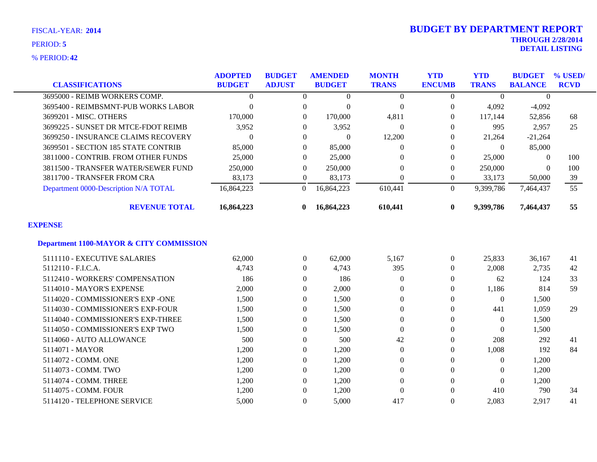**42** % PERIOD:

|                                                    | <b>ADOPTED</b> | <b>BUDGET</b>    | <b>AMENDED</b> | <b>MONTH</b>     | <b>YTD</b>       | <b>YTD</b>   | <b>BUDGET</b>  | % USED/     |
|----------------------------------------------------|----------------|------------------|----------------|------------------|------------------|--------------|----------------|-------------|
| <b>CLASSIFICATIONS</b>                             | <b>BUDGET</b>  | <b>ADJUST</b>    | <b>BUDGET</b>  | <b>TRANS</b>     | <b>ENCUMB</b>    | <b>TRANS</b> | <b>BALANCE</b> | <b>RCVD</b> |
| 3695000 - REIMB WORKERS COMP.                      | $\theta$       | $\Omega$         | $\Omega$       | $\theta$         | $\Omega$         | $\Omega$     | $\Omega$       |             |
| 3695400 - REIMBSMNT-PUB WORKS LABOR                | $\Omega$       | $\overline{0}$   | $\Omega$       | $\overline{0}$   | $\theta$         | 4,092        | $-4,092$       |             |
| 3699201 - MISC. OTHERS                             | 170,000        | $\boldsymbol{0}$ | 170,000        | 4,811            | $\theta$         | 117,144      | 52,856         | 68          |
| 3699225 - SUNSET DR MTCE-FDOT REIMB                | 3,952          | $\Omega$         | 3,952          | $\theta$         | $\Omega$         | 995          | 2,957          | 25          |
| 3699250 - INSURANCE CLAIMS RECOVERY                | $\Omega$       | $\Omega$         | $\Omega$       | 12,200           | $\Omega$         | 21,264       | $-21,264$      |             |
| 3699501 - SECTION 185 STATE CONTRIB                | 85,000         | $\overline{0}$   | 85,000         | $\Omega$         | $\theta$         | $\Omega$     | 85,000         |             |
| 3811000 - CONTRIB. FROM OTHER FUNDS                | 25,000         | $\Omega$         | 25,000         | $\Omega$         | $\Omega$         | 25,000       | 0              | 100         |
| 3811500 - TRANSFER WATER/SEWER FUND                | 250,000        | $\Omega$         | 250,000        | $\Omega$         | $\theta$         | 250,000      | $\Omega$       | 100         |
| 3811700 - TRANSFER FROM CRA                        | 83,173         | $\overline{0}$   | 83,173         | $\Omega$         | $\Omega$         | 33,173       | 50,000         | 39          |
| Department 0000-Description N/A TOTAL              | 16,864,223     | $\overline{0}$   | 16,864,223     | 610,441          | $\overline{0}$   | 9,399,786    | 7,464,437      | 55          |
| <b>REVENUE TOTAL</b>                               | 16,864,223     | $\mathbf{0}$     | 16,864,223     | 610,441          | $\bf{0}$         | 9,399,786    | 7,464,437      | 55          |
| <b>EXPENSE</b>                                     |                |                  |                |                  |                  |              |                |             |
| <b>Department 1100-MAYOR &amp; CITY COMMISSION</b> |                |                  |                |                  |                  |              |                |             |
| 5111110 - EXECUTIVE SALARIES                       | 62,000         | 0                | 62,000         | 5,167            | $\boldsymbol{0}$ | 25,833       | 36,167         | 41          |
| 5112110 - F.I.C.A.                                 | 4,743          | $\overline{0}$   | 4,743          | 395              | $\Omega$         | 2,008        | 2,735          | 42          |
| 5112410 - WORKERS' COMPENSATION                    | 186            | $\overline{0}$   | 186            | $\theta$         | $\Omega$         | 62           | 124            | 33          |
| 5114010 - MAYOR'S EXPENSE                          | 2,000          | $\overline{0}$   | 2,000          | $\mathbf{0}$     | $\Omega$         | 1,186        | 814            | 59          |
| 5114020 - COMMISSIONER'S EXP -ONE                  | 1,500          | $\overline{0}$   | 1,500          | $\overline{0}$   | $\mathbf{0}$     | $\Omega$     | 1,500          |             |
| 5114030 - COMMISSIONER'S EXP-FOUR                  | 1,500          | $\Omega$         | 1,500          | $\Omega$         | $\Omega$         | 441          | 1,059          | 29          |
| 5114040 - COMMISSIONER'S EXP-THREE                 | 1,500          | $\Omega$         | 1,500          | $\overline{0}$   | $\Omega$         | $\Omega$     | 1,500          |             |
| 5114050 - COMMISSIONER'S EXP TWO                   | 1,500          | $\theta$         | 1,500          | $\boldsymbol{0}$ | $\boldsymbol{0}$ | $\Omega$     | 1,500          |             |
| 5114060 - AUTO ALLOWANCE                           | 500            | $\overline{0}$   | 500            | 42               | $\theta$         | 208          | 292            | 41          |
| 5114071 - MAYOR                                    | 1,200          | $\overline{0}$   | 1,200          | $\overline{0}$   | $\Omega$         | 1,008        | 192            | 84          |
| 5114072 - COMM. ONE                                | 1,200          | $\overline{0}$   | 1,200          | $\overline{0}$   | $\mathbf{0}$     | $\Omega$     | 1,200          |             |
| 5114073 - COMM. TWO                                | 1,200          | $\Omega$         | 1,200          | $\mathbf{0}$     | $\Omega$         | $\Omega$     | 1,200          |             |
| 5114074 - COMM. THREE                              | 1,200          | $\Omega$         | 1,200          | $\Omega$         | $\Omega$         | $\Omega$     | 1,200          |             |
| 5114075 - COMM. FOUR                               | 1,200          | $\Omega$         | 1,200          | $\Omega$         | $\Omega$         | 410          | 790            | 34          |
| 5114120 - TELEPHONE SERVICE                        | 5,000          | $\Omega$         | 5,000          | 417              | $\Omega$         | 2,083        | 2,917          | 41          |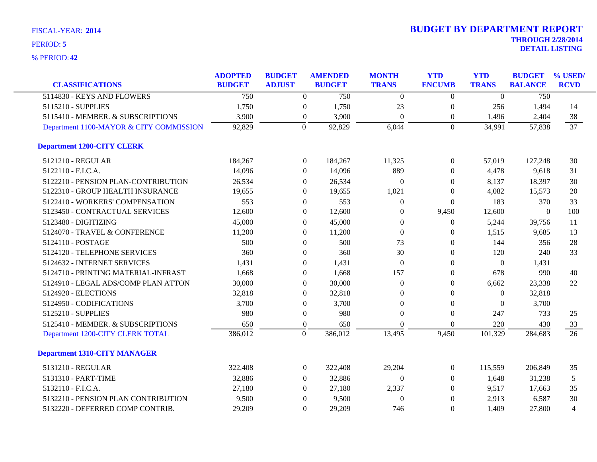| <b>CLASSIFICATIONS</b>                  | <b>ADOPTED</b><br><b>BUDGET</b> | <b>BUDGET</b><br><b>ADJUST</b> |                  | <b>AMENDED</b><br><b>BUDGET</b> | <b>MONTH</b><br><b>TRANS</b> | <b>YTD</b><br><b>ENCUMB</b> | <b>YTD</b><br><b>TRANS</b> | <b>BUDGET</b><br><b>BALANCE</b> | % USED/<br><b>RCVD</b> |
|-----------------------------------------|---------------------------------|--------------------------------|------------------|---------------------------------|------------------------------|-----------------------------|----------------------------|---------------------------------|------------------------|
| 5114830 - KEYS AND FLOWERS              | 750                             |                                | $\boldsymbol{0}$ | 750                             | $\Omega$                     | $\boldsymbol{0}$            | $\overline{0}$             | $\overline{750}$                |                        |
| 5115210 - SUPPLIES                      | 1,750                           |                                | $\boldsymbol{0}$ | 1,750                           | 23                           | $\boldsymbol{0}$            | 256                        | 1,494                           | 14                     |
| 5115410 - MEMBER. & SUBSCRIPTIONS       | 3,900                           |                                | $\boldsymbol{0}$ | 3,900                           | $\Omega$                     | $\boldsymbol{0}$            | 1,496                      | 2,404                           | 38                     |
| Department 1100-MAYOR & CITY COMMISSION | 92,829                          |                                | $\overline{0}$   | 92,829                          | 6,044                        | $\Omega$                    | 34,991                     | 57,838                          | 37                     |
| <b>Department 1200-CITY CLERK</b>       |                                 |                                |                  |                                 |                              |                             |                            |                                 |                        |
| 5121210 - REGULAR                       | 184,267                         |                                | $\boldsymbol{0}$ | 184,267                         | 11,325                       | $\overline{0}$              | 57,019                     | 127,248                         | 30                     |
| 5122110 - F.I.C.A.                      | 14,096                          |                                | $\Omega$         | 14,096                          | 889                          | $\Omega$                    | 4,478                      | 9,618                           | 31                     |
| 5122210 - PENSION PLAN-CONTRIBUTION     | 26,534                          |                                | $\theta$         | 26,534                          | $\theta$                     | $\overline{0}$              | 8,137                      | 18,397                          | 30                     |
| 5122310 - GROUP HEALTH INSURANCE        | 19,655                          |                                | $\Omega$         | 19,655                          | 1,021                        | $\Omega$                    | 4,082                      | 15,573                          | 20                     |
| 5122410 - WORKERS' COMPENSATION         | 553                             |                                | $\boldsymbol{0}$ | 553                             | $\theta$                     | $\boldsymbol{0}$            | 183                        | 370                             | 33                     |
| 5123450 - CONTRACTUAL SERVICES          | 12,600                          |                                | $\theta$         | 12,600                          | $\theta$                     | 9,450                       | 12,600                     | $\theta$                        | 100                    |
| 5123480 - DIGITIZING                    | 45,000                          |                                | $\Omega$         | 45,000                          | $\theta$                     | $\overline{0}$              | 5,244                      | 39,756                          | 11                     |
| 5124070 - TRAVEL & CONFERENCE           | 11,200                          |                                | $\theta$         | 11,200                          | $\Omega$                     | $\overline{0}$              | 1,515                      | 9,685                           | 13                     |
| 5124110 - POSTAGE                       | 500                             |                                | $\theta$         | 500                             | 73                           | $\mathbf{0}$                | 144                        | 356                             | 28                     |
| 5124120 - TELEPHONE SERVICES            | 360                             |                                | $\boldsymbol{0}$ | 360                             | 30                           | $\mathbf{0}$                | 120                        | 240                             | 33                     |
| 5124632 - INTERNET SERVICES             | 1,431                           |                                | $\theta$         | 1,431                           | $\theta$                     | $\theta$                    | $\theta$                   | 1,431                           |                        |
| 5124710 - PRINTING MATERIAL-INFRAST     | 1,668                           |                                | $\Omega$         | 1,668                           | 157                          | $\Omega$                    | 678                        | 990                             | 40                     |
| 5124910 - LEGAL ADS/COMP PLAN ATTON     | 30,000                          |                                | $\theta$         | 30,000                          | $\theta$                     | $\overline{0}$              | 6,662                      | 23,338                          | 22                     |
| 5124920 - ELECTIONS                     | 32,818                          |                                | $\theta$         | 32,818                          | $\theta$                     | $\Omega$                    | $\overline{0}$             | 32,818                          |                        |
| 5124950 - CODIFICATIONS                 | 3,700                           |                                | $\theta$         | 3,700                           | $\theta$                     | $\mathbf{0}$                | $\overline{0}$             | 3,700                           |                        |
| 5125210 - SUPPLIES                      | 980                             |                                | $\boldsymbol{0}$ | 980                             | $\theta$                     | $\mathbf{0}$                | 247                        | 733                             | 25                     |
| 5125410 - MEMBER. & SUBSCRIPTIONS       | 650                             |                                | $\boldsymbol{0}$ | 650                             | $\Omega$                     | $\Omega$                    | 220                        | 430                             | 33                     |
| Department 1200-CITY CLERK TOTAL        | 386,012                         |                                | $\boldsymbol{0}$ | 386,012                         | 13,495                       | 9,450                       | 101,329                    | 284,683                         | $\overline{26}$        |
| <b>Department 1310-CITY MANAGER</b>     |                                 |                                |                  |                                 |                              |                             |                            |                                 |                        |
| 5131210 - REGULAR                       | 322,408                         |                                | $\boldsymbol{0}$ | 322,408                         | 29,204                       | $\boldsymbol{0}$            | 115,559                    | 206,849                         | 35                     |
| 5131310 - PART-TIME                     | 32,886                          |                                | $\Omega$         | 32,886                          | $\theta$                     | $\Omega$                    | 1,648                      | 31,238                          | 5                      |
| 5132110 - F.I.C.A.                      | 27,180                          |                                | $\theta$         | 27,180                          | 2,337                        | $\overline{0}$              | 9,517                      | 17,663                          | 35                     |
| 5132210 - PENSION PLAN CONTRIBUTION     | 9,500                           |                                | $\mathbf{0}$     | 9,500                           | $\overline{0}$               | $\mathbf{0}$                | 2,913                      | 6,587                           | 30                     |
| 5132220 - DEFERRED COMP CONTRIB.        | 29,209                          |                                | $\Omega$         | 29,209                          | 746                          | $\Omega$                    | 1,409                      | 27,800                          | $\overline{4}$         |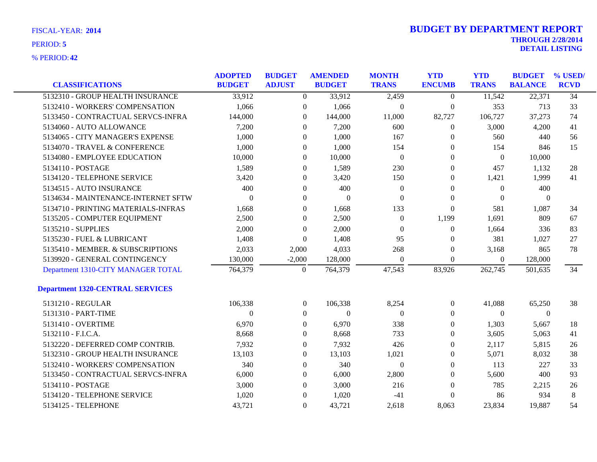| <b>CLASSIFICATIONS</b>                  | <b>ADOPTED</b><br><b>BUDGET</b> | <b>BUDGET</b><br><b>ADJUST</b> | <b>AMENDED</b><br><b>BUDGET</b> | <b>MONTH</b><br><b>TRANS</b> | <b>YTD</b><br><b>ENCUMB</b> | <b>YTD</b><br><b>TRANS</b> | <b>BUDGET</b><br><b>BALANCE</b> | % USED/<br><b>RCVD</b> |
|-----------------------------------------|---------------------------------|--------------------------------|---------------------------------|------------------------------|-----------------------------|----------------------------|---------------------------------|------------------------|
| 5132310 - GROUP HEALTH INSURANCE        | 33,912                          |                                |                                 |                              |                             |                            |                                 | $\overline{34}$        |
|                                         |                                 | $\overline{0}$                 | 33,912                          | 2,459                        | $\boldsymbol{0}$            | 11,542                     | 22,371                          |                        |
| 5132410 - WORKERS' COMPENSATION         | 1,066                           | $\overline{0}$                 | 1,066                           | $\boldsymbol{0}$             | $\boldsymbol{0}$            | 353                        | 713                             | 33                     |
| 5133450 - CONTRACTUAL SERVCS-INFRA      | 144,000                         | $\mathbf{0}$                   | 144,000                         | 11,000                       | 82,727                      | 106,727                    | 37,273                          | 74                     |
| 5134060 - AUTO ALLOWANCE                | 7,200                           | $\overline{0}$                 | 7,200                           | 600                          | $\theta$                    | 3,000                      | 4,200                           | 41                     |
| 5134065 - CITY MANAGER'S EXPENSE        | 1,000                           | $\overline{0}$                 | 1,000                           | 167                          | $\theta$                    | 560                        | 440                             | 56                     |
| 5134070 - TRAVEL & CONFERENCE           | 1,000                           | $\boldsymbol{0}$               | 1,000                           | 154                          | $\boldsymbol{0}$            | 154                        | 846                             | 15                     |
| 5134080 - EMPLOYEE EDUCATION            | 10,000                          | $\mathbf{0}$                   | 10,000                          | $\boldsymbol{0}$             | $\boldsymbol{0}$            | $\boldsymbol{0}$           | 10,000                          |                        |
| 5134110 - POSTAGE                       | 1,589                           | $\overline{0}$                 | 1,589                           | 230                          | $\theta$                    | 457                        | 1,132                           | 28                     |
| 5134120 - TELEPHONE SERVICE             | 3,420                           | 0                              | 3,420                           | 150                          | $\boldsymbol{0}$            | 1,421                      | 1,999                           | 41                     |
| 5134515 - AUTO INSURANCE                | 400                             | $\overline{0}$                 | 400                             | $\boldsymbol{0}$             | $\boldsymbol{0}$            | $\boldsymbol{0}$           | 400                             |                        |
| 5134634 - MAINTENANCE-INTERNET SFTW     | $\theta$                        | $\mathbf{0}$                   | $\overline{0}$                  | $\boldsymbol{0}$             | $\boldsymbol{0}$            | $\boldsymbol{0}$           | $\boldsymbol{0}$                |                        |
| 5134710 - PRINTING MATERIALS-INFRAS     | 1,668                           | $\overline{0}$                 | 1,668                           | 133                          | $\overline{0}$              | 581                        | 1,087                           | 34                     |
| 5135205 - COMPUTER EQUIPMENT            | 2,500                           | $\overline{0}$                 | 2,500                           | $\overline{0}$               | 1,199                       | 1,691                      | 809                             | 67                     |
| 5135210 - SUPPLIES                      | 2,000                           | $\boldsymbol{0}$               | 2,000                           | $\theta$                     | $\boldsymbol{0}$            | 1,664                      | 336                             | 83                     |
| 5135230 - FUEL & LUBRICANT              | 1,408                           | $\theta$                       | 1,408                           | 95                           | 0                           | 381                        | 1,027                           | 27                     |
| 5135410 - MEMBER. & SUBSCRIPTIONS       | 2,033                           | 2,000                          | 4,033                           | 268                          | $\theta$                    | 3,168                      | 865                             | 78                     |
| 5139920 - GENERAL CONTINGENCY           | 130,000                         | $-2,000$                       | 128,000                         | $\Omega$                     | $\theta$                    | $\overline{0}$             | 128,000                         |                        |
| Department 1310-CITY MANAGER TOTAL      | 764,379                         | $\boldsymbol{0}$               | 764,379                         | 47,543                       | 83,926                      | 262,745                    | 501,635                         | 34                     |
| <b>Department 1320-CENTRAL SERVICES</b> |                                 |                                |                                 |                              |                             |                            |                                 |                        |
| 5131210 - REGULAR                       | 106,338                         | $\overline{0}$                 | 106,338                         | 8,254                        | $\overline{0}$              | 41,088                     | 65,250                          | 38                     |
| 5131310 - PART-TIME                     | 0                               | $\overline{0}$                 | $\boldsymbol{0}$                | $\theta$                     | $\boldsymbol{0}$            | $\overline{0}$             | $\boldsymbol{0}$                |                        |
| 5131410 - OVERTIME                      | 6,970                           | $\boldsymbol{0}$               | 6,970                           | 338                          | $\boldsymbol{0}$            | 1,303                      | 5,667                           | 18                     |
| 5132110 - F.I.C.A.                      | 8,668                           | $\mathbf{0}$                   | 8,668                           | 733                          | $\boldsymbol{0}$            | 3,605                      | 5,063                           | 41                     |
| 5132220 - DEFERRED COMP CONTRIB.        | 7,932                           | 0                              | 7,932                           | 426                          | $\theta$                    | 2,117                      | 5,815                           | 26                     |
| 5132310 - GROUP HEALTH INSURANCE        | 13,103                          | $\mathbf{0}$                   | 13,103                          | 1,021                        | $\boldsymbol{0}$            | 5,071                      | 8,032                           | 38                     |
| 5132410 - WORKERS' COMPENSATION         | 340                             | $\overline{0}$                 | 340                             | $\theta$                     | $\boldsymbol{0}$            | 113                        | 227                             | 33                     |
| 5133450 - CONTRACTUAL SERVCS-INFRA      | 6,000                           | $\mathbf{0}$                   | 6,000                           | 2,800                        | $\boldsymbol{0}$            | 5,600                      | 400                             | 93                     |
| 5134110 - POSTAGE                       | 3,000                           | $\overline{0}$                 | 3,000                           | 216                          | $\theta$                    | 785                        | 2,215                           | 26                     |
| 5134120 - TELEPHONE SERVICE             | 1,020                           | $\boldsymbol{0}$               | 1,020                           | $-41$                        | $\theta$                    | 86                         | 934                             | 8                      |
| 5134125 - TELEPHONE                     | 43,721                          | $\overline{0}$                 | 43,721                          | 2,618                        | 8,063                       | 23,834                     | 19,887                          | 54                     |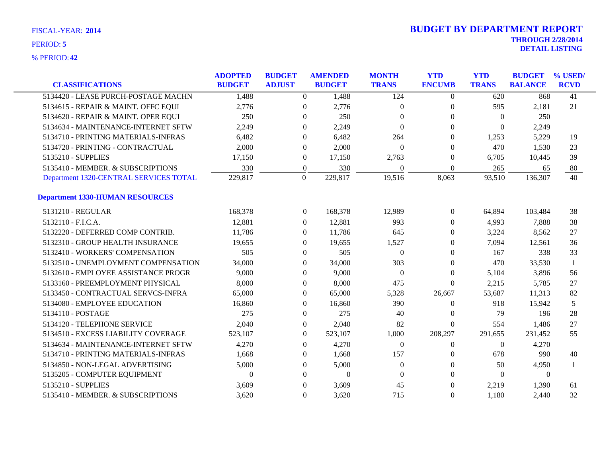| <b>CLASSIFICATIONS</b>                 | <b>ADOPTED</b><br><b>BUDGET</b> | <b>BUDGET</b><br><b>ADJUST</b> |                  | <b>AMENDED</b><br><b>BUDGET</b> | <b>MONTH</b><br><b>TRANS</b> | <b>YTD</b><br><b>ENCUMB</b> | <b>YTD</b><br><b>TRANS</b> | <b>BUDGET</b><br><b>BALANCE</b> | % USED/<br><b>RCVD</b> |
|----------------------------------------|---------------------------------|--------------------------------|------------------|---------------------------------|------------------------------|-----------------------------|----------------------------|---------------------------------|------------------------|
| 5134420 - LEASE PURCH-POSTAGE MACHN    | 1,488                           |                                | $\overline{0}$   | 1,488                           | 124                          | $\theta$                    | 620                        | 868                             | 41                     |
| 5134615 - REPAIR & MAINT. OFFC EQUI    | 2,776                           |                                | $\Omega$         | 2,776                           | $\Omega$                     | $\Omega$                    | 595                        | 2,181                           | 21                     |
| 5134620 - REPAIR & MAINT. OPER EQUI    | 250                             |                                | $\Omega$         | 250                             | $\Omega$                     | $\Omega$                    | $\Omega$                   | 250                             |                        |
| 5134634 - MAINTENANCE-INTERNET SFTW    | 2,249                           |                                | $\theta$         | 2,249                           | $\Omega$                     | $\Omega$                    | $\Omega$                   | 2,249                           |                        |
| 5134710 - PRINTING MATERIALS-INFRAS    | 6,482                           |                                | $\overline{0}$   | 6,482                           | 264                          | $\Omega$                    | 1,253                      | 5,229                           | 19                     |
| 5134720 - PRINTING - CONTRACTUAL       | 2,000                           |                                | $\overline{0}$   | 2,000                           | $\Omega$                     | $\Omega$                    | 470                        | 1,530                           | 23                     |
| 5135210 - SUPPLIES                     | 17,150                          |                                | $\boldsymbol{0}$ | 17,150                          | 2,763                        | $\mathbf{0}$                | 6,705                      | 10,445                          | 39                     |
| 5135410 - MEMBER, & SUBSCRIPTIONS      | 330                             |                                | $\boldsymbol{0}$ | 330                             | $\theta$                     | $\Omega$                    | 265                        | 65                              | 80                     |
| Department 1320-CENTRAL SERVICES TOTAL | 229,817                         |                                | $\Omega$         | 229,817                         | 19,516                       | 8,063                       | 93,510                     | 136,307                         | 40                     |
| <b>Department 1330-HUMAN RESOURCES</b> |                                 |                                |                  |                                 |                              |                             |                            |                                 |                        |
| 5131210 - REGULAR                      | 168,378                         |                                | $\overline{0}$   | 168,378                         | 12,989                       | $\overline{0}$              | 64,894                     | 103,484                         | 38                     |
| 5132110 - F.I.C.A.                     | 12,881                          |                                | $\overline{0}$   | 12,881                          | 993                          | $\overline{0}$              | 4,993                      | 7,888                           | 38                     |
| 5132220 - DEFERRED COMP CONTRIB.       | 11,786                          |                                | $\overline{0}$   | 11,786                          | 645                          | $\Omega$                    | 3,224                      | 8,562                           | 27                     |
| 5132310 - GROUP HEALTH INSURANCE       | 19,655                          |                                | $\Omega$         | 19,655                          | 1,527                        | $\Omega$                    | 7,094                      | 12,561                          | 36                     |
| 5132410 - WORKERS' COMPENSATION        | 505                             |                                | $\theta$         | 505                             | $\Omega$                     | $\Omega$                    | 167                        | 338                             | 33                     |
| 5132510 - UNEMPLOYMENT COMPENSATION    | 34,000                          |                                | $\overline{0}$   | 34,000                          | 303                          | $\theta$                    | 470                        | 33,530                          |                        |
| 5132610 - EMPLOYEE ASSISTANCE PROGR    | 9,000                           |                                | 0                | 9,000                           | $\theta$                     | $\theta$                    | 5,104                      | 3,896                           | 56                     |
| 5133160 - PREEMPLOYMENT PHYSICAL       | 8,000                           |                                | $\overline{0}$   | 8,000                           | 475                          | $\Omega$                    | 2,215                      | 5,785                           | 27                     |
| 5133450 - CONTRACTUAL SERVCS-INFRA     | 65,000                          |                                | $\overline{0}$   | 65,000                          | 5,328                        | 26,667                      | 53,687                     | 11,313                          | 82                     |
| 5134080 - EMPLOYEE EDUCATION           | 16,860                          |                                | $\overline{0}$   | 16,860                          | 390                          | $\theta$                    | 918                        | 15,942                          | 5                      |
| 5134110 - POSTAGE                      | 275                             |                                | $\overline{0}$   | 275                             | 40                           | $\theta$                    | 79                         | 196                             | 28                     |
| 5134120 - TELEPHONE SERVICE            | 2,040                           |                                | $\overline{0}$   | 2,040                           | 82                           | $\Omega$                    | 554                        | 1,486                           | 27                     |
| 5134510 - EXCESS LIABILITY COVERAGE    | 523,107                         |                                | $\overline{0}$   | 523,107                         | 1,000                        | 208,297                     | 291,655                    | 231,452                         | 55                     |
| 5134634 - MAINTENANCE-INTERNET SFTW    | 4,270                           |                                | $\theta$         | 4,270                           | $\theta$                     | $\Omega$                    | $\Omega$                   | 4,270                           |                        |
| 5134710 - PRINTING MATERIALS-INFRAS    | 1,668                           |                                | 0                | 1,668                           | 157                          | $\theta$                    | 678                        | 990                             | 40                     |
| 5134850 - NON-LEGAL ADVERTISING        | 5,000                           |                                | $\overline{0}$   | 5,000                           | $\theta$                     | $\Omega$                    | 50                         | 4,950                           |                        |
| 5135205 - COMPUTER EQUIPMENT           | $\theta$                        |                                | $\Omega$         | $\mathbf{0}$                    | $\Omega$                     | $\Omega$                    | $\Omega$                   | $\theta$                        |                        |
| 5135210 - SUPPLIES                     | 3,609                           |                                | $\theta$         | 3,609                           | 45                           | $\Omega$                    | 2,219                      | 1,390                           | 61                     |
| 5135410 - MEMBER. & SUBSCRIPTIONS      | 3,620                           |                                | $\Omega$         | 3,620                           | 715                          | $\Omega$                    | 1,180                      | 2,440                           | 32                     |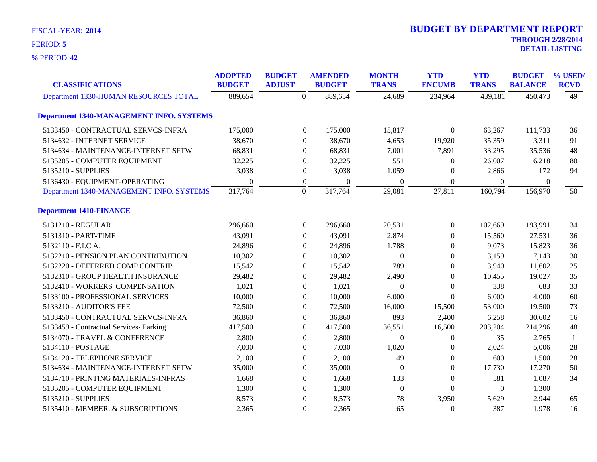**42** % PERIOD:

| <b>CLASSIFICATIONS</b>                          | <b>ADOPTED</b><br><b>BUDGET</b> | <b>BUDGET</b><br><b>ADJUST</b> |                  | <b>AMENDED</b><br><b>BUDGET</b> | <b>MONTH</b><br><b>TRANS</b> | <b>YTD</b><br><b>ENCUMB</b> | <b>YTD</b><br><b>TRANS</b> | <b>BUDGET</b><br><b>BALANCE</b> | % USED/<br><b>RCVD</b> |
|-------------------------------------------------|---------------------------------|--------------------------------|------------------|---------------------------------|------------------------------|-----------------------------|----------------------------|---------------------------------|------------------------|
| Department 1330-HUMAN RESOURCES TOTAL           | 889,654                         |                                | $\overline{0}$   | 889,654                         | 24,689                       | 234,964                     | 439,181                    | 450,473                         | $\overline{49}$        |
| <b>Department 1340-MANAGEMENT INFO. SYSTEMS</b> |                                 |                                |                  |                                 |                              |                             |                            |                                 |                        |
| 5133450 - CONTRACTUAL SERVCS-INFRA              | 175,000                         |                                | $\overline{0}$   | 175,000                         | 15,817                       | $\overline{0}$              | 63,267                     | 111,733                         | 36                     |
| 5134632 - INTERNET SERVICE                      | 38,670                          |                                | $\Omega$         | 38,670                          | 4,653                        | 19,920                      | 35,359                     | 3,311                           | 91                     |
| 5134634 - MAINTENANCE-INTERNET SFTW             | 68,831                          |                                | $\mathbf{0}$     | 68,831                          | 7,001                        | 7,891                       | 33,295                     | 35,536                          | 48                     |
| 5135205 - COMPUTER EQUIPMENT                    | 32,225                          |                                | $\mathbf{0}$     | 32,225                          | 551                          | $\overline{0}$              | 26,007                     | 6,218                           | 80                     |
| 5135210 - SUPPLIES                              | 3,038                           |                                | $\boldsymbol{0}$ | 3,038                           | 1,059                        | $\overline{0}$              | 2,866                      | 172                             | 94                     |
| 5136430 - EQUIPMENT-OPERATING                   | $\overline{0}$                  |                                | $\boldsymbol{0}$ | $\theta$                        | $\theta$                     | $\overline{0}$              | $\overline{0}$             | $\overline{0}$                  |                        |
| Department 1340-MANAGEMENT INFO. SYSTEMS        | 317,764                         |                                | $\overline{0}$   | 317,764                         | 29,081                       | 27,811                      | 160,794                    | 156,970                         | 50                     |
| <b>Department 1410-FINANCE</b>                  |                                 |                                |                  |                                 |                              |                             |                            |                                 |                        |
| 5131210 - REGULAR                               | 296,660                         |                                | $\boldsymbol{0}$ | 296,660                         | 20,531                       | $\boldsymbol{0}$            | 102,669                    | 193,991                         | 34                     |
| 5131310 - PART-TIME                             | 43,091                          |                                | $\Omega$         | 43,091                          | 2,874                        | $\Omega$                    | 15,560                     | 27,531                          | 36                     |
| 5132110 - F.I.C.A.                              | 24,896                          |                                | $\Omega$         | 24,896                          | 1,788                        | $\Omega$                    | 9,073                      | 15,823                          | 36                     |
| 5132210 - PENSION PLAN CONTRIBUTION             | 10,302                          |                                | 0                | 10,302                          | $\boldsymbol{0}$             | $\overline{0}$              | 3,159                      | 7,143                           | 30                     |
| 5132220 - DEFERRED COMP CONTRIB.                | 15,542                          |                                | $\mathbf{0}$     | 15,542                          | 789                          | $\overline{0}$              | 3,940                      | 11,602                          | 25                     |
| 5132310 - GROUP HEALTH INSURANCE                | 29,482                          |                                | $\Omega$         | 29,482                          | 2,490                        | $\Omega$                    | 10,455                     | 19,027                          | 35                     |
| 5132410 - WORKERS' COMPENSATION                 | 1,021                           |                                | $\Omega$         | 1,021                           | $\Omega$                     | $\Omega$                    | 338                        | 683                             | 33                     |
| 5133100 - PROFESSIONAL SERVICES                 | 10,000                          |                                | $\theta$         | 10,000                          | 6,000                        | $\Omega$                    | 6,000                      | 4,000                           | 60                     |
| 5133210 - AUDITOR'S FEE                         | 72,500                          |                                | $\boldsymbol{0}$ | 72,500                          | 16,000                       | 15,500                      | 53,000                     | 19,500                          | 73                     |
| 5133450 - CONTRACTUAL SERVCS-INFRA              | 36,860                          |                                | $\theta$         | 36,860                          | 893                          | 2,400                       | 6,258                      | 30,602                          | 16                     |
| 5133459 - Contractual Services- Parking         | 417,500                         |                                | $\Omega$         | 417,500                         | 36,551                       | 16,500                      | 203,204                    | 214,296                         | 48                     |
| 5134070 - TRAVEL & CONFERENCE                   | 2,800                           |                                | $\Omega$         | 2,800                           | $\theta$                     | $\overline{0}$              | 35                         | 2,765                           | 1                      |
| 5134110 - POSTAGE                               | 7,030                           |                                | 0                | 7,030                           | 1,020                        | $\Omega$                    | 2,024                      | 5,006                           | 28                     |
| 5134120 - TELEPHONE SERVICE                     | 2,100                           |                                | $\boldsymbol{0}$ | 2,100                           | 49                           | $\boldsymbol{0}$            | 600                        | 1,500                           | 28                     |
| 5134634 - MAINTENANCE-INTERNET SFTW             | 35,000                          |                                | $\theta$         | 35,000                          | $\theta$                     | $\overline{0}$              | 17,730                     | 17,270                          | 50                     |
| 5134710 - PRINTING MATERIALS-INFRAS             | 1,668                           |                                | $\Omega$         | 1,668                           | 133                          | $\overline{0}$              | 581                        | 1,087                           | 34                     |
| 5135205 - COMPUTER EQUIPMENT                    | 1,300                           |                                | $\mathbf{0}$     | 1,300                           | $\boldsymbol{0}$             | $\Omega$                    | $\boldsymbol{0}$           | 1,300                           |                        |
| 5135210 - SUPPLIES                              | 8,573                           |                                | $\mathbf{0}$     | 8,573                           | 78                           | 3,950                       | 5,629                      | 2,944                           | 65                     |
| 5135410 - MEMBER. & SUBSCRIPTIONS               | 2,365                           |                                | $\theta$         | 2,365                           | 65                           | $\Omega$                    | 387                        | 1,978                           | 16                     |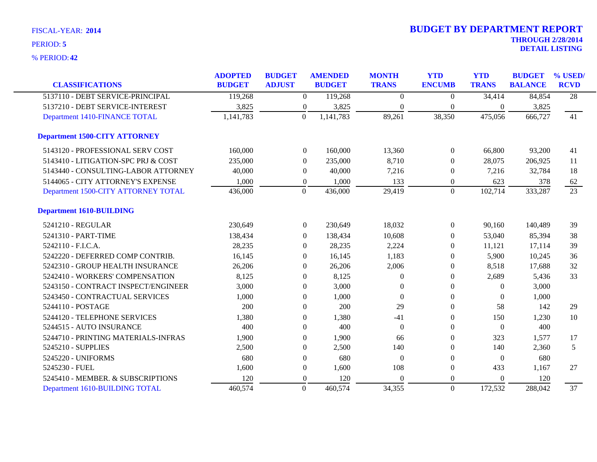| <b>CLASSIFICATIONS</b>               | <b>ADOPTED</b><br><b>BUDGET</b> | <b>BUDGET</b><br><b>ADJUST</b> | <b>AMENDED</b><br><b>BUDGET</b> | <b>MONTH</b><br><b>TRANS</b> | <b>YTD</b><br><b>ENCUMB</b> | <b>YTD</b><br><b>TRANS</b> | <b>BUDGET</b><br><b>BALANCE</b> | % USED/<br><b>RCVD</b> |
|--------------------------------------|---------------------------------|--------------------------------|---------------------------------|------------------------------|-----------------------------|----------------------------|---------------------------------|------------------------|
|                                      |                                 |                                |                                 |                              |                             |                            |                                 |                        |
| 5137110 - DEBT SERVICE-PRINCIPAL     | 119,268                         | $\boldsymbol{0}$               | 119,268                         | $\Omega$                     | $\Omega$                    | 34,414                     | 84,854                          | $\overline{28}$        |
| 5137210 - DEBT SERVICE-INTEREST      | 3,825                           | $\boldsymbol{0}$               | 3,825                           | $\Omega$                     | $\theta$                    | $\overline{0}$             | 3,825                           |                        |
| Department 1410-FINANCE TOTAL        | 1,141,783                       | $\Omega$                       | 1,141,783                       | 89,261                       | 38,350                      | 475,056                    | 666,727                         | 41                     |
| <b>Department 1500-CITY ATTORNEY</b> |                                 |                                |                                 |                              |                             |                            |                                 |                        |
| 5143120 - PROFESSIONAL SERV COST     | 160,000                         | $\overline{0}$                 | 160,000                         | 13,360                       | $\mathbf{0}$                | 66,800                     | 93,200                          | 41                     |
| 5143410 - LITIGATION-SPC PRJ & COST  | 235,000                         | $\overline{0}$                 | 235,000                         | 8,710                        | $\theta$                    | 28,075                     | 206,925                         | 11                     |
| 5143440 - CONSULTING-LABOR ATTORNEY  | 40,000                          | $\theta$                       | 40,000                          | 7,216                        | 0                           | 7,216                      | 32,784                          | 18                     |
| 5144065 - CITY ATTORNEY'S EXPENSE    | 1,000                           | $\overline{0}$                 | 1,000                           | 133                          | $\theta$                    | 623                        | 378                             | 62                     |
| Department 1500-CITY ATTORNEY TOTAL  | 436,000                         | $\mathbf{0}$                   | 436,000                         | 29,419                       | $\overline{0}$              | 102,714                    | 333,287                         | $\overline{23}$        |
| <b>Department 1610-BUILDING</b>      |                                 |                                |                                 |                              |                             |                            |                                 |                        |
| 5241210 - REGULAR                    | 230,649                         | $\boldsymbol{0}$               | 230,649                         | 18,032                       | $\theta$                    | 90,160                     | 140,489                         | 39                     |
| 5241310 - PART-TIME                  | 138,434                         | $\Omega$                       | 138,434                         | 10,608                       | 0                           | 53,040                     | 85,394                          | 38                     |
| 5242110 - F.I.C.A.                   | 28,235                          | $\Omega$                       | 28,235                          | 2,224                        | $\theta$                    | 11,121                     | 17,114                          | 39                     |
| 5242220 - DEFERRED COMP CONTRIB.     | 16,145                          | $\theta$                       | 16,145                          | 1,183                        | $\Omega$                    | 5,900                      | 10,245                          | 36                     |
| 5242310 - GROUP HEALTH INSURANCE     | 26,206                          | $\theta$                       | 26,206                          | 2,006                        | 0                           | 8,518                      | 17,688                          | 32                     |
| 5242410 - WORKERS' COMPENSATION      | 8,125                           | $\theta$                       | 8,125                           | $\theta$                     | $\overline{0}$              | 2,689                      | 5,436                           | 33                     |
| 5243150 - CONTRACT INSPECT/ENGINEER  | 3,000                           | $\theta$                       | 3,000                           | $\Omega$                     | $\Omega$                    | $\theta$                   | 3,000                           |                        |
| 5243450 - CONTRACTUAL SERVICES       | 1,000                           | $\Omega$                       | 1,000                           | $\Omega$                     | $\Omega$                    | $\Omega$                   | 1,000                           |                        |
| 5244110 - POSTAGE                    | 200                             | $\Omega$                       | 200                             | 29                           | $\theta$                    | 58                         | 142                             | 29                     |
| 5244120 - TELEPHONE SERVICES         | 1,380                           | $\theta$                       | 1,380                           | $-41$                        | $\theta$                    | 150                        | 1,230                           | 10                     |
| 5244515 - AUTO INSURANCE             | 400                             | $\Omega$                       | 400                             | $\Omega$                     | $\theta$                    | $\theta$                   | 400                             |                        |
| 5244710 - PRINTING MATERIALS-INFRAS  | 1,900                           | $\theta$                       | 1,900                           | 66                           | 0                           | 323                        | 1,577                           | 17                     |
| 5245210 - SUPPLIES                   | 2,500                           | $\Omega$                       | 2,500                           | 140                          | $\Omega$                    | 140                        | 2,360                           | 5                      |
| 5245220 - UNIFORMS                   | 680                             | $\theta$                       | 680                             | $\Omega$                     | $\theta$                    | $\theta$                   | 680                             |                        |
| 5245230 - FUEL                       | 1,600                           | $\theta$                       | 1,600                           | 108                          | $\overline{0}$              | 433                        | 1,167                           | 27                     |
| 5245410 - MEMBER. & SUBSCRIPTIONS    | 120                             | $\boldsymbol{0}$               | 120                             | $\Omega$                     | $\theta$                    | $\theta$                   | 120                             |                        |
| Department 1610-BUILDING TOTAL       | 460,574                         | $\mathbf{0}$                   | 460,574                         | 34,355                       | $\overline{0}$              | 172,532                    | 288,042                         | 37                     |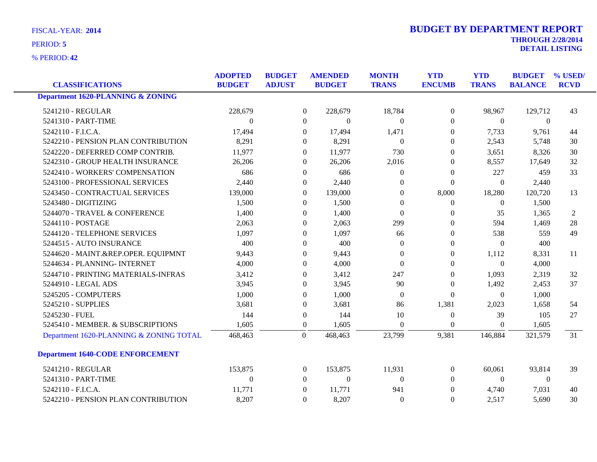**42** % PERIOD:

| <b>CLASSIFICATIONS</b>                       | <b>ADOPTED</b><br><b>BUDGET</b> | <b>BUDGET</b><br><b>ADJUST</b> | <b>AMENDED</b><br><b>BUDGET</b> | <b>MONTH</b><br><b>TRANS</b> | <b>YTD</b><br><b>ENCUMB</b> | <b>YTD</b><br><b>TRANS</b> | <b>BUDGET</b><br><b>BALANCE</b> | % USED/<br><b>RCVD</b> |
|----------------------------------------------|---------------------------------|--------------------------------|---------------------------------|------------------------------|-----------------------------|----------------------------|---------------------------------|------------------------|
| <b>Department 1620-PLANNING &amp; ZONING</b> |                                 |                                |                                 |                              |                             |                            |                                 |                        |
| 5241210 - REGULAR                            | 228,679                         |                                | $\boldsymbol{0}$<br>228,679     | 18,784                       | $\boldsymbol{0}$            | 98,967                     | 129,712                         | 43                     |
| 5241310 - PART-TIME                          | $\Omega$                        |                                | $\Omega$<br>$\theta$            | $\Omega$                     | $\Omega$                    | $\Omega$                   | $\Omega$                        |                        |
| 5242110 - F.I.C.A.                           | 17,494                          |                                | $\overline{0}$<br>17,494        | 1,471                        | $\mathbf{0}$                | 7,733                      | 9,761                           | 44                     |
| 5242210 - PENSION PLAN CONTRIBUTION          | 8,291                           |                                | 8,291<br>$\overline{0}$         | $\theta$                     | $\overline{0}$              | 2,543                      | 5,748                           | 30                     |
| 5242220 - DEFERRED COMP CONTRIB.             | 11,977                          |                                | 11,977<br>$\theta$              | 730                          | $\Omega$                    | 3,651                      | 8,326                           | 30                     |
| 5242310 - GROUP HEALTH INSURANCE             | 26,206                          |                                | 26,206<br>$\theta$              | 2,016                        | $\theta$                    | 8,557                      | 17,649                          | 32                     |
| 5242410 - WORKERS' COMPENSATION              | 686                             |                                | 686<br>$\overline{0}$           | $\mathbf{0}$                 | $\boldsymbol{0}$            | 227                        | 459                             | 33                     |
| 5243100 - PROFESSIONAL SERVICES              | 2,440                           |                                | 2,440<br>$\overline{0}$         | $\mathbf{0}$                 | $\boldsymbol{0}$            | $\overline{0}$             | 2,440                           |                        |
| 5243450 - CONTRACTUAL SERVICES               | 139,000                         |                                | 139,000<br>$\theta$             | $\Omega$                     | 8,000                       | 18,280                     | 120,720                         | 13                     |
| 5243480 - DIGITIZING                         | 1,500                           |                                | 1,500<br>$\theta$               | $\mathbf{0}$                 | $\boldsymbol{0}$            | $\overline{0}$             | 1,500                           |                        |
| 5244070 - TRAVEL & CONFERENCE                | 1,400                           |                                | 1,400<br>$\theta$               | $\Omega$                     | $\overline{0}$              | 35                         | 1,365                           | $\overline{2}$         |
| 5244110 - POSTAGE                            | 2,063                           |                                | 2,063<br>$\Omega$               | 299                          | $\Omega$                    | 594                        | 1,469                           | 28                     |
| 5244120 - TELEPHONE SERVICES                 | 1,097                           |                                | 1,097<br>$\theta$               | 66                           | $\overline{0}$              | 538                        | 559                             | 49                     |
| 5244515 - AUTO INSURANCE                     | 400                             |                                | 400<br>$\Omega$                 | $\Omega$                     | $\Omega$                    | $\theta$                   | 400                             |                        |
| 5244620 - MAINT.&REP.OPER. EQUIPMNT          | 9,443                           |                                | 9,443<br>$\mathbf{0}$           | $\mathbf{0}$                 | $\mathbf{0}$                | 1,112                      | 8,331                           | 11                     |
| 5244634 - PLANNING- INTERNET                 | 4,000                           |                                | 4,000<br>$\theta$               | $\Omega$                     | $\Omega$                    | $\theta$                   | 4,000                           |                        |
| 5244710 - PRINTING MATERIALS-INFRAS          | 3,412                           |                                | 3,412<br>$\theta$               | 247                          | $\mathbf{0}$                | 1,093                      | 2,319                           | 32                     |
| 5244910 - LEGAL ADS                          | 3,945                           |                                | 3,945<br>$\Omega$               | 90                           | $\theta$                    | 1,492                      | 2,453                           | 37                     |
| 5245205 - COMPUTERS                          | 1,000                           |                                | 1,000<br>$\Omega$               | $\Omega$                     | $\boldsymbol{0}$            | $\overline{0}$             | 1,000                           |                        |
| 5245210 - SUPPLIES                           | 3,681                           |                                | 3,681<br>$\overline{0}$         | 86                           | 1,381                       | 2,023                      | 1,658                           | 54                     |
| 5245230 - FUEL                               | 144                             |                                | $\mathbf{0}$<br>144             | 10                           | $\boldsymbol{0}$            | 39                         | 105                             | 27                     |
| 5245410 - MEMBER. & SUBSCRIPTIONS            | 1,605                           |                                | 1,605<br>$\boldsymbol{0}$       | $\boldsymbol{0}$             | $\mathbf{0}$                | $\overline{0}$             | 1,605                           |                        |
| Department 1620-PLANNING & ZONING TOTAL      | 468,463                         |                                | $\Omega$<br>468,463             | 23,799                       | 9,381                       | 146,884                    | 321,579                         | 31                     |
| <b>Department 1640-CODE ENFORCEMENT</b>      |                                 |                                |                                 |                              |                             |                            |                                 |                        |
| 5241210 - REGULAR                            | 153,875                         |                                | 153,875<br>$\boldsymbol{0}$     | 11,931                       | $\boldsymbol{0}$            | 60,061                     | 93,814                          | 39                     |
| 5241310 - PART-TIME                          | $\Omega$                        |                                | $\theta$<br>$\theta$            | $\Omega$                     | $\Omega$                    | $\theta$                   | $\mathbf{0}$                    |                        |
| 5242110 - F.I.C.A.                           | 11,771                          |                                | 11,771<br>$\Omega$              | 941                          | $\Omega$                    | 4,740                      | 7,031                           | 40                     |
| 5242210 - PENSION PLAN CONTRIBUTION          | 8,207                           |                                | 8,207<br>$\overline{0}$         | $\theta$                     | $\mathbf{0}$                | 2,517                      | 5,690                           | 30                     |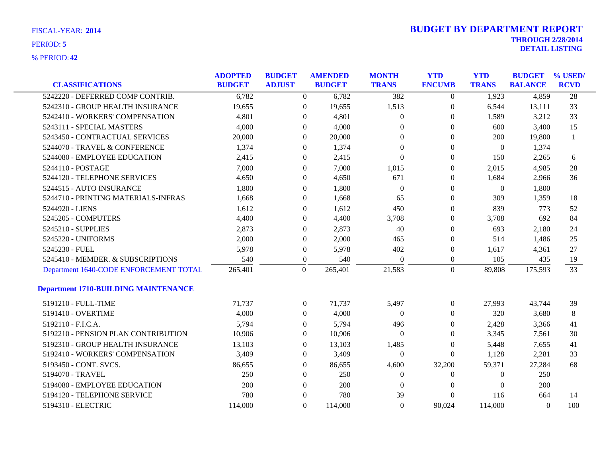|                                             | <b>ADOPTED</b> | <b>BUDGET</b> |                  | <b>AMENDED</b> | <b>MONTH</b>     | <b>YTD</b>       | <b>YTD</b>       | <b>BUDGET</b>  | % USED/         |
|---------------------------------------------|----------------|---------------|------------------|----------------|------------------|------------------|------------------|----------------|-----------------|
| <b>CLASSIFICATIONS</b>                      | <b>BUDGET</b>  | <b>ADJUST</b> |                  | <b>BUDGET</b>  | <b>TRANS</b>     | <b>ENCUMB</b>    | <b>TRANS</b>     | <b>BALANCE</b> | <b>RCVD</b>     |
| 5242220 - DEFERRED COMP CONTRIB.            | 6,782          |               | $\overline{0}$   | 6,782          | 382              | $\overline{0}$   | 1,923            | 4,859          | $\overline{28}$ |
| 5242310 - GROUP HEALTH INSURANCE            | 19,655         |               | $\boldsymbol{0}$ | 19,655         | 1,513            | $\boldsymbol{0}$ | 6,544            | 13,111         | 33              |
| 5242410 - WORKERS' COMPENSATION             | 4,801          |               | $\theta$         | 4,801          | $\overline{0}$   | $\boldsymbol{0}$ | 1,589            | 3,212          | 33              |
| 5243111 - SPECIAL MASTERS                   | 4,000          |               | $\theta$         | 4,000          | $\Omega$         | $\theta$         | 600              | 3,400          | 15              |
| 5243450 - CONTRACTUAL SERVICES              | 20,000         |               | $\theta$         | 20,000         | $\Omega$         | $\mathbf{0}$     | 200              | 19,800         | $\mathbf{1}$    |
| 5244070 - TRAVEL & CONFERENCE               | 1,374          |               | $\theta$         | 1,374          | $\boldsymbol{0}$ | $\boldsymbol{0}$ | $\boldsymbol{0}$ | 1,374          |                 |
| 5244080 - EMPLOYEE EDUCATION                | 2,415          |               | $\boldsymbol{0}$ | 2,415          | $\boldsymbol{0}$ | $\boldsymbol{0}$ | 150              | 2,265          | 6               |
| 5244110 - POSTAGE                           | 7,000          |               | $\theta$         | 7,000          | 1,015            | $\theta$         | 2,015            | 4,985          | 28              |
| 5244120 - TELEPHONE SERVICES                | 4,650          |               | $\overline{0}$   | 4,650          | 671              | $\boldsymbol{0}$ | 1,684            | 2,966          | 36              |
| 5244515 - AUTO INSURANCE                    | 1,800          |               | $\overline{0}$   | 1,800          | $\boldsymbol{0}$ | $\boldsymbol{0}$ | $\boldsymbol{0}$ | 1,800          |                 |
| 5244710 - PRINTING MATERIALS-INFRAS         | 1,668          |               | $\boldsymbol{0}$ | 1,668          | 65               | $\boldsymbol{0}$ | 309              | 1,359          | 18              |
| 5244920 - LIENS                             | 1,612          |               | $\theta$         | 1,612          | 450              | $\mathbf{0}$     | 839              | 773            | 52              |
| 5245205 - COMPUTERS                         | 4,400          |               | $\theta$         | 4,400          | 3,708            | $\mathbf{0}$     | 3,708            | 692            | 84              |
| 5245210 - SUPPLIES                          | 2,873          |               | $\Omega$         | 2,873          | 40               | $\boldsymbol{0}$ | 693              | 2,180          | 24              |
| 5245220 - UNIFORMS                          | 2,000          |               | $\boldsymbol{0}$ | 2,000          | 465              | $\boldsymbol{0}$ | 514              | 1,486          | 25              |
| 5245230 - FUEL                              | 5,978          |               | $\overline{0}$   | 5,978          | 402              | $\boldsymbol{0}$ | 1,617            | 4,361          | 27              |
| 5245410 - MEMBER. & SUBSCRIPTIONS           | 540            |               | $\boldsymbol{0}$ | 540            | $\theta$         | $\boldsymbol{0}$ | 105              | 435            | 19              |
| Department 1640-CODE ENFORCEMENT TOTAL      | 265,401        |               | $\overline{0}$   | 265,401        | 21,583           | $\overline{0}$   | 89,808           | 175,593        | 33              |
| <b>Department 1710-BUILDING MAINTENANCE</b> |                |               |                  |                |                  |                  |                  |                |                 |
| 5191210 - FULL-TIME                         | 71,737         |               | $\theta$         | 71,737         | 5,497            | $\theta$         | 27,993           | 43,744         | 39              |
| 5191410 - OVERTIME                          | 4,000          |               | $\theta$         | 4,000          | $\Omega$         | $\Omega$         | 320              | 3,680          | 8               |
| 5192110 - F.I.C.A.                          | 5,794          |               | $\boldsymbol{0}$ | 5,794          | 496              | $\boldsymbol{0}$ | 2,428            | 3,366          | 41              |
| 5192210 - PENSION PLAN CONTRIBUTION         | 10,906         |               | $\boldsymbol{0}$ | 10,906         | $\boldsymbol{0}$ | $\boldsymbol{0}$ | 3,345            | 7,561          | 30              |
| 5192310 - GROUP HEALTH INSURANCE            | 13,103         |               | $\overline{0}$   | 13,103         | 1,485            | $\mathbf{0}$     | 5,448            | 7,655          | 41              |
| 5192410 - WORKERS' COMPENSATION             | 3,409          |               | $\overline{0}$   | 3,409          | $\theta$         | $\mathbf{0}$     | 1,128            | 2,281          | 33              |
| 5193450 - CONT. SVCS.                       | 86,655         |               | $\overline{0}$   | 86,655         | 4,600            | 32,200           | 59,371           | 27,284         | 68              |
| 5194070 - TRAVEL                            | 250            |               | $\overline{0}$   | 250            | $\overline{0}$   | $\mathbf{0}$     | $\theta$         | 250            |                 |
| 5194080 - EMPLOYEE EDUCATION                | 200            |               | $\theta$         | 200            | $\overline{0}$   | $\Omega$         | $\Omega$         | 200            |                 |
| 5194120 - TELEPHONE SERVICE                 | 780            |               | $\Omega$         | 780            | 39               | $\Omega$         | 116              | 664            | 14              |
| 5194310 - ELECTRIC                          | 114,000        |               | $\Omega$         | 114,000        | $\Omega$         | 90,024           | 114,000          | $\Omega$       | 100             |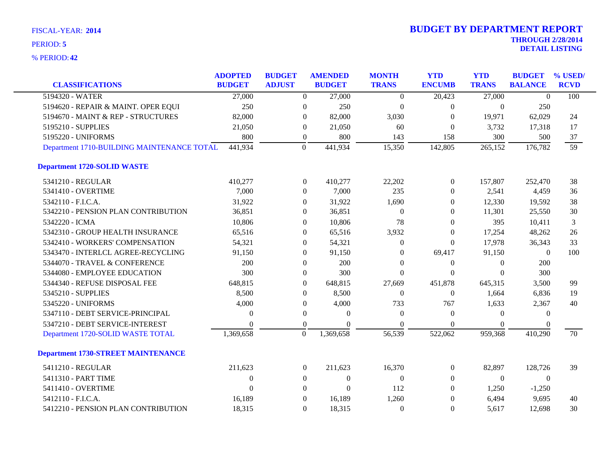| <b>CLASSIFICATIONS</b>                     | <b>ADOPTED</b><br><b>BUDGET</b> | <b>BUDGET</b><br><b>ADJUST</b> |                  | <b>AMENDED</b><br><b>BUDGET</b> | <b>MONTH</b><br><b>TRANS</b> | <b>YTD</b><br><b>ENCUMB</b> | <b>YTD</b><br><b>TRANS</b> | <b>BUDGET</b><br><b>BALANCE</b> | % USED<br><b>RCVD</b> |
|--------------------------------------------|---------------------------------|--------------------------------|------------------|---------------------------------|------------------------------|-----------------------------|----------------------------|---------------------------------|-----------------------|
| 5194320 - WATER                            | 27,000                          |                                | $\overline{0}$   | 27,000                          | $\Omega$                     | 20,423                      | 27,000                     | $\mathbf{0}$                    | 100                   |
| 5194620 - REPAIR & MAINT. OPER EQUI        | 250                             |                                | $\boldsymbol{0}$ | 250                             | $\theta$                     | $\boldsymbol{0}$            | $\overline{0}$             | 250                             |                       |
| 5194670 - MAINT & REP - STRUCTURES         | 82,000                          |                                | $\overline{0}$   | 82,000                          | 3,030                        | $\mathbf{0}$                | 19,971                     | 62,029                          | 24                    |
| 5195210 - SUPPLIES                         | 21,050                          |                                | $\overline{0}$   | 21,050                          | 60                           | $\overline{0}$              | 3,732                      | 17,318                          | 17                    |
| 5195220 - UNIFORMS                         | 800                             |                                | $\boldsymbol{0}$ | 800                             | 143                          | 158                         | 300                        | 500                             | 37                    |
| Department 1710-BUILDING MAINTENANCE TOTAL | 441,934                         |                                | $\overline{0}$   | 441,934                         | 15,350                       | 142,805                     | 265,152                    | 176,782                         | 59                    |
| <b>Department 1720-SOLID WASTE</b>         |                                 |                                |                  |                                 |                              |                             |                            |                                 |                       |
| 5341210 - REGULAR                          | 410,277                         |                                | $\overline{0}$   | 410,277                         | 22,202                       | $\overline{0}$              | 157,807                    | 252,470                         | 38                    |
| 5341410 - OVERTIME                         | 7,000                           |                                | $\overline{0}$   | 7,000                           | 235                          | $\Omega$                    | 2,541                      | 4,459                           | 36                    |
| 5342110 - F.I.C.A.                         | 31,922                          |                                | $\overline{0}$   | 31,922                          | 1,690                        | $\mathbf{0}$                | 12,330                     | 19,592                          | 38                    |
| 5342210 - PENSION PLAN CONTRIBUTION        | 36,851                          |                                | $\overline{0}$   | 36,851                          | $\Omega$                     | $\Omega$                    | 11,301                     | 25,550                          | 30                    |
| 5342220 - ICMA                             | 10,806                          |                                | $\overline{0}$   | 10,806                          | 78                           | $\Omega$                    | 395                        | 10,411                          | 3                     |
| 5342310 - GROUP HEALTH INSURANCE           | 65,516                          |                                | $\overline{0}$   | 65,516                          | 3,932                        | $\overline{0}$              | 17,254                     | 48,262                          | 26                    |
| 5342410 - WORKERS' COMPENSATION            | 54,321                          |                                | $\theta$         | 54,321                          | $\theta$                     | $\Omega$                    | 17,978                     | 36,343                          | 33                    |
| 5343470 - INTERLCL AGREE-RECYCLING         | 91,150                          |                                | $\boldsymbol{0}$ | 91,150                          | $\Omega$                     | 69,417                      | 91,150                     | $\boldsymbol{0}$                | 100                   |
| 5344070 - TRAVEL & CONFERENCE              | 200                             |                                | $\overline{0}$   | 200                             | $\Omega$                     | $\boldsymbol{0}$            | $\overline{0}$             | 200                             |                       |
| 5344080 - EMPLOYEE EDUCATION               | 300                             |                                | $\overline{0}$   | 300                             | $\theta$                     | $\Omega$                    | $\Omega$                   | 300                             |                       |
| 5344340 - REFUSE DISPOSAL FEE              | 648,815                         |                                | $\overline{0}$   | 648,815                         | 27,669                       | 451,878                     | 645,315                    | 3,500                           | 99                    |
| 5345210 - SUPPLIES                         | 8,500                           |                                | $\theta$         | 8,500                           | $\theta$                     | $\mathbf{0}$                | 1,664                      | 6,836                           | 19                    |
| 5345220 - UNIFORMS                         | 4,000                           |                                | $\overline{0}$   | 4,000                           | 733                          | 767                         | 1,633                      | 2,367                           | 40                    |
| 5347110 - DEBT SERVICE-PRINCIPAL           | 0                               |                                | $\boldsymbol{0}$ | $\theta$                        | $\Omega$                     | $\theta$                    | $\overline{0}$             | $\theta$                        |                       |
| 5347210 - DEBT SERVICE-INTEREST            | $\Omega$                        |                                | $\theta$         | $\Omega$                        | $\Omega$                     | $\Omega$                    | $\Omega$                   |                                 |                       |
| Department 1720-SOLID WASTE TOTAL          | 1,369,658                       |                                | $\boldsymbol{0}$ | 1,369,658                       | 56,539                       | 522,062                     | 959,368                    | 410,290                         | 70                    |
| <b>Department 1730-STREET MAINTENANCE</b>  |                                 |                                |                  |                                 |                              |                             |                            |                                 |                       |
| 5411210 - REGULAR                          | 211,623                         |                                | $\overline{0}$   | 211,623                         | 16,370                       | $\boldsymbol{0}$            | 82,897                     | 128,726                         | 39                    |
| 5411310 - PART TIME                        | $\theta$                        |                                | $\overline{0}$   | $\overline{0}$                  | $\Omega$                     | $\Omega$                    | $\Omega$                   | $\theta$                        |                       |
| 5411410 - OVERTIME                         | $\overline{0}$                  |                                | $\overline{0}$   | $\boldsymbol{0}$                | 112                          | $\Omega$                    | 1,250                      | $-1,250$                        |                       |
| 5412110 - F.I.C.A.                         | 16,189                          |                                | $\mathbf{0}$     | 16,189                          | 1,260                        | $\mathbf{0}$                | 6,494                      | 9,695                           | 40                    |
| 5412210 - PENSION PLAN CONTRIBUTION        | 18,315                          |                                | $\Omega$         | 18,315                          | $\theta$                     | $\Omega$                    | 5,617                      | 12,698                          | 30                    |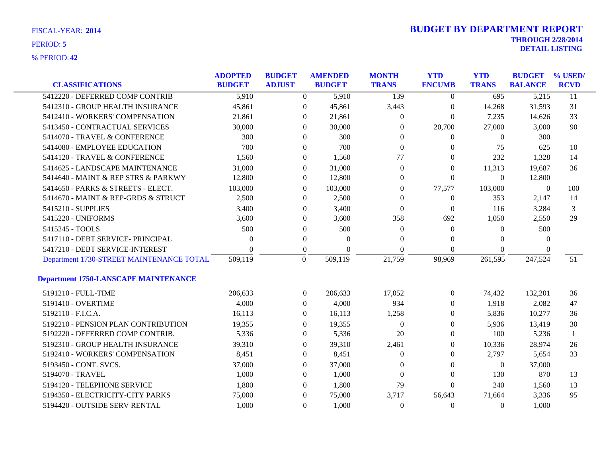| FISCAL-YEAR: 2014 |  |
|-------------------|--|
| PERIOD: 5         |  |

|                                             | <b>ADOPTED</b> | <b>BUDGET</b>    | <b>AMENDED</b> | <b>MONTH</b>     | <b>YTD</b>       | <b>YTD</b>     | <b>BUDGET</b>  | % USED/         |
|---------------------------------------------|----------------|------------------|----------------|------------------|------------------|----------------|----------------|-----------------|
| <b>CLASSIFICATIONS</b>                      | <b>BUDGET</b>  | <b>ADJUST</b>    | <b>BUDGET</b>  | <b>TRANS</b>     | <b>ENCUMB</b>    | <b>TRANS</b>   | <b>BALANCE</b> | <b>RCVD</b>     |
| 5412220 - DEFERRED COMP CONTRIB             | 5,910          | $\overline{0}$   | 5,910          | 139              | $\overline{0}$   | 695            | 5,215          | $\overline{11}$ |
| 5412310 - GROUP HEALTH INSURANCE            | 45,861         | $\mathbf{0}$     | 45,861         | 3,443            | $\boldsymbol{0}$ | 14,268         | 31,593         | 31              |
| 5412410 - WORKERS' COMPENSATION             | 21,861         | $\Omega$         | 21,861         | $\theta$         | $\mathbf{0}$     | 7,235          | 14,626         | 33              |
| 5413450 - CONTRACTUAL SERVICES              | 30,000         | $\Omega$         | 30,000         | $\Omega$         | 20,700           | 27,000         | 3,000          | 90              |
| 5414070 - TRAVEL & CONFERENCE               | 300            | $\Omega$         | 300            | $\Omega$         | $\Omega$         | $\Omega$       | 300            |                 |
| 5414080 - EMPLOYEE EDUCATION                | 700            | $\Omega$         | 700            | $\Omega$         | $\theta$         | 75             | 625            | 10              |
| 5414120 - TRAVEL & CONFERENCE               | 1,560          | $\overline{0}$   | 1,560          | 77               | $\theta$         | 232            | 1,328          | 14              |
| 5414625 - LANDSCAPE MAINTENANCE             | 31,000         | $\Omega$         | 31,000         | $\theta$         | $\overline{0}$   | 11,313         | 19,687         | 36              |
| 5414640 - MAINT & REP STRS & PARKWY         | 12,800         | $\overline{0}$   | 12,800         | $\theta$         | $\theta$         | $\Omega$       | 12,800         |                 |
| 5414650 - PARKS & STREETS - ELECT.          | 103,000        | $\overline{0}$   | 103,000        | $\mathbf{0}$     | 77,577           | 103,000        | $\overline{0}$ | 100             |
| 5414670 - MAINT & REP-GRDS & STRUCT         | 2,500          | $\overline{0}$   | 2,500          | $\Omega$         | $\overline{0}$   | 353            | 2,147          | 14              |
| 5415210 - SUPPLIES                          | 3,400          | $\Omega$         | 3,400          | $\Omega$         | $\theta$         | 116            | 3,284          | 3               |
| 5415220 - UNIFORMS                          | 3,600          | $\Omega$         | 3,600          | 358              | 692              | 1,050          | 2,550          | 29              |
| 5415245 - TOOLS                             | 500            | $\Omega$         | 500            | $\Omega$         | $\mathbf{0}$     | $\theta$       | 500            |                 |
| 5417110 - DEBT SERVICE- PRINCIPAL           | $\Omega$       | $\overline{0}$   | $\theta$       | $\mathbf{0}$     | 0                | $\Omega$       | $\Omega$       |                 |
| 5417210 - DEBT SERVICE-INTEREST             | 0              | $\boldsymbol{0}$ | $\Omega$       | $\Omega$         | $\Omega$         | $\Omega$       | $\theta$       |                 |
| Department 1730-STREET MAINTENANCE TOTAL    | 509,119        | $\overline{0}$   | 509,119        | 21,759           | 98,969           | 261,595        | 247,524        | 51              |
| <b>Department 1750-LANSCAPE MAINTENANCE</b> |                |                  |                |                  |                  |                |                |                 |
|                                             |                |                  |                |                  |                  |                |                |                 |
| 5191210 - FULL-TIME                         | 206,633        | $\overline{0}$   | 206,633        | 17,052           | $\boldsymbol{0}$ | 74,432         | 132,201        | 36              |
| 5191410 - OVERTIME                          | 4,000          | $\Omega$         | 4,000          | 934              | 0                | 1,918          | 2,082          | 47              |
| 5192110 - F.I.C.A.                          | 16,113         | $\Omega$         | 16,113         | 1,258            | 0                | 5,836          | 10,277         | 36              |
| 5192210 - PENSION PLAN CONTRIBUTION         | 19,355         | $\theta$         | 19,355         | $\boldsymbol{0}$ | $\overline{0}$   | 5,936          | 13,419         | 30              |
| 5192220 - DEFERRED COMP CONTRIB.            | 5,336          | $\overline{0}$   | 5,336          | 20               | 0                | 100            | 5,236          | 1               |
| 5192310 - GROUP HEALTH INSURANCE            | 39,310         | $\theta$         | 39,310         | 2,461            | 0                | 10,336         | 28,974         | 26              |
| 5192410 - WORKERS' COMPENSATION             | 8,451          | $\Omega$         | 8,451          | $\theta$         | 0                | 2,797          | 5,654          | 33              |
| 5193450 - CONT. SVCS.                       | 37,000         | $\overline{0}$   | 37,000         | $\Omega$         | $\theta$         | $\overline{0}$ | 37,000         |                 |
| 5194070 - TRAVEL                            | 1,000          | $\Omega$         | 1,000          | $\Omega$         | $\theta$         | 130            | 870            | 13              |
| 5194120 - TELEPHONE SERVICE                 | 1,800          | $\Omega$         | 1,800          | 79               | $\theta$         | 240            | 1,560          | 13              |
| 5194350 - ELECTRICITY-CITY PARKS            | 75,000         | $\Omega$         | 75,000         | 3,717            | 56,643           | 71,664         | 3,336          | 95              |
| 5194420 - OUTSIDE SERV RENTAL               | 1,000          | $\Omega$         | 1,000          | $\Omega$         | $\Omega$         | $\Omega$       | 1,000          |                 |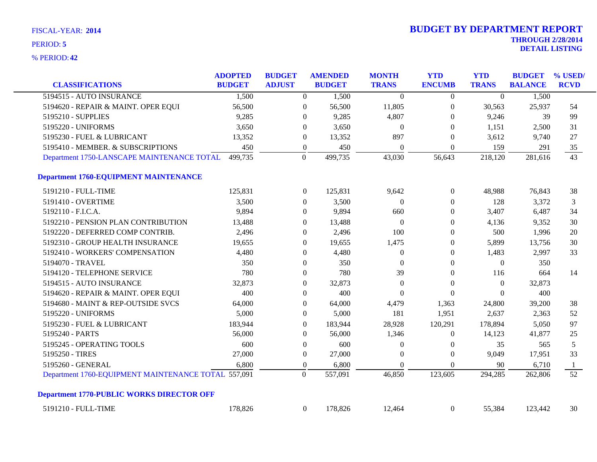| <b>CLASSIFICATIONS</b>                              | <b>ADOPTED</b><br><b>BUDGET</b> | <b>BUDGET</b><br><b>ADJUST</b> |                  | <b>AMENDED</b><br><b>BUDGET</b> | <b>MONTH</b><br><b>TRANS</b> | <b>YTD</b><br><b>ENCUMB</b> | <b>YTD</b><br><b>TRANS</b> | <b>BUDGET</b><br><b>BALANCE</b> | % USED/<br><b>RCVD</b> |
|-----------------------------------------------------|---------------------------------|--------------------------------|------------------|---------------------------------|------------------------------|-----------------------------|----------------------------|---------------------------------|------------------------|
| 5194515 - AUTO INSURANCE                            | 1,500                           |                                | $\overline{0}$   | 1,500                           | $\overline{0}$               | $\overline{0}$              | $\overline{0}$             | 1,500                           |                        |
| 5194620 - REPAIR & MAINT. OPER EQUI                 | 56,500                          |                                | $\boldsymbol{0}$ | 56,500                          | 11,805                       | 0                           | 30,563                     | 25,937                          | 54                     |
| 5195210 - SUPPLIES                                  | 9,285                           |                                | $\boldsymbol{0}$ | 9,285                           | 4,807                        | $\boldsymbol{0}$            | 9,246                      | 39                              | 99                     |
| 5195220 - UNIFORMS                                  | 3,650                           |                                | $\theta$         | 3,650                           | $\overline{0}$               | $\theta$                    | 1,151                      | 2,500                           | 31                     |
| 5195230 - FUEL & LUBRICANT                          | 13,352                          |                                | $\theta$         | 13,352                          | 897                          | $\boldsymbol{0}$            | 3,612                      | 9,740                           | 27                     |
| 5195410 - MEMBER. & SUBSCRIPTIONS                   | 450                             |                                | $\boldsymbol{0}$ | 450                             | $\overline{0}$               | $\boldsymbol{0}$            | 159                        | 291                             | 35                     |
| Department 1750-LANSCAPE MAINTENANCE TOTAL          | 499,735                         |                                | $\Omega$         | 499,735                         | 43,030                       | 56,643                      | 218,120                    | 281,616                         | 43                     |
| <b>Department 1760-EQUIPMENT MAINTENANCE</b>        |                                 |                                |                  |                                 |                              |                             |                            |                                 |                        |
| 5191210 - FULL-TIME                                 | 125,831                         |                                | $\boldsymbol{0}$ | 125,831                         | 9,642                        | $\boldsymbol{0}$            | 48,988                     | 76,843                          | 38                     |
| 5191410 - OVERTIME                                  | 3,500                           |                                | $\overline{0}$   | 3,500                           | $\overline{0}$               | $\overline{0}$              | 128                        | 3,372                           | 3                      |
| 5192110 - F.I.C.A.                                  | 9,894                           |                                | $\theta$         | 9,894                           | 660                          | $\overline{0}$              | 3,407                      | 6,487                           | 34                     |
| 5192210 - PENSION PLAN CONTRIBUTION                 | 13,488                          |                                | $\theta$         | 13,488                          | $\overline{0}$               | $\overline{0}$              | 4,136                      | 9,352                           | 30                     |
| 5192220 - DEFERRED COMP CONTRIB.                    | 2,496                           |                                | $\theta$         | 2,496                           | 100                          | 0                           | 500                        | 1,996                           | 20                     |
| 5192310 - GROUP HEALTH INSURANCE                    | 19,655                          |                                | $\theta$         | 19,655                          | 1,475                        | 0                           | 5,899                      | 13,756                          | 30                     |
| 5192410 - WORKERS' COMPENSATION                     | 4,480                           |                                | $\theta$         | 4,480                           | $\boldsymbol{0}$             | 0                           | 1,483                      | 2,997                           | 33                     |
| 5194070 - TRAVEL                                    | 350                             |                                | $\overline{0}$   | 350                             | $\overline{0}$               | $\overline{0}$              | $\boldsymbol{0}$           | 350                             |                        |
| 5194120 - TELEPHONE SERVICE                         | 780                             |                                | $\theta$         | 780                             | 39                           | $\overline{0}$              | 116                        | 664                             | 14                     |
| 5194515 - AUTO INSURANCE                            | 32,873                          |                                | $\theta$         | 32,873                          | $\overline{0}$               | $\boldsymbol{0}$            | $\mathbf{0}$               | 32,873                          |                        |
| 5194620 - REPAIR & MAINT. OPER EQUI                 | 400                             |                                | $\theta$         | 400                             | $\theta$                     | $\boldsymbol{0}$            | $\Omega$                   | 400                             |                        |
| 5194680 - MAINT & REP-OUTSIDE SVCS                  | 64,000                          |                                | $\boldsymbol{0}$ | 64,000                          | 4,479                        | 1,363                       | 24,800                     | 39,200                          | 38                     |
| 5195220 - UNIFORMS                                  | 5,000                           |                                | $\boldsymbol{0}$ | 5,000                           | 181                          | 1,951                       | 2,637                      | 2,363                           | 52                     |
| 5195230 - FUEL & LUBRICANT                          | 183,944                         |                                | $\theta$         | 183,944                         | 28,928                       | 120,291                     | 178,894                    | 5,050                           | 97                     |
| 5195240 - PARTS                                     | 56,000                          |                                | $\Omega$         | 56,000                          | 1,346                        | $\mathbf{0}$                | 14,123                     | 41,877                          | 25                     |
| 5195245 - OPERATING TOOLS                           | 600                             |                                | $\boldsymbol{0}$ | 600                             | $\overline{0}$               | 0                           | 35                         | 565                             | 5                      |
| 5195250 - TIRES                                     | 27,000                          |                                | $\boldsymbol{0}$ | 27,000                          | $\Omega$                     | $\boldsymbol{0}$            | 9,049                      | 17,951                          | 33                     |
| 5195260 - GENERAL                                   | 6,800                           |                                | $\boldsymbol{0}$ | 6,800                           | $\mathbf{0}$                 | $\boldsymbol{0}$            | 90                         | 6,710                           | 1                      |
| Department 1760-EQUIPMENT MAINTENANCE TOTAL 557,091 |                                 |                                | $\Omega$         | 557,091                         | 46,850                       | 123,605                     | 294,285                    | 262,806                         | 52                     |
| <b>Department 1770-PUBLIC WORKS DIRECTOR OFF</b>    |                                 |                                |                  |                                 |                              |                             |                            |                                 |                        |
| 5191210 - FULL-TIME                                 | 178,826                         |                                | $\overline{0}$   | 178,826                         | 12,464                       | $\overline{0}$              | 55,384                     | 123,442                         | 30                     |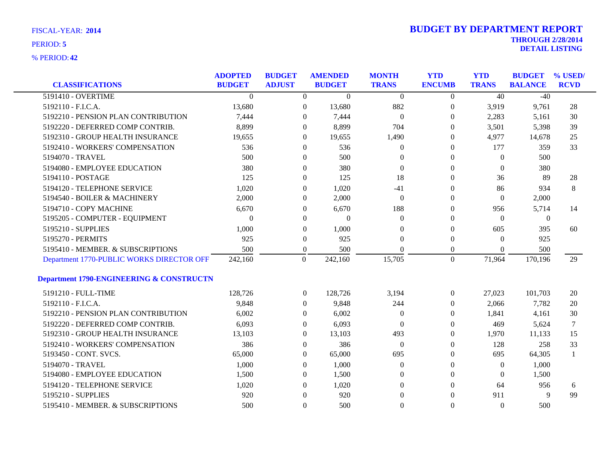| <b>CLASSIFICATIONS</b>                              | <b>ADOPTED</b><br><b>BUDGET</b> | <b>BUDGET</b><br><b>ADJUST</b> | <b>AMENDED</b><br><b>BUDGET</b> | <b>MONTH</b><br><b>TRANS</b> | <b>YTD</b><br><b>ENCUMB</b> | <b>YTD</b><br><b>TRANS</b> | <b>BUDGET</b><br><b>BALANCE</b> | % USED/<br><b>RCVD</b> |
|-----------------------------------------------------|---------------------------------|--------------------------------|---------------------------------|------------------------------|-----------------------------|----------------------------|---------------------------------|------------------------|
| 5191410 - OVERTIME                                  | $\Omega$                        | $\overline{0}$                 | $\Omega$                        | $\Omega$                     | $\overline{0}$              | 40                         | $-40$                           |                        |
| 5192110 - F.I.C.A.                                  | 13,680                          | $\boldsymbol{0}$               | 13,680                          | 882                          | $\boldsymbol{0}$            | 3,919                      | 9,761                           | 28                     |
| 5192210 - PENSION PLAN CONTRIBUTION                 | 7,444                           | $\theta$                       | 7,444                           | $\overline{0}$               | $\theta$                    | 2,283                      | 5,161                           | 30                     |
| 5192220 - DEFERRED COMP CONTRIB.                    | 8,899                           | $\overline{0}$                 | 8,899                           | 704                          | $\bf{0}$                    | 3,501                      | 5,398                           | 39                     |
| 5192310 - GROUP HEALTH INSURANCE                    | 19,655                          | $\theta$                       | 19,655                          | 1,490                        | $\mathbf{0}$                | 4,977                      | 14,678                          | 25                     |
| 5192410 - WORKERS' COMPENSATION                     | 536                             | $\mathbf{0}$                   | 536                             | $\theta$                     | $\mathbf{0}$                | 177                        | 359                             | 33                     |
| 5194070 - TRAVEL                                    | 500                             | $\theta$                       | 500                             | $\Omega$                     | $\Omega$                    | $\Omega$                   | 500                             |                        |
| 5194080 - EMPLOYEE EDUCATION                        | 380                             | $\theta$                       | 380                             | $\Omega$                     | $\Omega$                    | $\Omega$                   | 380                             |                        |
| 5194110 - POSTAGE                                   | 125                             | $\overline{0}$                 | 125                             | 18                           | $\Omega$                    | 36                         | 89                              | 28                     |
| 5194120 - TELEPHONE SERVICE                         | 1,020                           | $\mathbf{0}$                   | 1,020                           | $-41$                        | 0                           | 86                         | 934                             | 8                      |
| 5194540 - BOILER & MACHINERY                        | 2,000                           | $\mathbf{0}$                   | 2,000                           | $\overline{0}$               | $\Omega$                    | $\Omega$                   | 2,000                           |                        |
| 5194710 - COPY MACHINE                              | 6,670                           | $\mathbf{0}$                   | 6,670                           | 188                          | 0                           | 956                        | 5,714                           | 14                     |
| 5195205 - COMPUTER - EQUIPMENT                      | $\theta$                        | $\overline{0}$                 | $\Omega$                        | $\Omega$                     | $\Omega$                    | $\Omega$                   | $\theta$                        |                        |
| 5195210 - SUPPLIES                                  | 1,000                           | $\mathbf{0}$                   | 1,000                           | $\Omega$                     | $\Omega$                    | 605                        | 395                             | 60                     |
| 5195270 - PERMITS                                   | 925                             | $\mathbf{0}$                   | 925                             | $\theta$                     | $\Omega$                    | $\Omega$                   | 925                             |                        |
| 5195410 - MEMBER. & SUBSCRIPTIONS                   | 500                             | $\overline{0}$                 | 500                             | $\Omega$                     | $\boldsymbol{0}$            | $\Omega$                   | 500                             |                        |
| Department 1770-PUBLIC WORKS DIRECTOR OFF           | 242,160                         | $\boldsymbol{0}$               | 242,160                         | 15,705                       | $\mathbf{0}$                | 71,964                     | 170,196                         | 29                     |
| <b>Department 1790-ENGINEERING &amp; CONSTRUCTN</b> |                                 |                                |                                 |                              |                             |                            |                                 |                        |
| 5191210 - FULL-TIME                                 | 128,726                         | $\overline{0}$                 | 128,726                         | 3,194                        | $\overline{0}$              | 27,023                     | 101,703                         | 20                     |
| 5192110 - F.I.C.A.                                  | 9,848                           | $\Omega$                       | 9,848                           | 244                          | $\Omega$                    | 2,066                      | 7,782                           | 20                     |
| 5192210 - PENSION PLAN CONTRIBUTION                 | 6,002                           | $\overline{0}$                 | 6,002                           | $\overline{0}$               | $\Omega$                    | 1,841                      | 4,161                           | 30                     |
| 5192220 - DEFERRED COMP CONTRIB.                    | 6,093                           | $\overline{0}$                 | 6,093                           | $\overline{0}$               | $\Omega$                    | 469                        | 5,624                           | 7                      |
| 5192310 - GROUP HEALTH INSURANCE                    | 13,103                          | $\theta$                       | 13,103                          | 493                          | $\Omega$                    | 1,970                      | 11,133                          | 15                     |
| 5192410 - WORKERS' COMPENSATION                     | 386                             | $\overline{0}$                 | 386                             | $\Omega$                     | $\Omega$                    | 128                        | 258                             | 33                     |
| 5193450 - CONT. SVCS.                               | 65,000                          | $\overline{0}$                 | 65,000                          | 695                          | $\Omega$                    | 695                        | 64,305                          | $\mathbf{1}$           |
| 5194070 - TRAVEL                                    | 1,000                           | $\overline{0}$                 | 1,000                           | $\overline{0}$               | $\Omega$                    | $\theta$                   | 1,000                           |                        |
| 5194080 - EMPLOYEE EDUCATION                        | 1,500                           | $\theta$                       | 1,500                           | $\theta$                     | $\Omega$                    | $\Omega$                   | 1,500                           |                        |
| 5194120 - TELEPHONE SERVICE                         | 1,020                           | $\Omega$                       | 1,020                           | $\Omega$                     | $\Omega$                    | 64                         | 956                             | 6                      |
| 5195210 - SUPPLIES                                  | 920                             | $\Omega$                       | 920                             | $\Omega$                     | $\Omega$                    | 911                        | 9                               | 99                     |
| 5195410 - MEMBER. & SUBSCRIPTIONS                   | 500                             | $\Omega$                       | 500                             | $\theta$                     | $\Omega$                    | $\Omega$                   | 500                             |                        |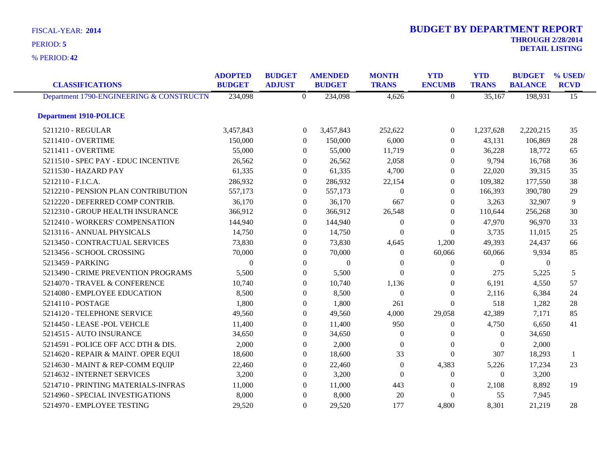**42** % PERIOD:

| <b>CLASSIFICATIONS</b>                   | <b>ADOPTED</b><br><b>BUDGET</b> | <b>BUDGET</b><br><b>ADJUST</b> | <b>AMENDED</b><br><b>BUDGET</b> |                  | <b>MONTH</b><br><b>TRANS</b> | <b>YTD</b><br><b>ENCUMB</b> | <b>YTD</b><br><b>TRANS</b> | <b>BUDGET</b><br><b>BALANCE</b> | % USED/<br><b>RCVD</b> |
|------------------------------------------|---------------------------------|--------------------------------|---------------------------------|------------------|------------------------------|-----------------------------|----------------------------|---------------------------------|------------------------|
| Department 1790-ENGINEERING & CONSTRUCTN | 234,098                         |                                | $\overline{0}$<br>234,098       |                  | 4,626                        | $\boldsymbol{0}$            | 35,167                     | 198,931                         | $\overline{15}$        |
| <b>Department 1910-POLICE</b>            |                                 |                                |                                 |                  |                              |                             |                            |                                 |                        |
| 5211210 - REGULAR                        | 3,457,843                       |                                | 3,457,843<br>$\theta$           |                  | 252,622                      | $\Omega$                    | 1,237,628                  | 2,220,215                       | 35                     |
| 5211410 - OVERTIME                       | 150,000                         |                                | 150,000<br>$\overline{0}$       |                  | 6,000                        | $\theta$                    | 43,131                     | 106,869                         | 28                     |
| 5211411 - OVERTIME                       | 55,000                          |                                | $\Omega$                        | 55,000           | 11,719                       | $\overline{0}$              | 36,228                     | 18,772                          | 65                     |
| 5211510 - SPEC PAY - EDUC INCENTIVE      | 26,562                          |                                | $\theta$                        | 26,562           | 2,058                        | $\overline{0}$              | 9,794                      | 16,768                          | 36                     |
| 5211530 - HAZARD PAY                     | 61,335                          |                                | $\theta$                        | 61,335           | 4,700                        | $\overline{0}$              | 22,020                     | 39,315                          | 35                     |
| 5212110 - F.I.C.A.                       | 286,932                         |                                | 286,932<br>$\theta$             |                  | 22,154                       | $\theta$                    | 109,382                    | 177,550                         | 38                     |
| 5212210 - PENSION PLAN CONTRIBUTION      | 557,173                         |                                | $\theta$<br>557,173             |                  | $\Omega$                     | $\theta$                    | 166,393                    | 390,780                         | 29                     |
| 5212220 - DEFERRED COMP CONTRIB.         | 36,170                          |                                | $\mathbf{0}$                    | 36,170           | 667                          | $\boldsymbol{0}$            | 3,263                      | 32,907                          | 9                      |
| 5212310 - GROUP HEALTH INSURANCE         | 366,912                         |                                | 366,912<br>$\theta$             |                  | 26,548                       | $\theta$                    | 110,644                    | 256,268                         | 30                     |
| 5212410 - WORKERS' COMPENSATION          | 144,940                         |                                | $\Omega$<br>144,940             |                  | $\theta$                     | $\Omega$                    | 47,970                     | 96,970                          | 33                     |
| 5213116 - ANNUAL PHYSICALS               | 14,750                          |                                | $\Omega$                        | 14,750           | $\Omega$                     | $\boldsymbol{0}$            | 3,735                      | 11,015                          | 25                     |
| 5213450 - CONTRACTUAL SERVICES           | 73,830                          |                                | $\theta$                        | 73,830           | 4,645                        | 1,200                       | 49,393                     | 24,437                          | 66                     |
| 5213456 - SCHOOL CROSSING                | 70,000                          |                                | $\theta$                        | 70,000           | $\theta$                     | 60,066                      | 60,066                     | 9,934                           | 85                     |
| 5213459 - PARKING                        | $\Omega$                        |                                | $\Omega$                        | $\boldsymbol{0}$ | $\Omega$                     | $\overline{0}$              | $\overline{0}$             | $\theta$                        |                        |
| 5213490 - CRIME PREVENTION PROGRAMS      | 5,500                           |                                | $\mathbf{0}$                    | 5,500            | $\Omega$                     | $\theta$                    | 275                        | 5,225                           | 5                      |
| 5214070 - TRAVEL & CONFERENCE            | 10,740                          |                                | $\mathbf{0}$                    | 10,740           | 1,136                        | $\overline{0}$              | 6,191                      | 4,550                           | 57                     |
| 5214080 - EMPLOYEE EDUCATION             | 8,500                           |                                | $\mathbf{0}$                    | 8,500            | $\Omega$                     | $\boldsymbol{0}$            | 2,116                      | 6,384                           | 24                     |
| 5214110 - POSTAGE                        | 1,800                           |                                | $\Omega$                        | 1,800            | 261                          | $\theta$                    | 518                        | 1,282                           | 28                     |
| 5214120 - TELEPHONE SERVICE              | 49,560                          |                                | $\theta$                        | 49,560           | 4,000                        | 29,058                      | 42,389                     | 7,171                           | 85                     |
| 5214450 - LEASE -POL VEHCLE              | 11,400                          |                                | $\mathbf{0}$                    | 11,400           | 950                          | 0                           | 4,750                      | 6,650                           | 41                     |
| 5214515 - AUTO INSURANCE                 | 34,650                          |                                | $\mathbf{0}$                    | 34,650           | $\overline{0}$               | $\overline{0}$              | $\theta$                   | 34,650                          |                        |
| 5214591 - POLICE OFF ACC DTH & DIS.      | 2,000                           |                                | $\theta$                        | 2,000            | $\boldsymbol{0}$             | $\boldsymbol{0}$            | $\mathbf{0}$               | 2,000                           |                        |
| 5214620 - REPAIR & MAINT. OPER EQUI      | 18,600                          |                                | $\Omega$                        | 18,600           | 33                           | $\theta$                    | 307                        | 18,293                          | 1                      |
| 5214630 - MAINT & REP-COMM EQUIP         | 22,460                          |                                | $\Omega$                        | 22,460           | $\overline{0}$               | 4,383                       | 5,226                      | 17,234                          | 23                     |
| 5214632 - INTERNET SERVICES              | 3,200                           |                                | $\mathbf{0}$                    | 3,200            | $\theta$                     | 0                           | $\boldsymbol{0}$           | 3,200                           |                        |
| 5214710 - PRINTING MATERIALS-INFRAS      | 11,000                          |                                | $\theta$                        | 11,000           | 443                          | $\theta$                    | 2,108                      | 8,892                           | 19                     |
| 5214960 - SPECIAL INVESTIGATIONS         | 8,000                           |                                | $\theta$                        | 8,000            | 20                           | $\theta$                    | 55                         | 7,945                           |                        |
| 5214970 - EMPLOYEE TESTING               | 29,520                          |                                | $\theta$                        | 29,520           | 177                          | 4,800                       | 8,301                      | 21,219                          | 28                     |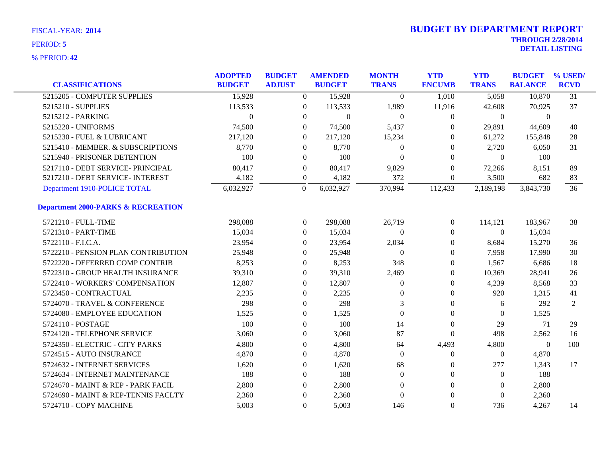| <b>CLASSIFICATIONS</b>                        | <b>ADOPTED</b><br><b>BUDGET</b> | <b>BUDGET</b><br><b>ADJUST</b> | <b>AMENDED</b><br><b>BUDGET</b> | <b>MONTH</b><br><b>TRANS</b> | <b>YTD</b><br><b>ENCUMB</b> | <b>YTD</b><br><b>TRANS</b> | <b>BUDGET</b><br><b>BALANCE</b> | % USED/<br><b>RCVD</b> |
|-----------------------------------------------|---------------------------------|--------------------------------|---------------------------------|------------------------------|-----------------------------|----------------------------|---------------------------------|------------------------|
| 5215205 - COMPUTER SUPPLIES                   | 15,928                          | $\Omega$                       | 15,928                          | $\theta$                     | 1,010                       | 5,058                      | 10,870                          | $\overline{31}$        |
| 5215210 - SUPPLIES                            | 113,533                         | $\overline{0}$                 | 113,533                         | 1,989                        | 11,916                      | 42,608                     | 70,925                          | 37                     |
| 5215212 - PARKING                             | $\Omega$                        | $\overline{0}$                 | $\mathbf{0}$                    | $\mathbf{0}$                 | $\theta$                    | $\theta$                   | $\theta$                        |                        |
| 5215220 - UNIFORMS                            | 74,500                          | $\Omega$                       | 74,500                          | 5,437                        | $\Omega$                    | 29,891                     | 44,609                          | 40                     |
| 5215230 - FUEL & LUBRICANT                    | 217,120                         | $\Omega$                       | 217,120                         | 15,234                       | $\Omega$                    | 61,272                     | 155,848                         | 28                     |
| 5215410 - MEMBER. & SUBSCRIPTIONS             | 8,770                           | $\overline{0}$                 | 8,770                           | $\mathbf{0}$                 | $\theta$                    | 2,720                      | 6,050                           | 31                     |
| 5215940 - PRISONER DETENTION                  | 100                             | $\overline{0}$                 | 100                             | $\Omega$                     | $\Omega$                    | $\theta$                   | 100                             |                        |
| 5217110 - DEBT SERVICE- PRINCIPAL             | 80,417                          | $\overline{0}$                 | 80,417                          | 9,829                        | $\Omega$                    | 72,266                     | 8,151                           | 89                     |
| 5217210 - DEBT SERVICE- INTEREST              | 4,182                           | $\overline{0}$                 | 4,182                           | 372                          | $\theta$                    | 3,500                      | 682                             | 83                     |
| Department 1910-POLICE TOTAL                  | 6,032,927                       | $\boldsymbol{0}$               | 6,032,927                       | 370,994                      | 112,433                     | 2,189,198                  | 3,843,730                       | 36                     |
| <b>Department 2000-PARKS &amp; RECREATION</b> |                                 |                                |                                 |                              |                             |                            |                                 |                        |
| 5721210 - FULL-TIME                           | 298,088                         | $\overline{0}$                 | 298,088                         | 26,719                       | $\overline{0}$              | 114,121                    | 183,967                         | 38                     |
| 5721310 - PART-TIME                           | 15,034                          | $\overline{0}$                 | 15,034                          | $\mathbf{0}$                 | $\Omega$                    | $\theta$                   | 15,034                          |                        |
| 5722110 - F.I.C.A.                            | 23,954                          | $\overline{0}$                 | 23,954                          | 2,034                        | $\theta$                    | 8,684                      | 15,270                          | 36                     |
| 5722210 - PENSION PLAN CONTRIBUTION           | 25,948                          | $\overline{0}$                 | 25,948                          | $\theta$                     | $\boldsymbol{0}$            | 7,958                      | 17,990                          | 30                     |
| 5722220 - DEFERRED COMP CONTRIB               | 8,253                           | $\overline{0}$                 | 8,253                           | 348                          | $\theta$                    | 1,567                      | 6,686                           | 18                     |
| 5722310 - GROUP HEALTH INSURANCE              | 39,310                          | $\overline{0}$                 | 39,310                          | 2,469                        | $\theta$                    | 10,369                     | 28,941                          | 26                     |
| 5722410 - WORKERS' COMPENSATION               | 12,807                          | $\boldsymbol{0}$               | 12,807                          | $\mathbf{0}$                 | $\boldsymbol{0}$            | 4,239                      | 8,568                           | 33                     |
| 5723450 - CONTRACTUAL                         | 2,235                           | $\boldsymbol{0}$               | 2,235                           | $\mathbf{0}$                 | $\theta$                    | 920                        | 1,315                           | 41                     |
| 5724070 - TRAVEL & CONFERENCE                 | 298                             | $\overline{0}$                 | 298                             | 3                            | $\theta$                    | 6                          | 292                             | $\overline{2}$         |
| 5724080 - EMPLOYEE EDUCATION                  | 1,525                           | $\boldsymbol{0}$               | 1,525                           | $\Omega$                     | $\theta$                    | $\Omega$                   | 1,525                           |                        |
| 5724110 - POSTAGE                             | 100                             | $\boldsymbol{0}$               | 100                             | 14                           | $\boldsymbol{0}$            | 29                         | 71                              | 29                     |
| 5724120 - TELEPHONE SERVICE                   | 3,060                           | 0                              | 3,060                           | 87                           | $\boldsymbol{0}$            | 498                        | 2,562                           | 16                     |
| 5724350 - ELECTRIC - CITY PARKS               | 4,800                           | $\overline{0}$                 | 4,800                           | 64                           | 4,493                       | 4,800                      | $\theta$                        | 100                    |
| 5724515 - AUTO INSURANCE                      | 4,870                           | 0                              | 4,870                           | $\Omega$                     | $\boldsymbol{0}$            | $\overline{0}$             | 4,870                           |                        |
| 5724632 - INTERNET SERVICES                   | 1,620                           | $\boldsymbol{0}$               | 1,620                           | 68                           | $\mathbf{0}$                | 277                        | 1,343                           | 17                     |
| 5724634 - INTERNET MAINTENANCE                | 188                             | $\mathbf{0}$                   | 188                             | $\overline{0}$               | $\mathbf{0}$                | $\theta$                   | 188                             |                        |
| 5724670 - MAINT & REP - PARK FACIL            | 2,800                           | $\overline{0}$                 | 2,800                           | $\Omega$                     | $\theta$                    | $\Omega$                   | 2,800                           |                        |
| 5724690 - MAINT & REP-TENNIS FACLTY           | 2,360                           | $\theta$                       | 2,360                           | $\Omega$                     | $\Omega$                    | $\Omega$                   | 2,360                           |                        |
| 5724710 - COPY MACHINE                        | 5,003                           | $\overline{0}$                 | 5,003                           | 146                          | $\Omega$                    | 736                        | 4,267                           | 14                     |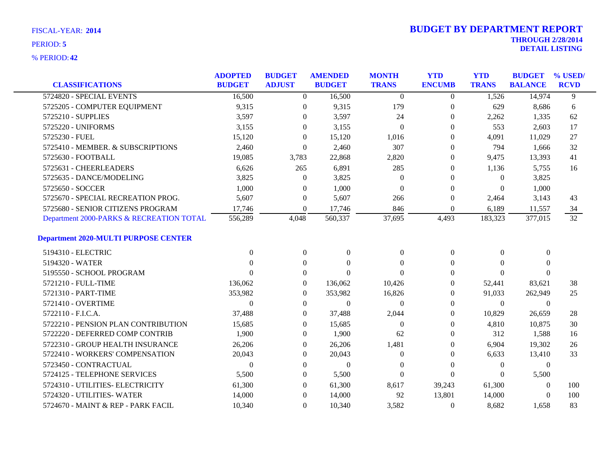| <b>CLASSIFICATIONS</b>                      | <b>ADOPTED</b><br><b>BUDGET</b> | <b>BUDGET</b><br><b>ADJUST</b> | <b>AMENDED</b><br><b>BUDGET</b> | <b>MONTH</b><br><b>TRANS</b> | <b>YTD</b><br><b>ENCUMB</b> | <b>YTD</b><br><b>TRANS</b> | <b>BUDGET</b><br><b>BALANCE</b> | % USED/<br><b>RCVD</b> |
|---------------------------------------------|---------------------------------|--------------------------------|---------------------------------|------------------------------|-----------------------------|----------------------------|---------------------------------|------------------------|
| 5724820 - SPECIAL EVENTS                    | 16,500                          | $\Omega$                       | 16,500                          | $\theta$                     | $\theta$                    | 1,526                      | 14,974                          | 9                      |
| 5725205 - COMPUTER EQUIPMENT                | 9,315                           | $\mathbf{0}$                   | 9,315                           | 179                          | $\mathbf{0}$                | 629                        | 8,686                           | 6                      |
| 5725210 - SUPPLIES                          | 3,597                           | $\mathbf{0}$                   | 3,597                           | 24                           | $\mathbf{0}$                | 2,262                      | 1,335                           | 62                     |
| 5725220 - UNIFORMS                          | 3,155                           | $\Omega$                       | 3,155                           | $\overline{0}$               | $\Omega$                    | 553                        | 2,603                           | 17                     |
| 5725230 - FUEL                              | 15,120                          | $\Omega$                       | 15,120                          | 1,016                        | $\Omega$                    | 4,091                      | 11,029                          | 27                     |
| 5725410 - MEMBER. & SUBSCRIPTIONS           | 2,460                           | $\boldsymbol{0}$               | 2,460                           | 307                          | $\mathbf{0}$                | 794                        | 1,666                           | 32                     |
| 5725630 - FOOTBALL                          | 19,085                          | 3,783                          | 22,868                          | 2,820                        | $\theta$                    | 9,475                      | 13,393                          | 41                     |
| 5725631 - CHEERLEADERS                      | 6,626                           | 265                            | 6,891                           | 285                          | $\Omega$                    | 1,136                      | 5,755                           | 16                     |
| 5725635 - DANCE/MODELING                    | 3,825                           | $\Omega$                       | 3,825                           | $\Omega$                     | $\Omega$                    | $\Omega$                   | 3,825                           |                        |
| 5725650 - SOCCER                            | 1,000                           | $\theta$                       | 1,000                           | $\theta$                     | $\overline{0}$              | $\mathbf{0}$               | 1,000                           |                        |
| 5725670 - SPECIAL RECREATION PROG.          | 5,607                           | $\boldsymbol{0}$               | 5,607                           | 266                          | $\boldsymbol{0}$            | 2,464                      | 3,143                           | 43                     |
| 5725680 - SENIOR CITIZENS PROGRAM           | 17,746                          | $\theta$                       | 17,746                          | 846                          | $\theta$                    | 6,189                      | 11,557                          | 34                     |
| Department 2000-PARKS & RECREATION TOTAL    | 556,289                         | 4,048                          | 560,337                         | 37,695                       | 4,493                       | 183,323                    | 377,015                         | 32                     |
| <b>Department 2020-MULTI PURPOSE CENTER</b> |                                 |                                |                                 |                              |                             |                            |                                 |                        |
| 5194310 - ELECTRIC                          | $\Omega$                        | $\mathbf{0}$                   | $\mathbf{0}$                    | $\Omega$                     | $\boldsymbol{0}$            | $\overline{0}$             | $\mathbf{0}$                    |                        |
| 5194320 - WATER                             | 0                               | $\Omega$                       | $\Omega$                        | $\Omega$                     | $\Omega$                    | $\Omega$                   | $\theta$                        |                        |
| 5195550 - SCHOOL PROGRAM                    | $\Omega$                        | $\Omega$                       | $\Omega$                        | $\Omega$                     | $\Omega$                    | $\Omega$                   | $\Omega$                        |                        |
| 5721210 - FULL-TIME                         | 136,062                         | $\overline{0}$                 | 136,062                         | 10,426                       | $\theta$                    | 52,441                     | 83,621                          | 38                     |
| 5721310 - PART-TIME                         | 353,982                         | $\overline{0}$                 | 353,982                         | 16,826                       | $\theta$                    | 91,033                     | 262,949                         | 25                     |
| 5721410 - OVERTIME                          | $\Omega$                        | $\Omega$                       | $\Omega$                        | $\Omega$                     | $\Omega$                    | $\theta$                   | $\theta$                        |                        |
| 5722110 - F.I.C.A.                          | 37,488                          | $\overline{0}$                 | 37,488                          | 2,044                        | $\Omega$                    | 10,829                     | 26,659                          | 28                     |
| 5722210 - PENSION PLAN CONTRIBUTION         | 15,685                          | $\mathbf{0}$                   | 15,685                          | $\theta$                     | $\overline{0}$              | 4,810                      | 10,875                          | 30                     |
| 5722220 - DEFERRED COMP CONTRIB             | 1,900                           | $\theta$                       | 1,900                           | 62                           | $\Omega$                    | 312                        | 1,588                           | 16                     |
| 5722310 - GROUP HEALTH INSURANCE            | 26,206                          | $\overline{0}$                 | 26,206                          | 1,481                        | $\theta$                    | 6,904                      | 19,302                          | 26                     |
| 5722410 - WORKERS' COMPENSATION             | 20,043                          | $\theta$                       | 20,043                          | $\Omega$                     | $\Omega$                    | 6,633                      | 13,410                          | 33                     |
| 5723450 - CONTRACTUAL                       | $\theta$                        | $\mathbf{0}$                   | $\theta$                        | $\overline{0}$               | $\overline{0}$              | $\boldsymbol{0}$           | $\boldsymbol{0}$                |                        |
| 5724125 - TELEPHONE SERVICES                | 5,500                           | $\boldsymbol{0}$               | 5,500                           | $\theta$                     | $\overline{0}$              | $\theta$                   | 5,500                           |                        |
| 5724310 - UTILITIES- ELECTRICITY            | 61,300                          | $\overline{0}$                 | 61,300                          | 8,617                        | 39,243                      | 61,300                     | $\theta$                        | 100                    |
| 5724320 - UTILITIES- WATER                  | 14,000                          | $\theta$                       | 14,000                          | 92                           | 13,801                      | 14,000                     | $\mathbf{0}$                    | 100                    |
| 5724670 - MAINT & REP - PARK FACIL          | 10,340                          | $\overline{0}$                 | 10,340                          | 3,582                        | $\mathbf{0}$                | 8,682                      | 1,658                           | 83                     |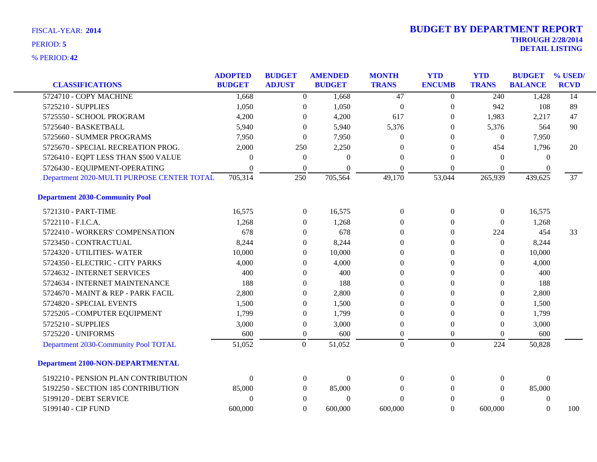| <b>CLASSIFICATIONS</b>                     | <b>ADOPTED</b><br><b>BUDGET</b> | <b>BUDGET</b><br><b>ADJUST</b> | <b>AMENDED</b><br><b>BUDGET</b> | <b>MONTH</b><br><b>TRANS</b> | <b>YTD</b><br><b>ENCUMB</b> | <b>YTD</b><br><b>TRANS</b> | <b>BUDGET</b><br><b>BALANCE</b> | % USED/<br><b>RCVD</b> |
|--------------------------------------------|---------------------------------|--------------------------------|---------------------------------|------------------------------|-----------------------------|----------------------------|---------------------------------|------------------------|
| 5724710 - COPY MACHINE                     | 1,668                           | $\overline{0}$                 | 1,668                           | 47                           | $\overline{0}$              | 240                        | 1,428                           | 14                     |
| 5725210 - SUPPLIES                         | 1,050                           | $\boldsymbol{0}$               | 1,050                           | $\boldsymbol{0}$             | $\boldsymbol{0}$            | 942                        | 108                             | 89                     |
| 5725550 - SCHOOL PROGRAM                   | 4,200                           | $\theta$                       | 4,200                           | 617                          | $\theta$                    | 1,983                      | 2,217                           | 47                     |
| 5725640 - BASKETBALL                       | 5,940                           | $\Omega$                       | 5,940                           | 5,376                        | 0                           | 5,376                      | 564                             | 90                     |
| 5725660 - SUMMER PROGRAMS                  | 7,950                           | $\theta$                       | 7,950                           | $\Omega$                     | $\Omega$                    | $\overline{0}$             | 7,950                           |                        |
| 5725670 - SPECIAL RECREATION PROG.         | 2,000                           | 250                            | 2,250                           | $\Omega$                     | $\Omega$                    | 454                        | 1,796                           | 20                     |
| 5726410 - EQPT LESS THAN \$500 VALUE       | $\theta$                        | $\boldsymbol{0}$               | $\theta$                        | $\Omega$                     | $\theta$                    | $\theta$                   | $\theta$                        |                        |
| 5726430 - EQUIPMENT-OPERATING              | $\Omega$                        | $\theta$                       | $\Omega$                        | $\Omega$                     | $\overline{0}$              | $\overline{0}$             | 0                               |                        |
| Department 2020-MULTI PURPOSE CENTER TOTAL | 705,314                         | 250                            | 705,564                         | 49,170                       | 53,044                      | 265,939                    | 439,625                         | 37                     |
| <b>Department 2030-Community Pool</b>      |                                 |                                |                                 |                              |                             |                            |                                 |                        |
| 5721310 - PART-TIME                        | 16,575                          | $\boldsymbol{0}$               | 16,575                          | $\theta$                     | $\overline{0}$              | $\boldsymbol{0}$           | 16,575                          |                        |
| 5722110 - F.I.C.A.                         | 1,268                           | $\Omega$                       | 1,268                           | $\Omega$                     | $\theta$                    | $\theta$                   | 1,268                           |                        |
| 5722410 - WORKERS' COMPENSATION            | 678                             | $\theta$                       | 678                             | $\Omega$                     | $\theta$                    | 224                        | 454                             | 33                     |
| 5723450 - CONTRACTUAL                      | 8,244                           | $\theta$                       | 8,244                           | $\Omega$                     | $\overline{0}$              | $\theta$                   | 8,244                           |                        |
| 5724320 - UTILITIES-WATER                  | 10,000                          | $\mathbf{0}$                   | 10,000                          | $\theta$                     | $\Omega$                    | $\theta$                   | 10,000                          |                        |
| 5724350 - ELECTRIC - CITY PARKS            | 4,000                           | 0                              | 4,000                           | $\theta$                     | $\theta$                    | $\overline{0}$             | 4,000                           |                        |
| 5724632 - INTERNET SERVICES                | 400                             | $\theta$                       | 400                             | $\Omega$                     | $\Omega$                    | $\theta$                   | 400                             |                        |
| 5724634 - INTERNET MAINTENANCE             | 188                             | $\Omega$                       | 188                             | $\Omega$                     | $\Omega$                    | $\theta$                   | 188                             |                        |
| 5724670 - MAINT & REP - PARK FACIL         | 2,800                           | $\theta$                       | 2,800                           | $\Omega$                     | $\Omega$                    | $\theta$                   | 2,800                           |                        |
| 5724820 - SPECIAL EVENTS                   | 1,500                           | $\theta$                       | 1,500                           | $\Omega$                     | $\theta$                    | $\overline{0}$             | 1,500                           |                        |
| 5725205 - COMPUTER EQUIPMENT               | 1,799                           | $\theta$                       | 1,799                           | $\Omega$                     | $\Omega$                    | $\theta$                   | 1,799                           |                        |
| 5725210 - SUPPLIES                         | 3,000                           | $\boldsymbol{0}$               | 3,000                           | $\Omega$                     | $\overline{0}$              | $\theta$                   | 3,000                           |                        |
| 5725220 - UNIFORMS                         | 600                             | $\boldsymbol{0}$               | 600                             | $\Omega$                     | $\theta$                    | $\Omega$                   | 600                             |                        |
| Department 2030-Community Pool TOTAL       | 51,052                          | $\overline{0}$                 | 51,052                          | $\overline{0}$               | $\mathbf{0}$                | 224                        | 50,828                          |                        |
| <b>Department 2100-NON-DEPARTMENTAL</b>    |                                 |                                |                                 |                              |                             |                            |                                 |                        |
| 5192210 - PENSION PLAN CONTRIBUTION        | $\Omega$                        | $\mathbf{0}$                   | $\theta$                        | $\Omega$                     | $\overline{0}$              | $\overline{0}$             | $\theta$                        |                        |
| 5192250 - SECTION 185 CONTRIBUTION         | 85,000                          | $\overline{0}$                 | 85,000                          | $\Omega$                     | $\overline{0}$              | $\theta$                   | 85,000                          |                        |
| 5199120 - DEBT SERVICE                     | $\theta$                        | $\theta$                       | $\theta$                        | $\Omega$                     | $\Omega$                    | $\Omega$                   | $\boldsymbol{0}$                |                        |
| 5199140 - CIP FUND                         | 600,000                         | $\Omega$                       | 600,000                         | 600,000                      | $\Omega$                    | 600,000                    | $\Omega$                        | 100                    |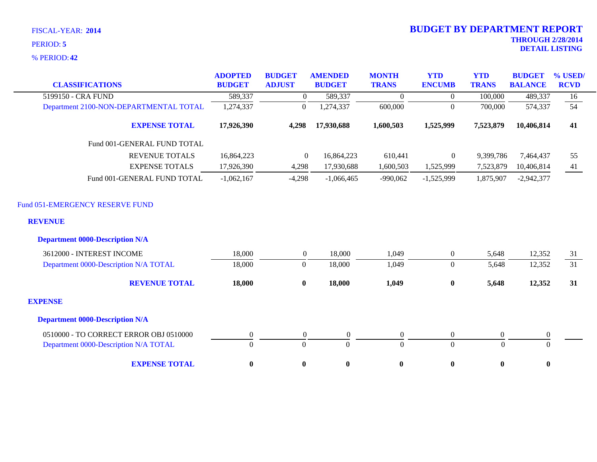**42** % PERIOD:

| <b>CLASSIFICATIONS</b>                            | <b>ADOPTED</b><br><b>BUDGET</b> | <b>BUDGET</b><br><b>ADJUST</b> | <b>AMENDED</b><br><b>BUDGET</b> | <b>MONTH</b><br><b>TRANS</b> | <b>YTD</b><br><b>ENCUMB</b> | <b>YTD</b><br><b>TRANS</b> | <b>BUDGET</b><br><b>BALANCE</b> | % USED/<br><b>RCVD</b> |
|---------------------------------------------------|---------------------------------|--------------------------------|---------------------------------|------------------------------|-----------------------------|----------------------------|---------------------------------|------------------------|
| 5199150 - CRA FUND                                | 589,337                         | $\overline{0}$                 | 589,337                         | $\Omega$                     | $\overline{0}$              | 100,000                    | 489,337                         | 16                     |
| Department 2100-NON-DEPARTMENTAL TOTAL            | 1,274,337                       | $\mathbf{0}$                   | 1,274,337                       | 600,000                      | $\Omega$                    | 700,000                    | 574,337                         | 54                     |
| <b>EXPENSE TOTAL</b>                              | 17,926,390                      | 4,298                          | 17,930,688                      | 1,600,503                    | 1,525,999                   | 7,523,879                  | 10,406,814                      | 41                     |
| Fund 001-GENERAL FUND TOTAL                       |                                 |                                |                                 |                              |                             |                            |                                 |                        |
| <b>REVENUE TOTALS</b>                             | 16,864,223                      | $\overline{0}$                 | 16,864,223                      | 610,441                      | $\overline{0}$              | 9,399,786                  | 7,464,437                       | 55                     |
| <b>EXPENSE TOTALS</b>                             | 17,926,390                      | 4,298                          | 17,930,688                      | 1,600,503                    | 1,525,999                   | 7,523,879                  | 10,406,814                      | 41                     |
| Fund 001-GENERAL FUND TOTAL                       | $-1,062,167$                    | $-4,298$                       | $-1,066,465$                    | $-990,062$                   | $-1,525,999$                | 1,875,907                  | $-2,942,377$                    |                        |
| Fund 051-EMERGENCY RESERVE FUND<br><b>REVENUE</b> |                                 |                                |                                 |                              |                             |                            |                                 |                        |
| <b>Department 0000-Description N/A</b>            |                                 |                                |                                 |                              |                             |                            |                                 |                        |
| 3612000 - INTEREST INCOME                         | 18,000                          | $\overline{0}$                 | 18,000                          | 1,049                        | $\boldsymbol{0}$            | 5,648                      | 12,352                          | 31                     |
| Department 0000-Description N/A TOTAL             | 18,000                          | $\mathbf{0}$                   | 18,000                          | 1,049                        | $\boldsymbol{0}$            | 5,648                      | 12,352                          | 31                     |
| <b>REVENUE TOTAL</b>                              | 18,000                          | $\bf{0}$                       | 18,000                          | 1,049                        | $\bf{0}$                    | 5,648                      | 12,352                          | 31                     |
| <b>EXPENSE</b>                                    |                                 |                                |                                 |                              |                             |                            |                                 |                        |
| <b>Department 0000-Description N/A</b>            |                                 |                                |                                 |                              |                             |                            |                                 |                        |
| 0510000 - TO CORRECT ERROR OBJ 0510000            | $\boldsymbol{0}$                | $\boldsymbol{0}$               | $\boldsymbol{0}$                | $\boldsymbol{0}$             | $\boldsymbol{0}$            | $\mathbf{0}$               | $\boldsymbol{0}$                |                        |
| Department 0000-Description N/A TOTAL             | $\theta$                        | $\Omega$                       | $\Omega$                        | $\Omega$                     | $\overline{0}$              | $\Omega$                   | $\Omega$                        |                        |
| <b>EXPENSE TOTAL</b>                              | $\bf{0}$                        | $\boldsymbol{0}$               | $\boldsymbol{0}$                | $\pmb{0}$                    | $\bf{0}$                    | $\bf{0}$                   | $\bf{0}$                        |                        |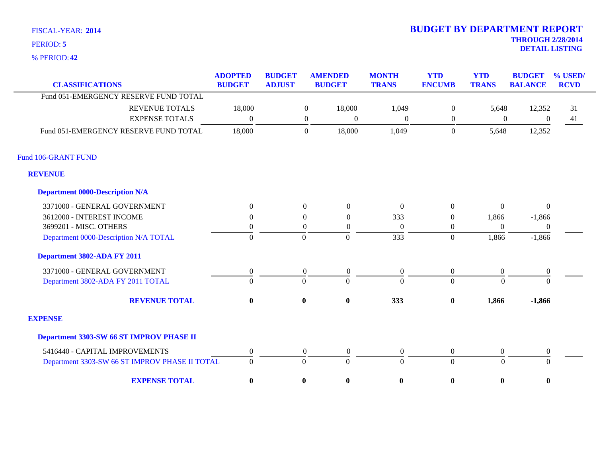**42** % PERIOD:

Fund 106-GRANT FUND

**REVENUE**

### **THROUGH 2/28/2014 DETAIL LISTING** PERIOD: **<sup>5</sup> 2014 BUDGET BY DEPARTMENT REPORT**

| $6$ PERIOD: 42                         |                                 |                                |                |                                 |                              |                             |                            |                                 |                           |
|----------------------------------------|---------------------------------|--------------------------------|----------------|---------------------------------|------------------------------|-----------------------------|----------------------------|---------------------------------|---------------------------|
| <b>CLASSIFICATIONS</b>                 | <b>ADOPTED</b><br><b>BUDGET</b> | <b>BUDGET</b><br><b>ADJUST</b> |                | <b>AMENDED</b><br><b>BUDGET</b> | <b>MONTH</b><br><b>TRANS</b> | <b>YTD</b><br><b>ENCUMB</b> | <b>YTD</b><br><b>TRANS</b> | <b>BUDGET</b><br><b>BALANCE</b> | $\%$ USED/<br><b>RCVD</b> |
| Fund 051-EMERGENCY RESERVE FUND TOTAL  |                                 |                                |                |                                 |                              |                             |                            |                                 |                           |
| <b>REVENUE TOTALS</b>                  | 18,000                          |                                | $\overline{0}$ | 18,000                          | 1,049                        | $\overline{0}$              | 5,648                      | 12,352                          | 31                        |
| <b>EXPENSE TOTALS</b>                  | $\boldsymbol{0}$                |                                | $\overline{0}$ | $\theta$                        | $\overline{0}$               | $\theta$                    | $\boldsymbol{0}$           | $\theta$                        | 41                        |
| Fund 051-EMERGENCY RESERVE FUND TOTAL  | 18,000                          |                                | $\mathbf{0}$   | 18,000                          | 1,049                        | $\overline{0}$              | 5,648                      | 12,352                          |                           |
| <b>106-GRANT FUND</b>                  |                                 |                                |                |                                 |                              |                             |                            |                                 |                           |
| EVENUE                                 |                                 |                                |                |                                 |                              |                             |                            |                                 |                           |
| <b>Department 0000-Description N/A</b> |                                 |                                |                |                                 |                              |                             |                            |                                 |                           |
| 3371000 - GENERAL GOVERNMENT           | $\Omega$                        |                                | $\theta$       | $\theta$                        | $\Omega$                     | $\theta$                    | $\theta$                   | $\theta$                        |                           |
| 3612000 - INTEREST INCOME              | $\Omega$                        |                                | $\Omega$       | $\Omega$                        | 333                          | 0                           | 1,866                      | $-1,866$                        |                           |
| 3699201 - MISC. OTHERS                 | $\theta$                        |                                | $\Omega$       | $\Omega$                        | $\overline{0}$               | 0                           | 0                          | $\Omega$                        |                           |
| Department 0000-Description N/A TOTAL  |                                 |                                | 0              | $\Omega$                        | 333                          | $\theta$                    | .866                       | $-1,866$                        |                           |

#### **Department 3802-ADA FY 2011**

| Department 3802-ADA FY 2011                    |          |          |              |              |              |          |          |
|------------------------------------------------|----------|----------|--------------|--------------|--------------|----------|----------|
| 3371000 - GENERAL GOVERNMENT                   |          | $\Omega$ | $\Omega$     | $\Omega$     |              |          | $\Omega$ |
| Department 3802-ADA FY 2011 TOTAL              | 0        |          |              | 0            |              | $\Omega$ | -0       |
| <b>REVENUE TOTAL</b>                           | $\bf{0}$ | 0        | $\mathbf{0}$ | 333          | $\mathbf{0}$ | 1,866    | $-1,866$ |
| <b>EXPENSE</b>                                 |          |          |              |              |              |          |          |
| Department 3303-SW 66 ST IMPROV PHASE II       |          |          |              |              |              |          |          |
| 5416440 - CAPITAL IMPROVEMENTS                 |          | $\Omega$ | 0            | $\Omega$     |              |          | $\Omega$ |
| Department 3303-SW 66 ST IMPROV PHASE II TOTAL |          |          |              | $\mathbf{0}$ |              | $\theta$ | $\Omega$ |
| <b>EXPENSE TOTAL</b>                           | $\bf{0}$ |          | $\mathbf{0}$ | 0            | 0            |          | $\bf{0}$ |

Department 0000-Description N/A TOTAL  $\qquad \qquad 0 \qquad \qquad 0 \qquad \qquad 0 \qquad \qquad 333 \qquad \qquad 0 \qquad \qquad 1,866 \qquad \qquad -1,866$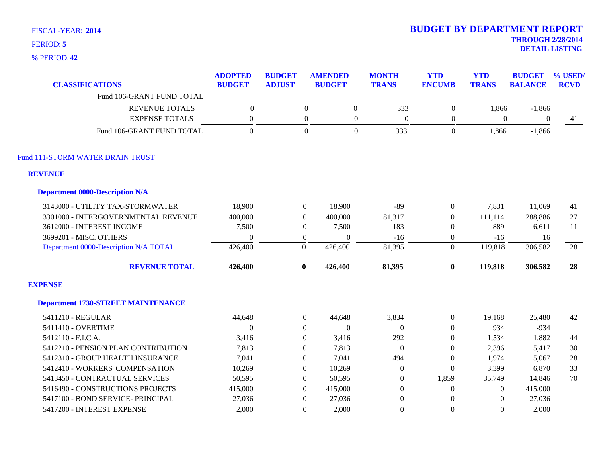**42** % PERIOD:

| <b>CLASSIFICATIONS</b>                    | <b>ADOPTED</b><br><b>BUDGET</b> | <b>BUDGET</b><br><b>ADJUST</b> |                  | <b>AMENDED</b><br><b>BUDGET</b> | <b>MONTH</b><br><b>TRANS</b> | <b>YTD</b><br><b>ENCUMB</b> | <b>YTD</b><br><b>TRANS</b> | <b>BUDGET</b><br><b>BALANCE</b> | % USED/<br><b>RCVD</b> |
|-------------------------------------------|---------------------------------|--------------------------------|------------------|---------------------------------|------------------------------|-----------------------------|----------------------------|---------------------------------|------------------------|
| Fund 106-GRANT FUND TOTAL                 |                                 |                                |                  |                                 |                              |                             |                            |                                 |                        |
| <b>REVENUE TOTALS</b>                     | $\boldsymbol{0}$                |                                | $\boldsymbol{0}$ | $\boldsymbol{0}$                | 333                          | $\boldsymbol{0}$            | 1,866                      | $-1,866$                        |                        |
| <b>EXPENSE TOTALS</b>                     | $\boldsymbol{0}$                |                                | $\boldsymbol{0}$ | $\boldsymbol{0}$                | $\boldsymbol{0}$             | $\boldsymbol{0}$            | $\boldsymbol{0}$           | $\boldsymbol{0}$                | 41                     |
| Fund 106-GRANT FUND TOTAL                 | $\mathbf{0}$                    |                                | $\Omega$         | $\overline{0}$                  | 333                          | $\overline{0}$              | 1,866                      | $-1,866$                        |                        |
| Fund 111-STORM WATER DRAIN TRUST          |                                 |                                |                  |                                 |                              |                             |                            |                                 |                        |
| <b>REVENUE</b>                            |                                 |                                |                  |                                 |                              |                             |                            |                                 |                        |
| <b>Department 0000-Description N/A</b>    |                                 |                                |                  |                                 |                              |                             |                            |                                 |                        |
| 3143000 - UTILITY TAX-STORMWATER          | 18,900                          | $\boldsymbol{0}$               |                  | 18,900                          | $-89$                        | $\boldsymbol{0}$            | 7,831                      | 11,069                          | 41                     |
| 3301000 - INTERGOVERNMENTAL REVENUE       | 400,000                         | $\boldsymbol{0}$               |                  | 400,000                         | 81,317                       | $\boldsymbol{0}$            | 111,114                    | 288,886                         | 27                     |
| 3612000 - INTEREST INCOME                 | 7,500                           | $\boldsymbol{0}$               |                  | 7,500                           | 183                          | $\boldsymbol{0}$            | 889                        | 6,611                           | 11                     |
| 3699201 - MISC. OTHERS                    | $\theta$                        | $\boldsymbol{0}$               |                  | $\Omega$                        | $-16$                        | $\boldsymbol{0}$            | $-16$                      | 16                              |                        |
| Department 0000-Description N/A TOTAL     | 426,400                         | $\overline{0}$                 |                  | 426,400                         | 81,395                       | $\overline{0}$              | 119,818                    | 306,582                         | 28                     |
| <b>REVENUE TOTAL</b>                      | 426,400                         | $\bf{0}$                       |                  | 426,400                         | 81,395                       | $\bf{0}$                    | 119,818                    | 306,582                         | 28                     |
| <b>EXPENSE</b>                            |                                 |                                |                  |                                 |                              |                             |                            |                                 |                        |
| <b>Department 1730-STREET MAINTENANCE</b> |                                 |                                |                  |                                 |                              |                             |                            |                                 |                        |
| 5411210 - REGULAR                         | 44,648                          | $\boldsymbol{0}$               |                  | 44,648                          | 3,834                        | $\boldsymbol{0}$            | 19,168                     | 25,480                          | 42                     |
| 5411410 - OVERTIME                        | $\boldsymbol{0}$                | $\boldsymbol{0}$               |                  | $\boldsymbol{0}$                | $\boldsymbol{0}$             | $\boldsymbol{0}$            | 934                        | $-934$                          |                        |
| 5412110 - F.I.C.A.                        | 3,416                           | $\Omega$                       |                  | 3,416                           | 292                          | $\theta$                    | 1,534                      | 1,882                           | 44                     |
| 5412210 - PENSION PLAN CONTRIBUTION       | 7,813                           | $\overline{0}$                 |                  | 7,813                           | $\mathbf{0}$                 | $\theta$                    | 2,396                      | 5,417                           | 30                     |
| 5412310 - GROUP HEALTH INSURANCE          | 7,041                           | $\Omega$                       |                  | 7,041                           | 494                          | $\Omega$                    | 1,974                      | 5,067                           | 28                     |
| 5412410 - WORKERS' COMPENSATION           | 10,269                          | $\overline{0}$                 |                  | 10,269                          | $\boldsymbol{0}$             | $\mathbf{0}$                | 3,399                      | 6,870                           | 33                     |
| 5413450 - CONTRACTUAL SERVICES            | 50,595                          | $\overline{0}$                 |                  | 50,595                          | $\boldsymbol{0}$             | 1,859                       | 35,749                     | 14,846                          | 70                     |
| 5416490 - CONSTRUCTIONS PROJECTS          | 415,000                         | $\Omega$                       |                  | 415,000                         | $\theta$                     | $\theta$                    | $\Omega$                   | 415,000                         |                        |
| 5417100 - BOND SERVICE- PRINCIPAL         | 27,036                          | $\Omega$                       |                  | 27,036                          | $\boldsymbol{0}$             | $\boldsymbol{0}$            | $\Omega$                   | 27,036                          |                        |
| 5417200 - INTEREST EXPENSE                | 2,000                           | $\Omega$                       |                  | 2,000                           | $\overline{0}$               | $\Omega$                    | $\Omega$                   | 2,000                           |                        |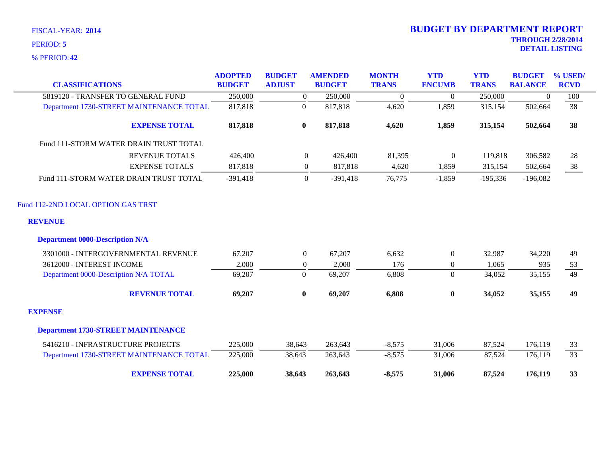**42** % PERIOD:

| <b>CLASSIFICATIONS</b>                    | <b>ADOPTED</b><br><b>BUDGET</b> | <b>BUDGET</b><br><b>ADJUST</b> | <b>AMENDED</b><br><b>BUDGET</b> | <b>MONTH</b><br><b>TRANS</b> | <b>YTD</b><br><b>ENCUMB</b> | <b>YTD</b><br><b>TRANS</b> | <b>BUDGET</b><br><b>BALANCE</b> | % USED/<br><b>RCVD</b> |
|-------------------------------------------|---------------------------------|--------------------------------|---------------------------------|------------------------------|-----------------------------|----------------------------|---------------------------------|------------------------|
| 5819120 - TRANSFER TO GENERAL FUND        | 250,000                         |                                | $\overline{0}$<br>250,000       | $\overline{0}$               | $\overline{0}$              | 250,000                    | $\overline{0}$                  | 100                    |
| Department 1730-STREET MAINTENANCE TOTAL  | 817,818                         | $\boldsymbol{0}$               | 817,818                         | 4,620                        | 1,859                       | 315,154                    | 502,664                         | 38                     |
| <b>EXPENSE TOTAL</b>                      | 817,818                         | $\bf{0}$                       | 817,818                         | 4,620                        | 1,859                       | 315,154                    | 502,664                         | 38                     |
| Fund 111-STORM WATER DRAIN TRUST TOTAL    |                                 |                                |                                 |                              |                             |                            |                                 |                        |
| <b>REVENUE TOTALS</b>                     | 426,400                         |                                | $\overline{0}$<br>426,400       | 81,395                       | $\mathbf{0}$                | 119,818                    | 306,582                         | 28                     |
| <b>EXPENSE TOTALS</b>                     | 817,818                         |                                | 817,818<br>$\mathbf{0}$         | 4,620                        | 1,859                       | 315,154                    | 502,664                         | 38                     |
| Fund 111-STORM WATER DRAIN TRUST TOTAL    | $-391,418$                      |                                | $\overline{0}$<br>$-391,418$    | 76,775                       | $-1,859$                    | $-195,336$                 | $-196,082$                      |                        |
| Fund 112-2ND LOCAL OPTION GAS TRST        |                                 |                                |                                 |                              |                             |                            |                                 |                        |
| <b>REVENUE</b>                            |                                 |                                |                                 |                              |                             |                            |                                 |                        |
| <b>Department 0000-Description N/A</b>    |                                 |                                |                                 |                              |                             |                            |                                 |                        |
| 3301000 - INTERGOVERNMENTAL REVENUE       | 67,207                          |                                | $\overline{0}$<br>67,207        | 6,632                        | $\boldsymbol{0}$            | 32,987                     | 34,220                          | 49                     |
| 3612000 - INTEREST INCOME                 | 2,000                           |                                | 2,000<br>$\overline{0}$         | 176                          | $\overline{0}$              | 1,065                      | 935                             | 53                     |
| Department 0000-Description N/A TOTAL     | 69,207                          | $\boldsymbol{0}$               | 69,207                          | 6,808                        | $\overline{0}$              | 34,052                     | 35,155                          | 49                     |
| <b>REVENUE TOTAL</b>                      | 69,207                          | $\bf{0}$                       | 69,207                          | 6,808                        | $\bf{0}$                    | 34,052                     | 35,155                          | 49                     |
| <b>EXPENSE</b>                            |                                 |                                |                                 |                              |                             |                            |                                 |                        |
| <b>Department 1730-STREET MAINTENANCE</b> |                                 |                                |                                 |                              |                             |                            |                                 |                        |
| 5416210 - INFRASTRUCTURE PROJECTS         | 225,000                         | 38,643                         | 263,643                         | $-8,575$                     | 31,006                      | 87,524                     | 176,119                         | 33                     |
| Department 1730-STREET MAINTENANCE TOTAL  | 225,000                         | 38,643                         | 263,643                         | $-8,575$                     | 31,006                      | 87,524                     | 176,119                         | 33                     |
| <b>EXPENSE TOTAL</b>                      | 225,000                         | 38,643                         | 263,643                         | $-8,575$                     | 31,006                      | 87,524                     | 176,119                         | 33                     |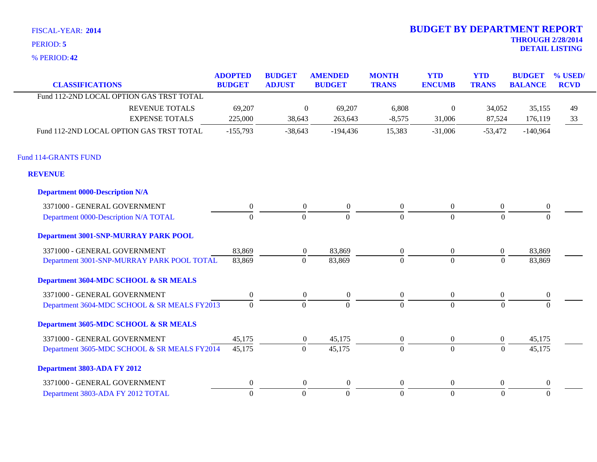**42** % PERIOD:

| <b>CLASSIFICATIONS</b>                       | <b>ADOPTED</b><br><b>BUDGET</b> | <b>BUDGET</b><br><b>ADJUST</b> | <b>AMENDED</b><br><b>BUDGET</b> | <b>MONTH</b><br><b>TRANS</b> | <b>YTD</b><br><b>ENCUMB</b> | <b>YTD</b><br><b>TRANS</b> | <b>BUDGET</b><br><b>BALANCE</b> | % USED/<br><b>RCVD</b> |
|----------------------------------------------|---------------------------------|--------------------------------|---------------------------------|------------------------------|-----------------------------|----------------------------|---------------------------------|------------------------|
| Fund 112-2ND LOCAL OPTION GAS TRST TOTAL     |                                 |                                |                                 |                              |                             |                            |                                 |                        |
| <b>REVENUE TOTALS</b>                        | 69,207                          |                                | $\overline{0}$<br>69,207        | 6,808                        | $\mathbf{0}$                | 34,052                     | 35,155                          | 49                     |
| <b>EXPENSE TOTALS</b>                        | 225,000                         | 38,643                         | 263,643                         | $-8,575$                     | 31,006                      | 87,524                     | 176,119                         | 33                     |
| Fund 112-2ND LOCAL OPTION GAS TRST TOTAL     | $-155,793$                      | $-38,643$                      | $-194,436$                      | 15,383                       | $-31,006$                   | $-53,472$                  | $-140,964$                      |                        |
| <b>Fund 114-GRANTS FUND</b>                  |                                 |                                |                                 |                              |                             |                            |                                 |                        |
| <b>REVENUE</b>                               |                                 |                                |                                 |                              |                             |                            |                                 |                        |
| <b>Department 0000-Description N/A</b>       |                                 |                                |                                 |                              |                             |                            |                                 |                        |
| 3371000 - GENERAL GOVERNMENT                 | $\boldsymbol{0}$                | $\boldsymbol{0}$               | $\boldsymbol{0}$                | $\boldsymbol{0}$             | $\boldsymbol{0}$            | $\boldsymbol{0}$           | $\boldsymbol{0}$                |                        |
| Department 0000-Description N/A TOTAL        | $\Omega$                        | $\Omega$                       | $\overline{0}$                  | $\mathbf{0}$                 | $\overline{0}$              | $\Omega$                   | $\Omega$                        |                        |
| Department 3001-SNP-MURRAY PARK POOL         |                                 |                                |                                 |                              |                             |                            |                                 |                        |
| 3371000 - GENERAL GOVERNMENT                 | 83,869                          | $\boldsymbol{0}$               | 83,869                          | $\boldsymbol{0}$             | $\boldsymbol{0}$            | $\boldsymbol{0}$           | 83,869                          |                        |
| Department 3001-SNP-MURRAY PARK POOL TOTAL   | 83,869                          | $\Omega$                       | 83,869                          | $\Omega$                     | $\overline{0}$              | $\Omega$                   | 83,869                          |                        |
| Department 3604-MDC SCHOOL & SR MEALS        |                                 |                                |                                 |                              |                             |                            |                                 |                        |
| 3371000 - GENERAL GOVERNMENT                 | $\theta$                        | $\boldsymbol{0}$               | $\boldsymbol{0}$                | $\boldsymbol{0}$             | $\boldsymbol{0}$            | $\boldsymbol{0}$           | $\boldsymbol{0}$                |                        |
| Department 3604-MDC SCHOOL & SR MEALS FY2013 | $\overline{0}$                  | $\overline{0}$                 | $\Omega$                        | $\Omega$                     | $\overline{0}$              | $\Omega$                   | $\Omega$                        |                        |
| Department 3605-MDC SCHOOL & SR MEALS        |                                 |                                |                                 |                              |                             |                            |                                 |                        |
| 3371000 - GENERAL GOVERNMENT                 | 45,175                          | $\overline{0}$                 | 45,175                          | $\boldsymbol{0}$             | $\overline{0}$              | $\boldsymbol{0}$           | 45,175                          |                        |
| Department 3605-MDC SCHOOL & SR MEALS FY2014 | 45,175                          | $\mathbf{0}$                   | 45,175                          | $\mathbf{0}$                 | $\overline{0}$              | $\mathbf{0}$               | 45,175                          |                        |
| Department 3803-ADA FY 2012                  |                                 |                                |                                 |                              |                             |                            |                                 |                        |
| 3371000 - GENERAL GOVERNMENT                 | $\theta$                        | $\overline{0}$                 | $\overline{0}$                  | $\mathbf{0}$                 | $\overline{0}$              | $\overline{0}$             | $\boldsymbol{0}$                |                        |
| Department 3803-ADA FY 2012 TOTAL            | $\Omega$                        | $\Omega$                       | $\Omega$                        | $\theta$                     | $\overline{0}$              | $\Omega$                   | $\theta$                        |                        |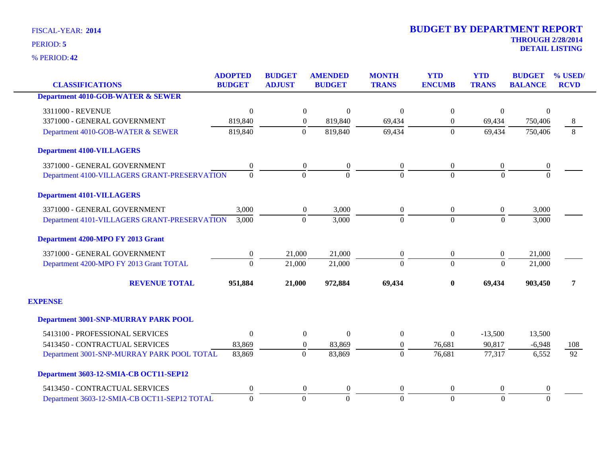**42** % PERIOD:

| <b>CLASSIFICATIONS</b>                       | <b>ADOPTED</b><br><b>BUDGET</b> | <b>BUDGET</b><br><b>ADJUST</b> | <b>AMENDED</b><br><b>BUDGET</b> | <b>MONTH</b><br><b>TRANS</b> | <b>YTD</b><br><b>ENCUMB</b> | <b>YTD</b><br><b>TRANS</b> | <b>BUDGET</b><br><b>BALANCE</b> | % USED/<br><b>RCVD</b> |
|----------------------------------------------|---------------------------------|--------------------------------|---------------------------------|------------------------------|-----------------------------|----------------------------|---------------------------------|------------------------|
| <b>Department 4010-GOB-WATER &amp; SEWER</b> |                                 |                                |                                 |                              |                             |                            |                                 |                        |
| 3311000 - REVENUE                            | $\theta$                        | $\boldsymbol{0}$               | $\overline{0}$                  | $\mathbf{0}$                 | $\boldsymbol{0}$            | $\overline{0}$             | $\theta$                        |                        |
| 3371000 - GENERAL GOVERNMENT                 | 819,840                         | $\Omega$                       | 819,840                         | 69,434                       | $\Omega$                    | 69,434                     | 750,406                         | 8                      |
| Department 4010-GOB-WATER & SEWER            | 819,840                         | $\Omega$                       | 819,840                         | 69,434                       | $\overline{0}$              | 69,434                     | 750,406                         | 8                      |
| <b>Department 4100-VILLAGERS</b>             |                                 |                                |                                 |                              |                             |                            |                                 |                        |
| 3371000 - GENERAL GOVERNMENT                 | 0                               | $\overline{0}$                 | $\boldsymbol{0}$                | $\mathbf{0}$                 | $\overline{0}$              | $\boldsymbol{0}$           | $\boldsymbol{0}$                |                        |
| Department 4100-VILLAGERS GRANT-PRESERVATION | $\Omega$                        | $\Omega$                       | $\Omega$                        | $\Omega$                     | $\Omega$                    | $\Omega$                   | $\Omega$                        |                        |
| <b>Department 4101-VILLAGERS</b>             |                                 |                                |                                 |                              |                             |                            |                                 |                        |
| 3371000 - GENERAL GOVERNMENT                 | 3,000                           | $\boldsymbol{0}$               | 3,000                           | $\boldsymbol{0}$             | $\overline{0}$              | $\boldsymbol{0}$           | 3,000                           |                        |
| Department 4101-VILLAGERS GRANT-PRESERVATION | 3,000                           | $\Omega$                       | 3,000                           | $\overline{0}$               | $\Omega$                    | $\mathbf{0}$               | 3,000                           |                        |
| Department 4200-MPO FY 2013 Grant            |                                 |                                |                                 |                              |                             |                            |                                 |                        |
| 3371000 - GENERAL GOVERNMENT                 | $\boldsymbol{0}$                | 21,000                         | 21,000                          | $\boldsymbol{0}$             | $\boldsymbol{0}$            | $\boldsymbol{0}$           | 21,000                          |                        |
| Department 4200-MPO FY 2013 Grant TOTAL      | $\Omega$                        | 21,000                         | 21,000                          | $\Omega$                     | $\Omega$                    | $\Omega$                   | 21,000                          |                        |
| <b>REVENUE TOTAL</b>                         | 951,884                         | 21,000                         | 972,884                         | 69,434                       | $\bf{0}$                    | 69,434                     | 903,450                         | 7                      |
| <b>EXPENSE</b>                               |                                 |                                |                                 |                              |                             |                            |                                 |                        |
| <b>Department 3001-SNP-MURRAY PARK POOL</b>  |                                 |                                |                                 |                              |                             |                            |                                 |                        |
| 5413100 - PROFESSIONAL SERVICES              | $\Omega$                        | $\boldsymbol{0}$               | $\theta$                        | $\overline{0}$               | $\theta$                    | $-13,500$                  | 13,500                          |                        |
| 5413450 - CONTRACTUAL SERVICES               | 83,869                          | $\overline{0}$                 | 83,869                          | $\boldsymbol{0}$             | 76,681                      | 90,817                     | $-6,948$                        | 108                    |
| Department 3001-SNP-MURRAY PARK POOL TOTAL   | 83,869                          | $\overline{0}$                 | 83,869                          | $\Omega$                     | 76,681                      | 77,317                     | 6,552                           | $\overline{92}$        |
| Department 3603-12-SMIA-CB OCT11-SEP12       |                                 |                                |                                 |                              |                             |                            |                                 |                        |
| 5413450 - CONTRACTUAL SERVICES               | $\boldsymbol{0}$                | $\boldsymbol{0}$               | $\boldsymbol{0}$                | $\boldsymbol{0}$             | $\overline{0}$              | $\boldsymbol{0}$           | $\boldsymbol{0}$                |                        |
| Department 3603-12-SMIA-CB OCT11-SEP12 TOTAL | $\boldsymbol{0}$                | $\boldsymbol{0}$               | $\Omega$                        | $\boldsymbol{0}$             | $\overline{0}$              | $\Omega$                   | $\Omega$                        |                        |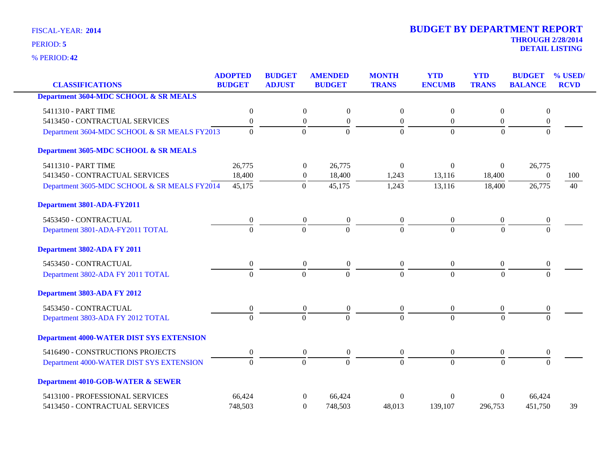**42** % PERIOD:

# **THROUGH 2/28/2014 2014 BUDGET BY DEPARTMENT REPORT**

**DETAIL LISTING** PERIOD: **<sup>5</sup>**

| <b>CLASSIFICATIONS</b>                          | <b>ADOPTED</b><br><b>BUDGET</b> | <b>BUDGET</b><br><b>ADJUST</b> | <b>AMENDED</b><br><b>BUDGET</b>    | <b>MONTH</b><br><b>TRANS</b> | <b>YTD</b><br><b>ENCUMB</b> | <b>YTD</b><br><b>TRANS</b> | <b>BUDGET</b><br><b>BALANCE</b> | % USED/<br><b>RCVD</b> |
|-------------------------------------------------|---------------------------------|--------------------------------|------------------------------------|------------------------------|-----------------------------|----------------------------|---------------------------------|------------------------|
| Department 3604-MDC SCHOOL & SR MEALS           |                                 |                                |                                    |                              |                             |                            |                                 |                        |
| 5411310 - PART TIME                             | $\boldsymbol{0}$                | $\boldsymbol{0}$               | $\boldsymbol{0}$                   | $\boldsymbol{0}$             | $\boldsymbol{0}$            | $\boldsymbol{0}$           | $\boldsymbol{0}$                |                        |
| 5413450 - CONTRACTUAL SERVICES                  | $\boldsymbol{0}$                | $\boldsymbol{0}$               | $\boldsymbol{0}$                   | $\boldsymbol{0}$             | $\boldsymbol{0}$            | $\boldsymbol{0}$           | $\boldsymbol{0}$                |                        |
| Department 3604-MDC SCHOOL & SR MEALS FY2013    | $\Omega$                        | $\mathbf{0}$                   | $\overline{0}$                     | $\Omega$                     | $\Omega$                    | $\Omega$                   | $\Omega$                        |                        |
| Department 3605-MDC SCHOOL & SR MEALS           |                                 |                                |                                    |                              |                             |                            |                                 |                        |
| 5411310 - PART TIME                             | 26,775                          | $\boldsymbol{0}$               | 26,775                             | $\Omega$                     | $\mathbf{0}$                | $\boldsymbol{0}$           | 26,775                          |                        |
| 5413450 - CONTRACTUAL SERVICES                  | 18,400                          | $\boldsymbol{0}$               | 18,400                             | 1,243                        | 13,116                      | 18,400                     | $\theta$                        | 100                    |
| Department 3605-MDC SCHOOL & SR MEALS FY2014    | 45,175                          | $\mathbf{0}$                   | 45,175                             | 1,243                        | 13,116                      | 18,400                     | 26,775                          | 40                     |
| Department 3801-ADA-FY2011                      |                                 |                                |                                    |                              |                             |                            |                                 |                        |
| 5453450 - CONTRACTUAL                           | $\boldsymbol{0}$                | $\boldsymbol{0}$               | $\boldsymbol{0}$                   | $\boldsymbol{0}$             | $\boldsymbol{0}$            | $\overline{0}$             | $\boldsymbol{0}$                |                        |
| Department 3801-ADA-FY2011 TOTAL                | $\theta$                        | $\theta$                       | $\theta$                           | $\Omega$                     | $\theta$                    | $\Omega$                   | $\theta$                        |                        |
| Department 3802-ADA FY 2011                     |                                 |                                |                                    |                              |                             |                            |                                 |                        |
| 5453450 - CONTRACTUAL                           | $\overline{0}$                  |                                | $\overline{0}$<br>$\boldsymbol{0}$ | $\overline{0}$               | $\boldsymbol{0}$            | $\overline{0}$             | $\boldsymbol{0}$                |                        |
| Department 3802-ADA FY 2011 TOTAL               | $\Omega$                        | $\mathbf{0}$                   | $\overline{0}$                     | $\Omega$                     | $\theta$                    | $\Omega$                   | $\theta$                        |                        |
| Department 3803-ADA FY 2012                     |                                 |                                |                                    |                              |                             |                            |                                 |                        |
| 5453450 - CONTRACTUAL                           | $\boldsymbol{0}$                | $\boldsymbol{0}$               | $\boldsymbol{0}$                   | $\overline{0}$               | $\mathbf{0}$                | $\overline{0}$             | $\boldsymbol{0}$                |                        |
| Department 3803-ADA FY 2012 TOTAL               | $\Omega$                        | $\mathbf{0}$                   | $\Omega$                           | $\Omega$                     | $\Omega$                    | $\Omega$                   | $\Omega$                        |                        |
| <b>Department 4000-WATER DIST SYS EXTENSION</b> |                                 |                                |                                    |                              |                             |                            |                                 |                        |
| 5416490 - CONSTRUCTIONS PROJECTS                | $\boldsymbol{0}$                | $\boldsymbol{0}$               | $\boldsymbol{0}$                   | $\overline{0}$               | $\mathbf{0}$                | $\overline{0}$             | 0                               |                        |
| Department 4000-WATER DIST SYS EXTENSION        | $\Omega$                        | $\overline{0}$                 | $\overline{0}$                     | $\Omega$                     | $\overline{0}$              | $\Omega$                   | $\mathbf{0}$                    |                        |
| <b>Department 4010-GOB-WATER &amp; SEWER</b>    |                                 |                                |                                    |                              |                             |                            |                                 |                        |
| 5413100 - PROFESSIONAL SERVICES                 | 66,424                          | $\Omega$                       | 66,424                             | $\Omega$                     | $\theta$                    | $\theta$                   | 66,424                          |                        |
| 5413450 - CONTRACTUAL SERVICES                  | 748,503                         | $\Omega$                       | 748,503                            | 48,013                       | 139,107                     | 296,753                    | 451,750                         | 39                     |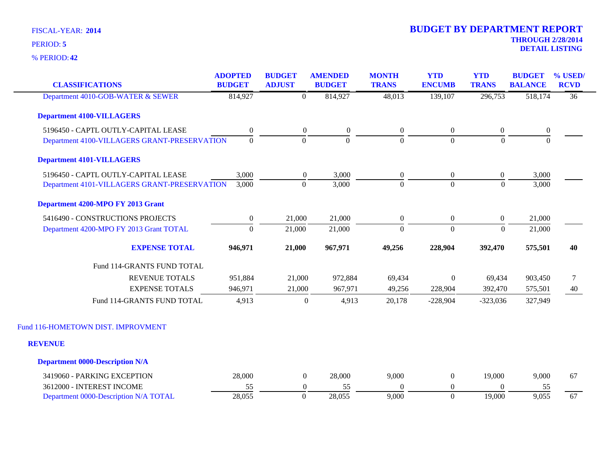| <b>CLASSIFICATIONS</b>                       | <b>ADOPTED</b><br><b>BUDGET</b> | <b>BUDGET</b><br><b>ADJUST</b> | <b>AMENDED</b><br><b>BUDGET</b> | <b>MONTH</b><br><b>TRANS</b> | <b>YTD</b><br><b>ENCUMB</b> | <b>YTD</b><br><b>TRANS</b> | <b>BUDGET</b><br><b>BALANCE</b> | % USED<br><b>RCVD</b> |
|----------------------------------------------|---------------------------------|--------------------------------|---------------------------------|------------------------------|-----------------------------|----------------------------|---------------------------------|-----------------------|
| Department 4010-GOB-WATER & SEWER            | 814,927                         | $\overline{0}$                 | 814,927                         | 48,013                       | 139,107                     | 296,753                    | 518,174                         | $\overline{36}$       |
| <b>Department 4100-VILLAGERS</b>             |                                 |                                |                                 |                              |                             |                            |                                 |                       |
| 5196450 - CAPTL OUTLY-CAPITAL LEASE          | $\boldsymbol{0}$                | $\boldsymbol{0}$               | $\boldsymbol{0}$                | $\boldsymbol{0}$             | $\overline{0}$              | $\boldsymbol{0}$           | $\boldsymbol{0}$                |                       |
| Department 4100-VILLAGERS GRANT-PRESERVATION | $\mathbf{0}$                    | $\mathbf{0}$                   | $\overline{0}$                  | $\mathbf{0}$                 | $\overline{0}$              | $\mathbf{0}$               | $\mathbf{0}$                    |                       |
| <b>Department 4101-VILLAGERS</b>             |                                 |                                |                                 |                              |                             |                            |                                 |                       |
| 5196450 - CAPTL OUTLY-CAPITAL LEASE          | 3,000                           | $\boldsymbol{0}$               | 3,000                           | $\boldsymbol{0}$             | $\overline{0}$              | $\boldsymbol{0}$           | 3,000                           |                       |
| Department 4101-VILLAGERS GRANT-PRESERVATION | 3,000                           | $\overline{0}$                 | 3,000                           | $\mathbf{0}$                 | $\overline{0}$              | $\theta$                   | 3,000                           |                       |
| Department 4200-MPO FY 2013 Grant            |                                 |                                |                                 |                              |                             |                            |                                 |                       |
| 5416490 - CONSTRUCTIONS PROJECTS             | $\boldsymbol{0}$                | 21,000                         | 21,000                          | $\boldsymbol{0}$             | $\overline{0}$              | $\boldsymbol{0}$           | 21,000                          |                       |
| Department 4200-MPO FY 2013 Grant TOTAL      | $\overline{0}$                  | 21,000                         | 21,000                          | $\Omega$                     | $\overline{0}$              | $\theta$                   | 21,000                          |                       |
| <b>EXPENSE TOTAL</b>                         | 946,971                         | 21,000                         | 967,971                         | 49,256                       | 228,904                     | 392,470                    | 575,501                         | 40                    |
| Fund 114-GRANTS FUND TOTAL                   |                                 |                                |                                 |                              |                             |                            |                                 |                       |
| <b>REVENUE TOTALS</b>                        | 951,884                         | 21,000                         | 972,884                         | 69,434                       | $\boldsymbol{0}$            | 69,434                     | 903,450                         | 7                     |
| <b>EXPENSE TOTALS</b>                        | 946,971                         | 21,000                         | 967,971                         | 49,256                       | 228,904                     | 392,470                    | 575,501                         | 40                    |
| Fund 114-GRANTS FUND TOTAL                   | 4,913                           | $\boldsymbol{0}$               | 4,913                           | 20,178                       | $-228,904$                  | $-323,036$                 | 327,949                         |                       |
| Fund 116-HOMETOWN DIST. IMPROVMENT           |                                 |                                |                                 |                              |                             |                            |                                 |                       |
| <b>REVENUE</b>                               |                                 |                                |                                 |                              |                             |                            |                                 |                       |
| <b>Department 0000-Description N/A</b>       |                                 |                                |                                 |                              |                             |                            |                                 |                       |
| 3419060 - PARKING EXCEPTION                  | 28,000                          | $\boldsymbol{0}$               | 28,000                          | 9,000                        | $\boldsymbol{0}$            | 19,000                     | 9,000                           | 67                    |
| 3612000 - INTEREST INCOME                    | 55                              | $\boldsymbol{0}$               | 55                              | $\Omega$                     | $\boldsymbol{0}$            | $\theta$                   | 55                              |                       |
| Department 0000-Description N/A TOTAL        | 28,055                          | $\mathbf{0}$                   | 28,055                          | 9,000                        | $\overline{0}$              | 19,000                     | 9,055                           | 67                    |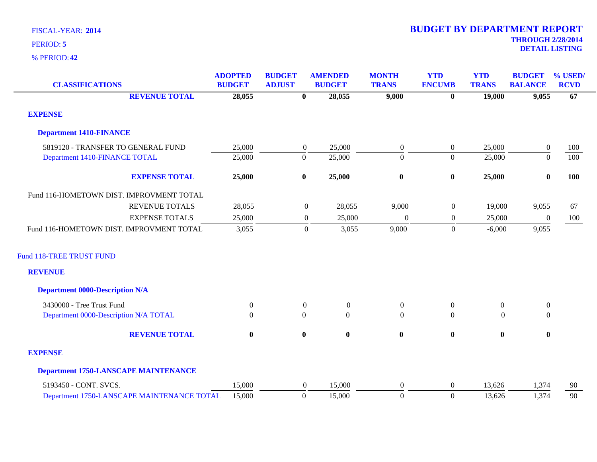| <b>CLASSIFICATIONS</b>                      | <b>ADOPTED</b><br><b>BUDGET</b> | <b>BUDGET</b><br><b>ADJUST</b> |                  | <b>AMENDED</b><br><b>BUDGET</b> | <b>MONTH</b><br><b>TRANS</b> | <b>YTD</b><br><b>ENCUMB</b> | <b>YTD</b><br><b>TRANS</b> | <b>BUDGET</b><br><b>BALANCE</b> | % USED/<br><b>RCVD</b> |
|---------------------------------------------|---------------------------------|--------------------------------|------------------|---------------------------------|------------------------------|-----------------------------|----------------------------|---------------------------------|------------------------|
| <b>REVENUE TOTAL</b>                        | 28,055                          |                                | $\bf{0}$         | 28,055                          | 9,000                        | $\bf{0}$                    | 19,000                     | 9,055                           | 67                     |
| <b>EXPENSE</b>                              |                                 |                                |                  |                                 |                              |                             |                            |                                 |                        |
| <b>Department 1410-FINANCE</b>              |                                 |                                |                  |                                 |                              |                             |                            |                                 |                        |
| 5819120 - TRANSFER TO GENERAL FUND          | 25,000                          |                                | $\overline{0}$   | 25,000                          | $\boldsymbol{0}$             | $\overline{0}$              | 25,000                     | $\boldsymbol{0}$                | 100                    |
| Department 1410-FINANCE TOTAL               | 25,000                          |                                | $\boldsymbol{0}$ | 25,000                          | $\mathbf{0}$                 | $\overline{0}$              | 25,000                     | $\boldsymbol{0}$                | 100                    |
| <b>EXPENSE TOTAL</b>                        | 25,000                          |                                | $\bf{0}$         | 25,000                          | $\bf{0}$                     | $\boldsymbol{0}$            | 25,000                     | $\bf{0}$                        | 100                    |
| Fund 116-HOMETOWN DIST. IMPROVMENT TOTAL    |                                 |                                |                  |                                 |                              |                             |                            |                                 |                        |
| <b>REVENUE TOTALS</b>                       | 28,055                          |                                | $\mathbf{0}$     | 28,055                          | 9,000                        | $\mathbf{0}$                | 19,000                     | 9,055                           | 67                     |
| <b>EXPENSE TOTALS</b>                       | 25,000                          |                                | $\boldsymbol{0}$ | 25,000                          | $\boldsymbol{0}$             | $\mathbf{0}$                | 25,000                     | $\boldsymbol{0}$                | 100                    |
| Fund 116-HOMETOWN DIST. IMPROVMENT TOTAL    | 3,055                           |                                | $\overline{0}$   | 3,055                           | 9,000                        | $\overline{0}$              | $-6,000$                   | 9,055                           |                        |
| Fund 118-TREE TRUST FUND                    |                                 |                                |                  |                                 |                              |                             |                            |                                 |                        |
| <b>REVENUE</b>                              |                                 |                                |                  |                                 |                              |                             |                            |                                 |                        |
| <b>Department 0000-Description N/A</b>      |                                 |                                |                  |                                 |                              |                             |                            |                                 |                        |
| 3430000 - Tree Trust Fund                   | $\overline{0}$                  |                                | $\overline{0}$   | $\boldsymbol{0}$                | $\overline{0}$               | $\overline{0}$              | $\overline{0}$             | $\boldsymbol{0}$                |                        |
| Department 0000-Description N/A TOTAL       | $\mathbf{0}$                    |                                | $\boldsymbol{0}$ | $\overline{0}$                  | $\overline{0}$               | $\overline{0}$              | $\theta$                   | $\overline{0}$                  |                        |
| <b>REVENUE TOTAL</b>                        | $\bf{0}$                        |                                | $\bf{0}$         | $\bf{0}$                        | $\bf{0}$                     | $\bf{0}$                    | $\bf{0}$                   | $\bf{0}$                        |                        |
| <b>EXPENSE</b>                              |                                 |                                |                  |                                 |                              |                             |                            |                                 |                        |
| <b>Department 1750-LANSCAPE MAINTENANCE</b> |                                 |                                |                  |                                 |                              |                             |                            |                                 |                        |
| 5193450 - CONT. SVCS.                       | 15,000                          |                                | $\overline{0}$   | 15,000                          | $\theta$                     | $\overline{0}$              | 13,626                     | 1,374                           | 90                     |
| Department 1750-LANSCAPE MAINTENANCE TOTAL  | 15,000                          |                                | $\boldsymbol{0}$ | 15,000                          | $\mathbf{0}$                 | $\overline{0}$              | 13,626                     | 1,374                           | 90                     |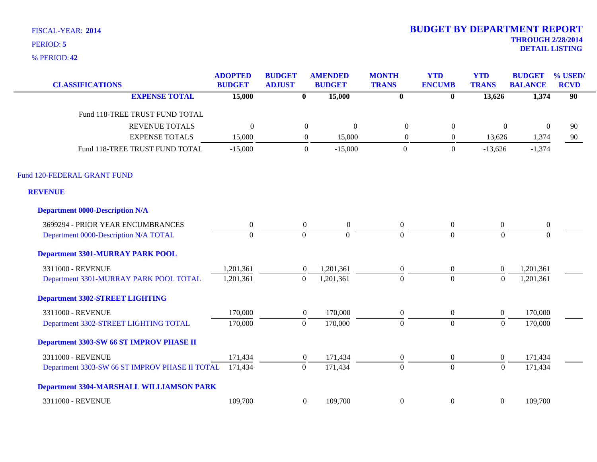**42** % PERIOD:

| <b>CLASSIFICATIONS</b>                          | <b>ADOPTED</b><br><b>BUDGET</b> | <b>BUDGET</b><br><b>ADJUST</b> | <b>AMENDED</b><br><b>BUDGET</b> | <b>MONTH</b><br><b>TRANS</b> | <b>YTD</b><br><b>ENCUMB</b> | <b>YTD</b><br><b>TRANS</b> | <b>BUDGET</b><br><b>BALANCE</b> | % USED/<br><b>RCVD</b> |
|-------------------------------------------------|---------------------------------|--------------------------------|---------------------------------|------------------------------|-----------------------------|----------------------------|---------------------------------|------------------------|
| <b>EXPENSE TOTAL</b>                            | 15,000                          | $\bf{0}$                       | 15,000                          | $\overline{\mathbf{0}}$      | $\bf{0}$                    | 13,626                     | 1,374                           | 90                     |
| Fund 118-TREE TRUST FUND TOTAL                  |                                 |                                |                                 |                              |                             |                            |                                 |                        |
| <b>REVENUE TOTALS</b>                           | $\theta$                        | $\mathbf{0}$                   | $\overline{0}$                  | $\theta$                     | $\mathbf{0}$                | $\Omega$                   | $\boldsymbol{0}$                | 90                     |
| <b>EXPENSE TOTALS</b>                           | 15,000                          | $\boldsymbol{0}$               | 15,000                          | $\boldsymbol{0}$             | $\boldsymbol{0}$            | 13,626                     | 1,374                           | 90                     |
| Fund 118-TREE TRUST FUND TOTAL                  | $-15,000$                       | $\boldsymbol{0}$               | $-15,000$                       | $\overline{0}$               | $\overline{0}$              | $-13,626$                  | $-1,374$                        |                        |
| Fund 120-FEDERAL GRANT FUND                     |                                 |                                |                                 |                              |                             |                            |                                 |                        |
| <b>REVENUE</b>                                  |                                 |                                |                                 |                              |                             |                            |                                 |                        |
| <b>Department 0000-Description N/A</b>          |                                 |                                |                                 |                              |                             |                            |                                 |                        |
| 3699294 - PRIOR YEAR ENCUMBRANCES               | $\boldsymbol{0}$                | $\boldsymbol{0}$               | $\overline{0}$                  | $\overline{0}$               | $\overline{0}$              | $\overline{0}$             | $\boldsymbol{0}$                |                        |
| Department 0000-Description N/A TOTAL           | $\overline{0}$                  | $\mathbf{0}$                   | $\overline{0}$                  | $\overline{0}$               | $\theta$                    | $\theta$                   | $\overline{0}$                  |                        |
| <b>Department 3301-MURRAY PARK POOL</b>         |                                 |                                |                                 |                              |                             |                            |                                 |                        |
| 3311000 - REVENUE                               | 1,201,361                       | $\overline{0}$                 | 1,201,361                       | $\boldsymbol{0}$             | $\boldsymbol{0}$            | $\mathbf{0}$               | 1,201,361                       |                        |
| Department 3301-MURRAY PARK POOL TOTAL          | 1,201,361                       | $\overline{0}$                 | 1,201,361                       | $\Omega$                     | $\theta$                    | $\mathbf{0}$               | 1,201,361                       |                        |
| <b>Department 3302-STREET LIGHTING</b>          |                                 |                                |                                 |                              |                             |                            |                                 |                        |
| 3311000 - REVENUE                               | 170,000                         | $\boldsymbol{0}$               | 170,000                         | $\boldsymbol{0}$             | $\boldsymbol{0}$            | $\boldsymbol{0}$           | 170,000                         |                        |
| Department 3302-STREET LIGHTING TOTAL           | 170,000                         | $\mathbf{0}$                   | 170,000                         | $\mathbf{0}$                 | $\overline{0}$              | $\boldsymbol{0}$           | 170,000                         |                        |
| Department 3303-SW 66 ST IMPROV PHASE II        |                                 |                                |                                 |                              |                             |                            |                                 |                        |
| 3311000 - REVENUE                               | 171,434                         | $\overline{0}$                 | 171,434                         | $\boldsymbol{0}$             | $\boldsymbol{0}$            | $\boldsymbol{0}$           | 171,434                         |                        |
| Department 3303-SW 66 ST IMPROV PHASE II TOTAL  | 171,434                         | $\overline{0}$                 | 171,434                         | $\Omega$                     | $\Omega$                    | $\mathbf{0}$               | 171,434                         |                        |
| <b>Department 3304-MARSHALL WILLIAMSON PARK</b> |                                 |                                |                                 |                              |                             |                            |                                 |                        |
| 3311000 - REVENUE                               | 109,700                         | $\boldsymbol{0}$               | 109,700                         | $\boldsymbol{0}$             | $\boldsymbol{0}$            | $\boldsymbol{0}$           | 109,700                         |                        |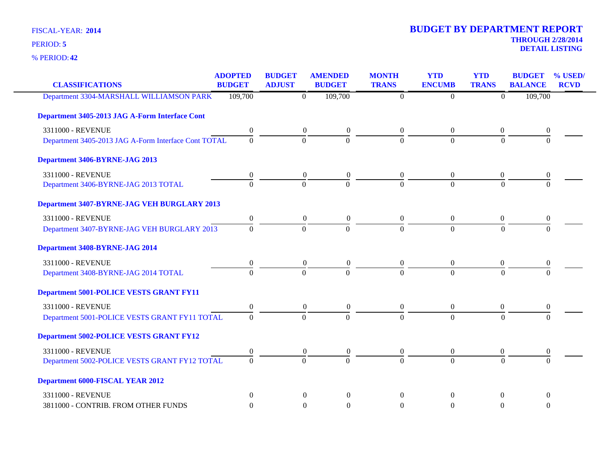**42** % PERIOD:

| <b>CLASSIFICATIONS</b>                               | <b>ADOPTED</b><br><b>BUDGET</b> | <b>BUDGET</b><br><b>ADJUST</b> | <b>AMENDED</b><br><b>BUDGET</b>      | <b>MONTH</b><br><b>TRANS</b> | <b>YTD</b><br><b>ENCUMB</b> | <b>YTD</b><br><b>TRANS</b> | <b>BUDGET</b><br><b>BALANCE</b> | % USED/<br><b>RCVD</b> |
|------------------------------------------------------|---------------------------------|--------------------------------|--------------------------------------|------------------------------|-----------------------------|----------------------------|---------------------------------|------------------------|
| Department 3304-MARSHALL WILLIAMSON PARK             | 109,700                         | $\overline{0}$                 | 109,700                              | $\theta$                     | $\theta$                    | $\Omega$                   | 109,700                         |                        |
| Department 3405-2013 JAG A-Form Interface Cont       |                                 |                                |                                      |                              |                             |                            |                                 |                        |
| 3311000 - REVENUE                                    | $\mathbf{0}$                    |                                | $\overline{0}$<br>$\boldsymbol{0}$   | $\overline{0}$               | $\overline{0}$              | $\overline{0}$             | $\overline{0}$                  |                        |
| Department 3405-2013 JAG A-Form Interface Cont TOTAL | $\Omega$                        | $\Omega$                       | $\theta$                             | $\Omega$                     | $\theta$                    | $\Omega$                   | $\Omega$                        |                        |
| Department 3406-BYRNE-JAG 2013                       |                                 |                                |                                      |                              |                             |                            |                                 |                        |
| 3311000 - REVENUE                                    | $\mathbf{0}$                    | $\boldsymbol{0}$               | $\boldsymbol{0}$                     | $\theta$                     | $\theta$                    | $\overline{0}$             | 0                               |                        |
| Department 3406-BYRNE-JAG 2013 TOTAL                 | $\Omega$                        | $\overline{0}$                 | $\Omega$                             | $\Omega$                     | $\theta$                    | $\Omega$                   | $\Omega$                        |                        |
| Department 3407-BYRNE-JAG VEH BURGLARY 2013          |                                 |                                |                                      |                              |                             |                            |                                 |                        |
| 3311000 - REVENUE                                    | $\boldsymbol{0}$                |                                | $\boldsymbol{0}$<br>$\boldsymbol{0}$ | $\boldsymbol{0}$             | $\boldsymbol{0}$            | $\boldsymbol{0}$           | $\boldsymbol{0}$                |                        |
| Department 3407-BYRNE-JAG VEH BURGLARY 2013          | $\Omega$                        | $\Omega$                       | $\Omega$                             | $\Omega$                     | $\Omega$                    | $\Omega$                   | $\Omega$                        |                        |
| Department 3408-BYRNE-JAG 2014                       |                                 |                                |                                      |                              |                             |                            |                                 |                        |
| 3311000 - REVENUE                                    | $\boldsymbol{0}$                | $\boldsymbol{0}$               | $\boldsymbol{0}$                     | $\theta$                     | $\boldsymbol{0}$            | $\boldsymbol{0}$           | 0                               |                        |
| Department 3408-BYRNE-JAG 2014 TOTAL                 | $\Omega$                        | $\Omega$                       | $\Omega$                             | $\Omega$                     | $\Omega$                    | $\Omega$                   | $\Omega$                        |                        |
| <b>Department 5001-POLICE VESTS GRANT FY11</b>       |                                 |                                |                                      |                              |                             |                            |                                 |                        |
| 3311000 - REVENUE                                    | $\boldsymbol{0}$                |                                | $\overline{0}$<br>$\boldsymbol{0}$   | $\overline{0}$               | $\mathbf{0}$                | $\overline{0}$             | 0                               |                        |
| Department 5001-POLICE VESTS GRANT FY11 TOTAL        | $\Omega$                        | $\Omega$                       | $\theta$                             | $\Omega$                     | $\theta$                    | $\Omega$                   | $\Omega$                        |                        |
| <b>Department 5002-POLICE VESTS GRANT FY12</b>       |                                 |                                |                                      |                              |                             |                            |                                 |                        |
| 3311000 - REVENUE                                    | $\boldsymbol{0}$                | $\boldsymbol{0}$               | $\boldsymbol{0}$                     | $\boldsymbol{0}$             | $\mathbf{0}$                | $\boldsymbol{0}$           | 0                               |                        |
| Department 5002-POLICE VESTS GRANT FY12 TOTAL        | $\Omega$                        | $\Omega$                       | $\Omega$                             | $\Omega$                     | $\Omega$                    | $\Omega$                   | $\Omega$                        |                        |
| <b>Department 6000-FISCAL YEAR 2012</b>              |                                 |                                |                                      |                              |                             |                            |                                 |                        |
| 3311000 - REVENUE                                    | $\Omega$                        | $\Omega$                       | $\Omega$                             | $\Omega$                     | $\Omega$                    | $\theta$                   | $\Omega$                        |                        |
| 3811000 - CONTRIB. FROM OTHER FUNDS                  | $\Omega$                        | $\Omega$                       | $\theta$                             | $\Omega$                     | $\Omega$                    | $\Omega$                   | $\theta$                        |                        |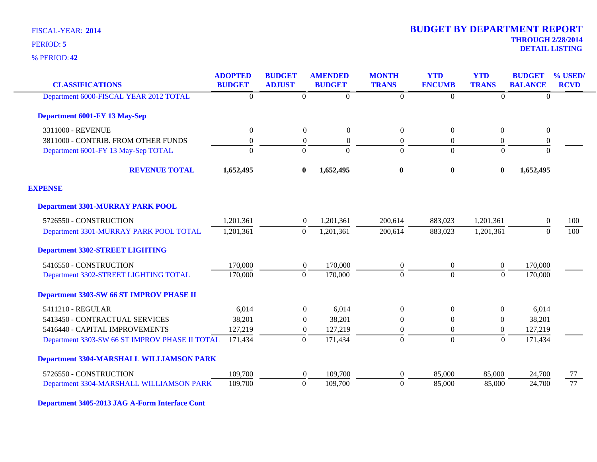**42** % PERIOD:

### **THROUGH 2/28/2014 DETAIL LISTING** PERIOD: **<sup>5</sup> 2014 BUDGET BY DEPARTMENT REPORT**

| <b>CLASSIFICATIONS</b>                          | <b>ADOPTED</b><br><b>BUDGET</b> | <b>BUDGET</b><br><b>ADJUST</b> |                  | <b>AMENDED</b><br><b>BUDGET</b> | <b>MONTH</b><br><b>TRANS</b> | <b>YTD</b><br><b>ENCUMB</b> | <b>YTD</b><br><b>TRANS</b> | <b>BUDGET</b><br><b>BALANCE</b> | % USED/<br><b>RCVD</b> |
|-------------------------------------------------|---------------------------------|--------------------------------|------------------|---------------------------------|------------------------------|-----------------------------|----------------------------|---------------------------------|------------------------|
|                                                 |                                 |                                |                  |                                 |                              |                             |                            |                                 |                        |
| Department 6000-FISCAL YEAR 2012 TOTAL          | $\overline{0}$                  |                                | $\boldsymbol{0}$ | $\boldsymbol{0}$                | $\boldsymbol{0}$             | $\Omega$                    | $\overline{0}$             | $\mathbf{0}$                    |                        |
| Department 6001-FY 13 May-Sep                   |                                 |                                |                  |                                 |                              |                             |                            |                                 |                        |
| 3311000 - REVENUE                               | $\boldsymbol{0}$                |                                | $\boldsymbol{0}$ | $\mathbf{0}$                    | $\boldsymbol{0}$             | $\boldsymbol{0}$            | $\overline{0}$             | $\boldsymbol{0}$                |                        |
| 3811000 - CONTRIB. FROM OTHER FUNDS             | $\boldsymbol{0}$                |                                | $\boldsymbol{0}$ | $\overline{0}$                  | $\mathbf{0}$                 | $\theta$                    | $\theta$                   | $\boldsymbol{0}$                |                        |
| Department 6001-FY 13 May-Sep TOTAL             | $\theta$                        |                                | $\mathbf{0}$     | $\Omega$                        | $\overline{0}$               | $\Omega$                    | $\overline{0}$             | $\mathbf{0}$                    |                        |
| <b>REVENUE TOTAL</b>                            | 1,652,495                       |                                | $\bf{0}$         | 1,652,495                       | $\bf{0}$                     | $\bf{0}$                    | $\bf{0}$                   | 1,652,495                       |                        |
| <b>EXPENSE</b>                                  |                                 |                                |                  |                                 |                              |                             |                            |                                 |                        |
| <b>Department 3301-MURRAY PARK POOL</b>         |                                 |                                |                  |                                 |                              |                             |                            |                                 |                        |
| 5726550 - CONSTRUCTION                          | 1,201,361                       |                                | $\theta$         | 1,201,361                       | 200,614                      | 883,023                     | 1,201,361                  | $\theta$                        | 100                    |
| Department 3301-MURRAY PARK POOL TOTAL          | 1,201,361                       |                                | $\boldsymbol{0}$ | 1,201,361                       | 200,614                      | 883,023                     | 1,201,361                  | $\Omega$                        | 100                    |
| <b>Department 3302-STREET LIGHTING</b>          |                                 |                                |                  |                                 |                              |                             |                            |                                 |                        |
| 5416550 - CONSTRUCTION                          | 170,000                         |                                | $\overline{0}$   | 170,000                         | $\boldsymbol{0}$             | $\overline{0}$              | $\boldsymbol{0}$           | 170,000                         |                        |
| Department 3302-STREET LIGHTING TOTAL           | 170,000                         |                                | $\overline{0}$   | 170,000                         | $\mathbf{0}$                 | $\Omega$                    | $\boldsymbol{0}$           | 170,000                         |                        |
| <b>Department 3303-SW 66 ST IMPROV PHASE II</b> |                                 |                                |                  |                                 |                              |                             |                            |                                 |                        |
| 5411210 - REGULAR                               | 6,014                           |                                | $\overline{0}$   | 6,014                           | $\boldsymbol{0}$             | $\overline{0}$              | $\overline{0}$             | 6,014                           |                        |
| 5413450 - CONTRACTUAL SERVICES                  | 38,201                          |                                | $\boldsymbol{0}$ | 38,201                          | $\theta$                     | $\theta$                    | $\overline{0}$             | 38,201                          |                        |
| 5416440 - CAPITAL IMPROVEMENTS                  | 127,219                         |                                | $\overline{0}$   | 127,219                         | $\boldsymbol{0}$             | $\overline{0}$              | $\overline{0}$             | 127,219                         |                        |
| Department 3303-SW 66 ST IMPROV PHASE II TOTAL  | 171,434                         |                                | $\boldsymbol{0}$ | 171,434                         | $\boldsymbol{0}$             | $\theta$                    | $\mathbf{0}$               | 171,434                         |                        |
| <b>Department 3304-MARSHALL WILLIAMSON PARK</b> |                                 |                                |                  |                                 |                              |                             |                            |                                 |                        |
| 5726550 - CONSTRUCTION                          | 109,700                         |                                | $\overline{0}$   | 109,700                         | $\theta$                     | 85,000                      | 85,000                     | 24,700                          | 77                     |
| Department 3304-MARSHALL WILLIAMSON PARK        | 109,700                         |                                | $\boldsymbol{0}$ | 109,700                         | $\boldsymbol{0}$             | 85,000                      | 85,000                     | 24,700                          | 77                     |

**Department 3405-2013 JAG A-Form Interface Cont**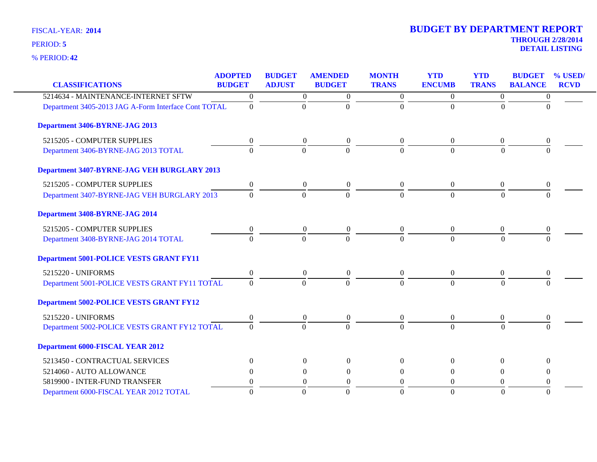| <b>CLASSIFICATIONS</b>                               | <b>ADOPTED</b><br><b>BUDGET</b> | <b>BUDGET</b><br><b>ADJUST</b> | <b>AMENDED</b><br><b>BUDGET</b> | <b>MONTH</b><br><b>TRANS</b> | <b>YTD</b><br><b>ENCUMB</b> | <b>YTD</b><br><b>TRANS</b> | <b>BUDGET</b><br><b>BALANCE</b> | % USED<br><b>RCVD</b> |
|------------------------------------------------------|---------------------------------|--------------------------------|---------------------------------|------------------------------|-----------------------------|----------------------------|---------------------------------|-----------------------|
| 5214634 - MAINTENANCE-INTERNET SFTW                  | $\overline{0}$                  | $\mathbf{0}$                   | $\boldsymbol{0}$                | $\overline{0}$               | $\overline{0}$              | $\overline{0}$             | $\boldsymbol{0}$                |                       |
| Department 3405-2013 JAG A-Form Interface Cont TOTAL | $\Omega$                        | $\boldsymbol{0}$               | $\Omega$                        | $\Omega$                     | $\Omega$                    | $\Omega$                   | $\Omega$                        |                       |
|                                                      |                                 |                                |                                 |                              |                             |                            |                                 |                       |
| Department 3406-BYRNE-JAG 2013                       |                                 |                                |                                 |                              |                             |                            |                                 |                       |
| 5215205 - COMPUTER SUPPLIES                          | $\boldsymbol{0}$                | $\overline{0}$                 | $\boldsymbol{0}$                | $\overline{0}$               | $\theta$                    | $\theta$                   | $\theta$                        |                       |
| Department 3406-BYRNE-JAG 2013 TOTAL                 | $\theta$                        | $\Omega$                       | $\Omega$                        | $\Omega$                     | $\theta$                    | $\Omega$                   | $\Omega$                        |                       |
| Department 3407-BYRNE-JAG VEH BURGLARY 2013          |                                 |                                |                                 |                              |                             |                            |                                 |                       |
| 5215205 - COMPUTER SUPPLIES                          | $\overline{0}$                  | $\overline{0}$                 | $\boldsymbol{0}$                | $\Omega$                     | $\overline{0}$              | $\overline{0}$             | $\theta$                        |                       |
| Department 3407-BYRNE-JAG VEH BURGLARY 2013          | $\Omega$                        | $\overline{0}$                 | $\Omega$                        | $\Omega$                     | $\Omega$                    | $\Omega$                   | $\Omega$                        |                       |
| Department 3408-BYRNE-JAG 2014                       |                                 |                                |                                 |                              |                             |                            |                                 |                       |
| 5215205 - COMPUTER SUPPLIES                          | $\theta$                        | $\overline{0}$                 | $\boldsymbol{0}$                | $\overline{0}$               | $\theta$                    | $\overline{0}$             | $\theta$                        |                       |
| Department 3408-BYRNE-JAG 2014 TOTAL                 | $\Omega$                        | $\Omega$                       | $\Omega$                        | $\Omega$                     | $\Omega$                    | $\Omega$                   | $\Omega$                        |                       |
| <b>Department 5001-POLICE VESTS GRANT FY11</b>       |                                 |                                |                                 |                              |                             |                            |                                 |                       |
| 5215220 - UNIFORMS                                   | $\overline{0}$                  | $\overline{0}$                 | $\overline{0}$                  | $\theta$                     | $\overline{0}$              | $\overline{0}$             | $\Omega$                        |                       |
| Department 5001-POLICE VESTS GRANT FY11 TOTAL        | $\Omega$                        | $\Omega$                       | $\Omega$                        | $\Omega$                     | $\Omega$                    | $\Omega$                   | $\Omega$                        |                       |
| <b>Department 5002-POLICE VESTS GRANT FY12</b>       |                                 |                                |                                 |                              |                             |                            |                                 |                       |
| 5215220 - UNIFORMS                                   | $\overline{0}$                  | $\theta$                       | $\boldsymbol{0}$                | $\boldsymbol{0}$             | $\mathbf{0}$                | $\overline{0}$             | 0                               |                       |
| Department 5002-POLICE VESTS GRANT FY12 TOTAL        | $\Omega$                        | $\Omega$                       | $\Omega$                        | $\Omega$                     | $\Omega$                    | $\Omega$                   | $\Omega$                        |                       |
| <b>Department 6000-FISCAL YEAR 2012</b>              |                                 |                                |                                 |                              |                             |                            |                                 |                       |
| 5213450 - CONTRACTUAL SERVICES                       | $\Omega$                        | $\Omega$                       | $\Omega$                        | $\Omega$                     | $\Omega$                    | $\Omega$                   | $\Omega$                        |                       |
| 5214060 - AUTO ALLOWANCE                             | 0                               | $\Omega$                       | $\Omega$                        | $\Omega$                     | $\Omega$                    | $\Omega$                   | 0                               |                       |
| 5819900 - INTER-FUND TRANSFER                        | 0                               | $\Omega$                       | $\overline{0}$                  | $\Omega$                     | $\Omega$                    | $\Omega$                   | 0                               |                       |
| Department 6000-FISCAL YEAR 2012 TOTAL               | $\Omega$                        | $\Omega$                       | $\Omega$                        | $\Omega$                     | $\theta$                    | $\Omega$                   | $\Omega$                        |                       |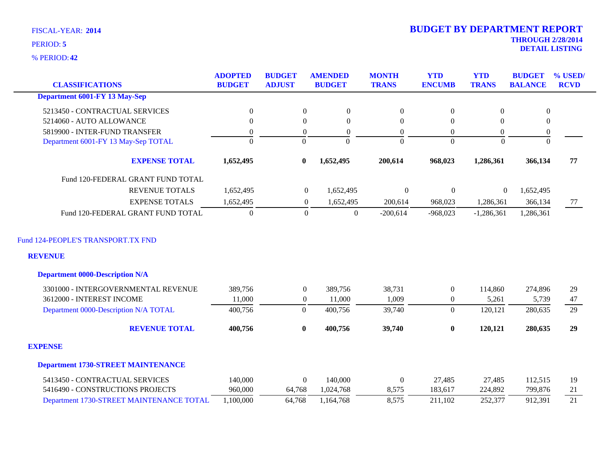**42** % PERIOD:

| <b>CLASSIFICATIONS</b>                               | <b>ADOPTED</b><br><b>BUDGET</b> | <b>BUDGET</b><br><b>ADJUST</b> | <b>AMENDED</b><br><b>BUDGET</b> | <b>MONTH</b><br><b>TRANS</b> | <b>YTD</b><br><b>ENCUMB</b> | <b>YTD</b><br><b>TRANS</b> | <b>BUDGET</b><br><b>BALANCE</b> | % USED/<br><b>RCVD</b> |
|------------------------------------------------------|---------------------------------|--------------------------------|---------------------------------|------------------------------|-----------------------------|----------------------------|---------------------------------|------------------------|
| <b>Department 6001-FY 13 May-Sep</b>                 |                                 |                                |                                 |                              |                             |                            |                                 |                        |
| 5213450 - CONTRACTUAL SERVICES                       | $\boldsymbol{0}$                | $\boldsymbol{0}$               | $\boldsymbol{0}$                | $\boldsymbol{0}$             | $\boldsymbol{0}$            | $\boldsymbol{0}$           | $\boldsymbol{0}$                |                        |
| 5214060 - AUTO ALLOWANCE                             | $\Omega$                        | $\Omega$                       | $\Omega$                        | $\Omega$                     | $\Omega$                    | $\Omega$                   | $\theta$                        |                        |
| 5819900 - INTER-FUND TRANSFER                        | $\overline{0}$                  | $\overline{0}$                 | $\overline{0}$                  | $\mathbf{0}$                 | $\theta$                    | $\overline{0}$             | $\boldsymbol{0}$                |                        |
| Department 6001-FY 13 May-Sep TOTAL                  | $\overline{0}$                  | $\overline{0}$                 | $\Omega$                        | $\Omega$                     | $\Omega$                    | $\Omega$                   | $\mathbf{0}$                    |                        |
| <b>EXPENSE TOTAL</b>                                 | 1,652,495                       | $\bf{0}$                       | 1,652,495                       | 200,614                      | 968,023                     | 1,286,361                  | 366,134                         | 77                     |
| Fund 120-FEDERAL GRANT FUND TOTAL                    |                                 |                                |                                 |                              |                             |                            |                                 |                        |
| <b>REVENUE TOTALS</b>                                | 1,652,495                       | $\boldsymbol{0}$               | 1,652,495                       | $\boldsymbol{0}$             | $\boldsymbol{0}$            | $\boldsymbol{0}$           | 1,652,495                       |                        |
| <b>EXPENSE TOTALS</b>                                | 1,652,495                       | $\overline{0}$                 | 1,652,495                       | 200,614                      | 968,023                     | 1,286,361                  | 366,134                         | 77                     |
| Fund 120-FEDERAL GRANT FUND TOTAL                    | $\mathbf{0}$                    | $\boldsymbol{0}$               | $\boldsymbol{0}$                | $-200,614$                   | $-968,023$                  | $-1,286,361$               | 1,286,361                       |                        |
| Fund 124-PEOPLE'S TRANSPORT.TX FND<br><b>REVENUE</b> |                                 |                                |                                 |                              |                             |                            |                                 |                        |
| <b>Department 0000-Description N/A</b>               |                                 |                                |                                 |                              |                             |                            |                                 |                        |
| 3301000 - INTERGOVERNMENTAL REVENUE                  | 389,756                         | $\mathbf{0}$                   | 389,756                         | 38,731                       | $\boldsymbol{0}$            | 114,860                    | 274,896                         | 29                     |
| 3612000 - INTEREST INCOME                            | 11,000                          | $\overline{0}$                 | 11,000                          | 1,009                        | $\boldsymbol{0}$            | 5,261                      | 5,739                           | 47                     |
| Department 0000-Description N/A TOTAL                | 400,756                         | $\mathbf{0}$                   | 400,756                         | 39,740                       | $\overline{0}$              | 120,121                    | 280,635                         | $\overline{29}$        |
| <b>REVENUE TOTAL</b>                                 | 400,756                         | $\boldsymbol{0}$               | 400,756                         | 39,740                       | $\pmb{0}$                   | 120,121                    | 280,635                         | 29                     |
| <b>EXPENSE</b>                                       |                                 |                                |                                 |                              |                             |                            |                                 |                        |
| <b>Department 1730-STREET MAINTENANCE</b>            |                                 |                                |                                 |                              |                             |                            |                                 |                        |
| 5413450 - CONTRACTUAL SERVICES                       | 140,000                         | $\overline{0}$                 | 140,000                         | $\boldsymbol{0}$             | 27,485                      | 27,485                     | 112,515                         | 19                     |
| 5416490 - CONSTRUCTIONS PROJECTS                     | 960,000                         | 64,768                         | 1,024,768                       | 8,575                        | 183,617                     | 224,892                    | 799,876                         | 21                     |
| Department 1730-STREET MAINTENANCE TOTAL             | 1,100,000                       | 64,768                         | 1,164,768                       | 8,575                        | 211,102                     | 252,377                    | 912,391                         | 21                     |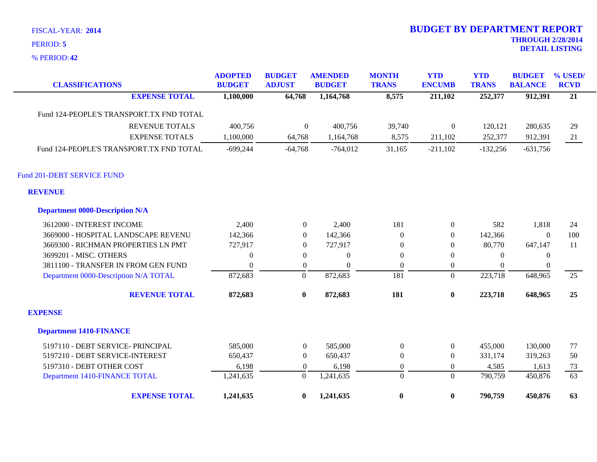**42** % PERIOD:

| <b>CLASSIFICATIONS</b>                   | <b>ADOPTED</b><br><b>BUDGET</b> | <b>BUDGET</b><br><b>ADJUST</b> | <b>AMENDED</b><br><b>BUDGET</b> | <b>MONTH</b><br><b>TRANS</b> | <b>YTD</b><br><b>ENCUMB</b> | <b>YTD</b><br><b>TRANS</b> | <b>BUDGET</b><br><b>BALANCE</b> | % USED/<br><b>RCVD</b> |
|------------------------------------------|---------------------------------|--------------------------------|---------------------------------|------------------------------|-----------------------------|----------------------------|---------------------------------|------------------------|
| <b>EXPENSE TOTAL</b>                     | 1,100,000                       | 64,768                         | 1,164,768                       | 8,575                        | 211,102                     | 252,377                    | 912,391                         | $\overline{21}$        |
| Fund 124-PEOPLE'S TRANSPORT.TX FND TOTAL |                                 |                                |                                 |                              |                             |                            |                                 |                        |
| <b>REVENUE TOTALS</b>                    | 400,756                         | $\boldsymbol{0}$               | 400,756                         | 39,740                       | $\boldsymbol{0}$            | 120,121                    | 280,635                         | 29                     |
| <b>EXPENSE TOTALS</b>                    | 1,100,000                       | 64,768                         | 1,164,768                       | 8,575                        | 211,102                     | 252,377                    | 912,391                         | 21                     |
| Fund 124-PEOPLE'S TRANSPORT.TX FND TOTAL | $-699,244$                      | $-64,768$                      | $-764,012$                      | 31,165                       | $-211,102$                  | $-132,256$                 | $-631,756$                      |                        |
| Fund 201-DEBT SERVICE FUND               |                                 |                                |                                 |                              |                             |                            |                                 |                        |
| <b>REVENUE</b>                           |                                 |                                |                                 |                              |                             |                            |                                 |                        |
| <b>Department 0000-Description N/A</b>   |                                 |                                |                                 |                              |                             |                            |                                 |                        |
| 3612000 - INTEREST INCOME                | 2,400                           | $\overline{0}$                 | 2,400                           | 181                          | $\boldsymbol{0}$            | 582                        | 1,818                           | 24                     |
| 3669000 - HOSPITAL LANDSCAPE REVENU      | 142,366                         | $\overline{0}$                 | 142,366                         | $\theta$                     | $\overline{0}$              | 142,366                    | $\Omega$                        | 100                    |
| 3669300 - RICHMAN PROPERTIES LN PMT      | 727,917                         | $\overline{0}$                 | 727,917                         | $\theta$                     | $\boldsymbol{0}$            | 80,770                     | 647,147                         | 11                     |
| 3699201 - MISC. OTHERS                   | $\boldsymbol{0}$                | $\overline{0}$                 | $\boldsymbol{0}$                | $\boldsymbol{0}$             | $\overline{0}$              | $\mathbf{0}$               | $\boldsymbol{0}$                |                        |
| 3811100 - TRANSFER IN FROM GEN FUND      | $\Omega$                        | $\overline{0}$                 | $\Omega$                        | $\Omega$                     | $\overline{0}$              | $\Omega$                   | $\theta$                        |                        |
| Department 0000-Description N/A TOTAL    | 872,683                         | $\mathbf{0}$                   | 872,683                         | 181                          | $\Omega$                    | 223,718                    | 648,965                         | 25                     |
| <b>REVENUE TOTAL</b>                     | 872,683                         | $\bf{0}$                       | 872,683                         | 181                          | $\boldsymbol{0}$            | 223,718                    | 648,965                         | 25                     |
| <b>EXPENSE</b>                           |                                 |                                |                                 |                              |                             |                            |                                 |                        |
| <b>Department 1410-FINANCE</b>           |                                 |                                |                                 |                              |                             |                            |                                 |                        |
| 5197110 - DEBT SERVICE- PRINCIPAL        | 585,000                         | $\overline{0}$                 | 585,000                         | $\boldsymbol{0}$             | $\mathbf{0}$                | 455,000                    | 130,000                         | 77                     |
| 5197210 - DEBT SERVICE-INTEREST          | 650,437                         | $\overline{0}$                 | 650,437                         | $\overline{0}$               | $\mathbf{0}$                | 331,174                    | 319,263                         | 50                     |
| 5197310 - DEBT OTHER COST                | 6,198                           | $\overline{0}$                 | 6,198                           | $\boldsymbol{0}$             | $\overline{0}$              | 4,585                      | 1,613                           | 73                     |
| Department 1410-FINANCE TOTAL            | 1,241,635                       | $\boldsymbol{0}$               | 1,241,635                       | $\overline{0}$               | $\Omega$                    | 790,759                    | 450,876                         | 63                     |
| <b>EXPENSE TOTAL</b>                     | 1,241,635                       | $\bf{0}$                       | 1,241,635                       | $\bf{0}$                     | $\bf{0}$                    | 790,759                    | 450,876                         | 63                     |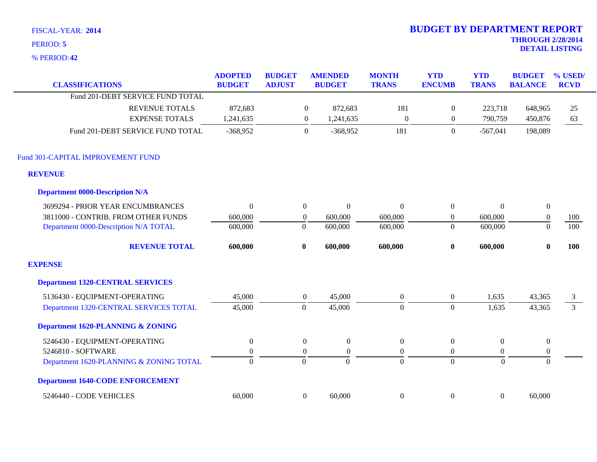**42** % PERIOD:

| <b>CLASSIFICATIONS</b>                  | <b>ADOPTED</b><br><b>BUDGET</b> | <b>BUDGET</b><br><b>ADJUST</b> |                  | <b>AMENDED</b><br><b>BUDGET</b> | <b>MONTH</b><br><b>TRANS</b> | <b>YTD</b><br><b>ENCUMB</b> | <b>YTD</b><br><b>TRANS</b> | <b>BUDGET</b><br><b>BALANCE</b> | % USED/<br><b>RCVD</b> |
|-----------------------------------------|---------------------------------|--------------------------------|------------------|---------------------------------|------------------------------|-----------------------------|----------------------------|---------------------------------|------------------------|
| Fund 201-DEBT SERVICE FUND TOTAL        |                                 |                                |                  |                                 |                              |                             |                            |                                 |                        |
| <b>REVENUE TOTALS</b>                   | 872,683                         |                                | $\overline{0}$   | 872,683                         | 181                          | $\boldsymbol{0}$            | 223,718                    | 648,965                         | 25                     |
| <b>EXPENSE TOTALS</b>                   | 1,241,635                       |                                | $\boldsymbol{0}$ | 1,241,635                       | $\mathbf{0}$                 | $\boldsymbol{0}$            | 790,759                    | 450,876                         | 63                     |
| Fund 201-DEBT SERVICE FUND TOTAL        | $-368,952$                      |                                | $\boldsymbol{0}$ | $-368,952$                      | 181                          | $\overline{0}$              | $-567,041$                 | 198,089                         |                        |
| Fund 301-CAPITAL IMPROVEMENT FUND       |                                 |                                |                  |                                 |                              |                             |                            |                                 |                        |
| <b>REVENUE</b>                          |                                 |                                |                  |                                 |                              |                             |                            |                                 |                        |
| <b>Department 0000-Description N/A</b>  |                                 |                                |                  |                                 |                              |                             |                            |                                 |                        |
| 3699294 - PRIOR YEAR ENCUMBRANCES       | $\theta$                        |                                | $\mathbf{0}$     | $\overline{0}$                  | $\boldsymbol{0}$             | $\boldsymbol{0}$            | $\Omega$                   | $\boldsymbol{0}$                |                        |
| 3811000 - CONTRIB. FROM OTHER FUNDS     | 600,000                         |                                | $\boldsymbol{0}$ | 600,000                         | 600,000                      | $\boldsymbol{0}$            | 600,000                    | $\boldsymbol{0}$                | 100                    |
| Department 0000-Description N/A TOTAL   | 600,000                         |                                | $\overline{0}$   | 600,000                         | 600,000                      | $\boldsymbol{0}$            | 600,000                    | $\Omega$                        | 100                    |
| <b>REVENUE TOTAL</b>                    | 600,000                         |                                | $\bf{0}$         | 600,000                         | 600,000                      | $\bf{0}$                    | 600,000                    | $\mathbf{0}$                    | <b>100</b>             |
| <b>EXPENSE</b>                          |                                 |                                |                  |                                 |                              |                             |                            |                                 |                        |
| <b>Department 1320-CENTRAL SERVICES</b> |                                 |                                |                  |                                 |                              |                             |                            |                                 |                        |
| 5136430 - EQUIPMENT-OPERATING           | 45,000                          |                                | $\mathbf{0}$     | 45,000                          | $\boldsymbol{0}$             | $\boldsymbol{0}$            | 1,635                      | 43,365                          | 3                      |
| Department 1320-CENTRAL SERVICES TOTAL  | 45,000                          |                                | $\mathbf{0}$     | 45,000                          | $\Omega$                     | $\mathbf{0}$                | 1,635                      | 43,365                          | $\overline{3}$         |
| Department 1620-PLANNING & ZONING       |                                 |                                |                  |                                 |                              |                             |                            |                                 |                        |
| 5246430 - EQUIPMENT-OPERATING           | $\boldsymbol{0}$                |                                | $\overline{0}$   | $\boldsymbol{0}$                | $\boldsymbol{0}$             | $\boldsymbol{0}$            | $\Omega$                   | $\boldsymbol{0}$                |                        |
| 5246810 - SOFTWARE                      | $\boldsymbol{0}$                |                                | $\overline{0}$   | $\boldsymbol{0}$                | $\mathbf{0}$                 | $\boldsymbol{0}$            | $\overline{0}$             | $\mathbf{0}$                    |                        |
| Department 1620-PLANNING & ZONING TOTAL | $\overline{0}$                  |                                | $\overline{0}$   | $\Omega$                        | $\overline{0}$               | $\overline{0}$              | $\overline{0}$             | $\mathbf{0}$                    |                        |
| <b>Department 1640-CODE ENFORCEMENT</b> |                                 |                                |                  |                                 |                              |                             |                            |                                 |                        |
| 5246440 - CODE VEHICLES                 | 60,000                          |                                | $\boldsymbol{0}$ | 60,000                          | $\boldsymbol{0}$             | $\boldsymbol{0}$            | $\mathbf{0}$               | 60,000                          |                        |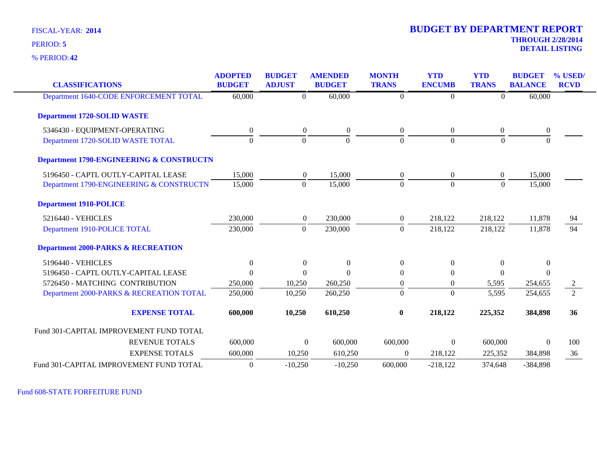**42** % PERIOD:

| <b>CLASSIFICATIONS</b>                              | <b>ADOPTED</b><br><b>BUDGET</b> | <b>BUDGET</b><br><b>ADJUST</b> | <b>AMENDED</b><br><b>BUDGET</b>    | <b>MONTH</b><br><b>TRANS</b> | <b>YTD</b><br><b>ENCUMB</b> | <b>YTD</b><br><b>TRANS</b> | <b>BUDGET</b><br><b>BALANCE</b> | % USED/<br><b>RCVD</b> |
|-----------------------------------------------------|---------------------------------|--------------------------------|------------------------------------|------------------------------|-----------------------------|----------------------------|---------------------------------|------------------------|
| Department 1640-CODE ENFORCEMENT TOTAL              | 60,000                          |                                | 60,000<br>$\Omega$                 | $\theta$                     | $\Omega$                    | $\Omega$                   | 60,000                          |                        |
| <b>Department 1720-SOLID WASTE</b>                  |                                 |                                |                                    |                              |                             |                            |                                 |                        |
| 5346430 - EQUIPMENT-OPERATING                       | $\boldsymbol{0}$                |                                | $\overline{0}$<br>$\boldsymbol{0}$ | $\overline{0}$               | $\overline{0}$              | $\boldsymbol{0}$           | $\boldsymbol{0}$                |                        |
| Department 1720-SOLID WASTE TOTAL                   | $\mathbf{0}$                    |                                | $\Omega$<br>$\Omega$               | $\mathbf{0}$                 | $\Omega$                    | $\overline{0}$             | $\boldsymbol{0}$                |                        |
| <b>Department 1790-ENGINEERING &amp; CONSTRUCTN</b> |                                 |                                |                                    |                              |                             |                            |                                 |                        |
| 5196450 - CAPTL OUTLY-CAPITAL LEASE                 | 15,000                          |                                | 15,000<br>$\overline{0}$           | $\overline{0}$               | $\overline{0}$              | $\boldsymbol{0}$           | 15,000                          |                        |
| Department 1790-ENGINEERING & CONSTRUCTN            | 15,000                          |                                | 15,000<br>$\Omega$                 | $\Omega$                     | $\Omega$                    | $\Omega$                   | 15,000                          |                        |
| <b>Department 1910-POLICE</b>                       |                                 |                                |                                    |                              |                             |                            |                                 |                        |
| 5216440 - VEHICLES                                  | 230,000                         |                                | $\overline{0}$<br>230,000          | $\overline{0}$               | 218,122                     | 218,122                    | 11,878                          | 94                     |
| Department 1910-POLICE TOTAL                        | 230,000                         |                                | $\mathbf{0}$<br>230,000            | $\mathbf{0}$                 | 218,122                     | 218,122                    | 11,878                          | 94                     |
| <b>Department 2000-PARKS &amp; RECREATION</b>       |                                 |                                |                                    |                              |                             |                            |                                 |                        |
| 5196440 - VEHICLES                                  | $\overline{0}$                  |                                | $\overline{0}$<br>$\theta$         | $\overline{0}$               | $\Omega$                    | $\overline{0}$             | $\overline{0}$                  |                        |
| 5196450 - CAPTL OUTLY-CAPITAL LEASE                 | $\Omega$                        |                                | $\Omega$<br>$\Omega$               | $\mathbf{0}$                 | $\Omega$                    | $\mathbf{0}$               | $\Omega$                        |                        |
| 5726450 - MATCHING CONTRIBUTION                     | 250,000                         | 10,250                         | 260,250                            | $\mathbf{0}$                 | $\overline{0}$              | 5,595                      | 254,655                         | 2                      |
| Department 2000-PARKS & RECREATION TOTAL            | 250,000                         | 10,250                         | 260,250                            | $\mathbf{0}$                 | $\overline{0}$              | 5,595                      | 254,655                         | $\overline{2}$         |
| <b>EXPENSE TOTAL</b>                                | 600,000                         | 10,250                         | 610,250                            | $\bf{0}$                     | 218,122                     | 225,352                    | 384,898                         | 36                     |
| Fund 301-CAPITAL IMPROVEMENT FUND TOTAL             |                                 |                                |                                    |                              |                             |                            |                                 |                        |
| <b>REVENUE TOTALS</b>                               | 600,000                         |                                | $\overline{0}$<br>600,000          | 600,000                      | $\overline{0}$              | 600,000                    | $\mathbf{0}$                    | 100                    |
| <b>EXPENSE TOTALS</b>                               | 600,000                         | 10,250                         | 610,250                            | $\Omega$                     | 218,122                     | 225,352                    | 384,898                         | 36                     |
| Fund 301-CAPITAL IMPROVEMENT FUND TOTAL             | $\overline{0}$                  | $-10,250$                      | $-10,250$                          | 600,000                      | $-218,122$                  | 374,648                    | $-384,898$                      |                        |

Fund 608-STATE FORFEITURE FUND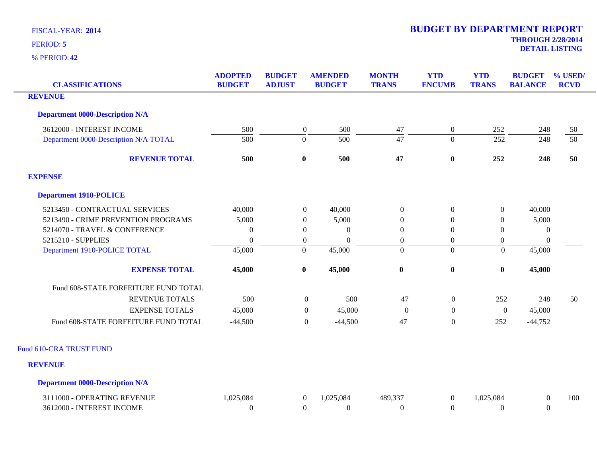| <b>CLASSIFICATIONS</b>                 | <b>ADOPTED</b><br><b>BUDGET</b> | <b>BUDGET</b><br><b>ADJUST</b> | <b>AMENDED</b><br><b>BUDGET</b> | <b>MONTH</b><br><b>TRANS</b> | <b>YTD</b><br><b>ENCUMB</b> | <b>YTD</b><br><b>TRANS</b> | <b>BUDGET</b><br><b>BALANCE</b> | % USED/<br><b>RCVD</b> |
|----------------------------------------|---------------------------------|--------------------------------|---------------------------------|------------------------------|-----------------------------|----------------------------|---------------------------------|------------------------|
| <b>REVENUE</b>                         |                                 |                                |                                 |                              |                             |                            |                                 |                        |
| <b>Department 0000-Description N/A</b> |                                 |                                |                                 |                              |                             |                            |                                 |                        |
| 3612000 - INTEREST INCOME              | 500                             | $\boldsymbol{0}$               | 500                             | $47\,$                       | $\boldsymbol{0}$            | 252                        | 248                             | 50                     |
| Department 0000-Description N/A TOTAL  | 500                             | $\boldsymbol{0}$               | 500                             | 47                           | $\overline{0}$              | 252                        | 248                             | $\overline{50}$        |
| <b>REVENUE TOTAL</b>                   | 500                             | $\bf{0}$                       | 500                             | 47                           | $\bf{0}$                    | 252                        | 248                             | 50                     |
| <b>EXPENSE</b>                         |                                 |                                |                                 |                              |                             |                            |                                 |                        |
| <b>Department 1910-POLICE</b>          |                                 |                                |                                 |                              |                             |                            |                                 |                        |
| 5213450 - CONTRACTUAL SERVICES         | 40,000                          | $\overline{0}$                 | 40,000                          | $\Omega$                     | $\boldsymbol{0}$            | $\overline{0}$             | 40,000                          |                        |
| 5213490 - CRIME PREVENTION PROGRAMS    | 5,000                           | 0                              | 5,000                           | 0                            | $\boldsymbol{0}$            | $\theta$                   | 5,000                           |                        |
| 5214070 - TRAVEL & CONFERENCE          | $\overline{0}$                  | $\overline{0}$                 | $\theta$                        | $\mathbf{0}$                 | $\boldsymbol{0}$            | $\mathbf{0}$               | $\mathbf{0}$                    |                        |
| 5215210 - SUPPLIES                     | $\Omega$                        | $\boldsymbol{0}$               | $\Omega$                        | $\boldsymbol{0}$             | $\overline{0}$              | $\overline{0}$             | $\mathbf{0}$                    |                        |
| Department 1910-POLICE TOTAL           | 45,000                          | $\boldsymbol{0}$               | 45,000                          | $\overline{0}$               | $\overline{0}$              | $\theta$                   | 45,000                          |                        |
| <b>EXPENSE TOTAL</b>                   | 45,000                          | $\bf{0}$                       | 45,000                          | $\pmb{0}$                    | $\boldsymbol{0}$            | $\boldsymbol{0}$           | 45,000                          |                        |
| Fund 608-STATE FORFEITURE FUND TOTAL   |                                 |                                |                                 |                              |                             |                            |                                 |                        |
| <b>REVENUE TOTALS</b>                  | 500                             |                                | 500<br>$\boldsymbol{0}$         | 47                           | $\overline{0}$              | 252                        | 248                             | 50                     |
| <b>EXPENSE TOTALS</b>                  | 45,000                          |                                | 45,000<br>$\mathbf{0}$          | $\boldsymbol{0}$             | $\mathbf{0}$                | $\boldsymbol{0}$           | 45,000                          |                        |
| Fund 608-STATE FORFEITURE FUND TOTAL   | $-44,500$                       |                                | $\mathbf{0}$<br>$-44,500$       | 47                           | $\overline{0}$              | 252                        | $-44,752$                       |                        |
| Fund 610-CRA TRUST FUND                |                                 |                                |                                 |                              |                             |                            |                                 |                        |
| <b>REVENUE</b>                         |                                 |                                |                                 |                              |                             |                            |                                 |                        |
| <b>Department 0000-Description N/A</b> |                                 |                                |                                 |                              |                             |                            |                                 |                        |
| 3111000 - OPERATING REVENUE            | 1,025,084                       | $\boldsymbol{0}$               | 1,025,084                       | 489,337                      | $\overline{0}$              | 1,025,084                  | $\boldsymbol{0}$                | 100                    |
| 3612000 - INTEREST INCOME              | $\Omega$                        | $\Omega$                       | $\Omega$                        | $\Omega$                     | $\Omega$                    | $\Omega$                   | $\Omega$                        |                        |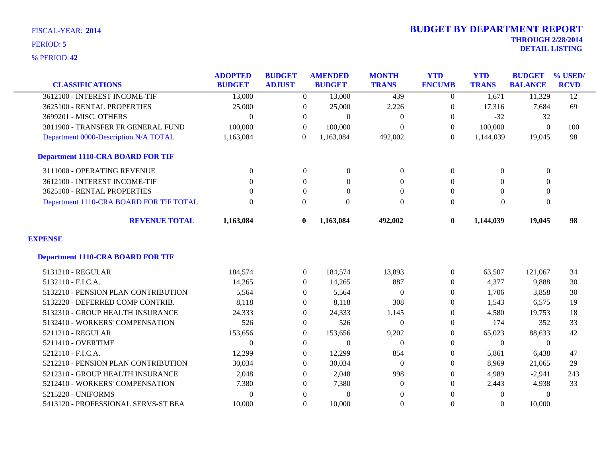**42** % PERIOD:

|                                          | <b>ADOPTED</b> | <b>BUDGET</b>    | <b>AMENDED</b> | <b>MONTH</b>     | <b>YTD</b>       | <b>YTD</b>     | <b>BUDGET</b>    | % USED/         |
|------------------------------------------|----------------|------------------|----------------|------------------|------------------|----------------|------------------|-----------------|
| <b>CLASSIFICATIONS</b>                   | <b>BUDGET</b>  | <b>ADJUST</b>    | <b>BUDGET</b>  | <b>TRANS</b>     | <b>ENCUMB</b>    | <b>TRANS</b>   | <b>BALANCE</b>   | <b>RCVD</b>     |
| 3612100 - INTEREST INCOME-TIF            | 13,000         | $\overline{0}$   | 13,000         | 439              | $\Omega$         | 1,671          | 11,329           | $\overline{12}$ |
| 3625100 - RENTAL PROPERTIES              | 25,000         | $\boldsymbol{0}$ | 25,000         | 2,226            | $\boldsymbol{0}$ | 17,316         | 7,684            | 69              |
| 3699201 - MISC. OTHERS                   | $\Omega$       | $\theta$         | $\overline{0}$ | $\Omega$         | $\mathbf{0}$     | $-32$          | 32               |                 |
| 3811900 - TRANSFER FR GENERAL FUND       | 100,000        | $\overline{0}$   | 100,000        | $\theta$         | $\overline{0}$   | 100,000        | $\theta$         | 100             |
| Department 0000-Description N/A TOTAL    | 1,163,084      | $\Omega$         | 1,163,084      | 492,002          | $\Omega$         | 1,144,039      | 19,045           | 98              |
| <b>Department 1110-CRA BOARD FOR TIF</b> |                |                  |                |                  |                  |                |                  |                 |
| 3111000 - OPERATING REVENUE              | $\overline{0}$ | $\overline{0}$   | $\overline{0}$ | $\overline{0}$   | $\theta$         | $\Omega$       | $\boldsymbol{0}$ |                 |
| 3612100 - INTEREST INCOME-TIF            | $\Omega$       | $\Omega$         | $\theta$       | $\mathbf{0}$     | $\Omega$         | $\Omega$       | $\boldsymbol{0}$ |                 |
| 3625100 - RENTAL PROPERTIES              | $\mathbf{0}$   | $\boldsymbol{0}$ | $\overline{0}$ | $\overline{0}$   | $\theta$         | $\overline{0}$ | $\boldsymbol{0}$ |                 |
| Department 1110-CRA BOARD FOR TIF TOTAL  | $\theta$       | $\Omega$         | $\Omega$       | $\Omega$         | $\overline{0}$   | $\Omega$       | $\theta$         |                 |
| <b>REVENUE TOTAL</b>                     | 1,163,084      | $\bf{0}$         | 1,163,084      | 492,002          | $\bf{0}$         | 1,144,039      | 19,045           | 98              |
| <b>EXPENSE</b>                           |                |                  |                |                  |                  |                |                  |                 |
| <b>Department 1110-CRA BOARD FOR TIF</b> |                |                  |                |                  |                  |                |                  |                 |
| 5131210 - REGULAR                        | 184,574        | $\overline{0}$   | 184,574        | 13,893           | $\theta$         | 63,507         | 121,067          | 34              |
| 5132110 - F.I.C.A.                       | 14,265         | $\boldsymbol{0}$ | 14,265         | 887              | $\boldsymbol{0}$ | 4,377          | 9,888            | 30              |
| 5132210 - PENSION PLAN CONTRIBUTION      | 5,564          | $\overline{0}$   | 5,564          | $\theta$         | $\theta$         | 1,706          | 3,858            | 30              |
| 5132220 - DEFERRED COMP CONTRIB.         | 8,118          | $\Omega$         | 8,118          | 308              | $\Omega$         | 1,543          | 6,575            | 19              |
| 5132310 - GROUP HEALTH INSURANCE         | 24,333         | $\overline{0}$   | 24,333         | 1,145            | $\mathbf{0}$     | 4,580          | 19,753           | 18              |
| 5132410 - WORKERS' COMPENSATION          | 526            | $\overline{0}$   | 526            | $\boldsymbol{0}$ | $\boldsymbol{0}$ | 174            | 352              | 33              |
| 5211210 - REGULAR                        | 153,656        | 0                | 153,656        | 9,202            | $\boldsymbol{0}$ | 65,023         | 88,633           | 42              |
| 5211410 - OVERTIME                       | $\theta$       | $\Omega$         | $\theta$       | $\Omega$         | $\Omega$         | $\Omega$       | $\theta$         |                 |
| 5212110 - F.I.C.A.                       | 12,299         | $\boldsymbol{0}$ | 12,299         | 854              | $\Omega$         | 5,861          | 6,438            | 47              |
| 5212210 - PENSION PLAN CONTRIBUTION      | 30,034         | $\Omega$         | 30,034         | $\theta$         | $\boldsymbol{0}$ | 8,969          | 21,065           | 29              |
| 5212310 - GROUP HEALTH INSURANCE         | 2,048          | $\Omega$         | 2,048          | 998              | $\Omega$         | 4,989          | $-2,941$         | 243             |
| 5212410 - WORKERS' COMPENSATION          | 7,380          | $\Omega$         | 7,380          | $\mathbf{0}$     | $\Omega$         | 2,443          | 4,938            | 33              |
| 5215220 - UNIFORMS                       | $\mathbf{0}$   | $\theta$         | $\overline{0}$ | $\theta$         | $\Omega$         | $\theta$       | $\Omega$         |                 |
| 5413120 - PROFESSIONAL SERVS-ST BEA      | 10,000         | $\Omega$         | 10,000         | $\boldsymbol{0}$ | $\boldsymbol{0}$ | $\Omega$       | 10,000           |                 |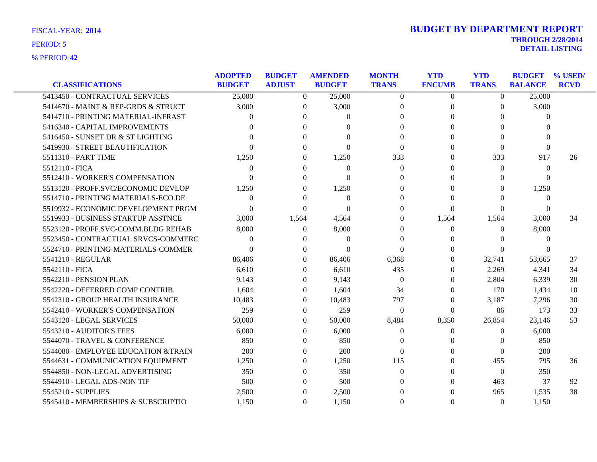| PERIOD: 5      | <b>THROUGH 272072011</b> |
|----------------|--------------------------|
|                | <b>DETAIL LISTING</b>    |
|                |                          |
| % PERIOD: $42$ |                          |

|                                     | <b>ADOPTED</b> | <b>BUDGET</b> | <b>AMENDED</b>    | <b>MONTH</b>   | <b>YTD</b>     | <b>YTD</b>   | <b>BUDGET</b>  | % USED/     |
|-------------------------------------|----------------|---------------|-------------------|----------------|----------------|--------------|----------------|-------------|
| <b>CLASSIFICATIONS</b>              | <b>BUDGET</b>  | <b>ADJUST</b> | <b>BUDGET</b>     | <b>TRANS</b>   | <b>ENCUMB</b>  | <b>TRANS</b> | <b>BALANCE</b> | <b>RCVD</b> |
| 5413450 - CONTRACTUAL SERVICES      | 25,000         | $\Omega$      | 25,000            | $\Omega$       | $\overline{0}$ | $\Omega$     | 25,000         |             |
| 5414670 - MAINT & REP-GRDS & STRUCT | 3,000          | $\theta$      | 3,000             | $\Omega$       | $\Omega$       | $\Omega$     | 3,000          |             |
| 5414710 - PRINTING MATERIAL-INFRAST |                | 0             | 0                 | $\Omega$       | $\Omega$       | 0            | $\Omega$       |             |
| 5416340 - CAPITAL IMPROVEMENTS      |                | 0             |                   | $\Omega$       | $\Omega$       | 0            | $\Omega$       |             |
| 5416450 - SUNSET DR & ST LIGHTING   |                | $\Omega$      | $\mathbf{\Omega}$ | $\Omega$       | $\Omega$       | $\Omega$     | $\Omega$       |             |
| 5419930 - STREET BEAUTIFICATION     |                | 0             | 0                 | $\Omega$       | $\Omega$       | $\Omega$     | $\Omega$       |             |
| 5511310 - PART TIME                 | 1,250          | $\Omega$      | 1,250             | 333            | $\Omega$       | 333          | 917            | 26          |
| 5512110 - FICA                      | $\Omega$       | 0             | $\Omega$          | $\Omega$       | $\Omega$       | $\Omega$     | $\theta$       |             |
| 5512410 - WORKER'S COMPENSATION     | 0              | 0             | $\Omega$          | $\Omega$       | $\Omega$       | $\Omega$     | $\Omega$       |             |
| 5513120 - PROFF.SVC/ECONOMIC DEVLOP | 1,250          | $\Omega$      | 1,250             | $\Omega$       | $\Omega$       | $\Omega$     | 1,250          |             |
| 5514710 - PRINTING MATERIALS-ECO.DE | $\Omega$       | $\Omega$      | $\overline{0}$    | $\Omega$       | $\Omega$       | 0            | $\overline{0}$ |             |
| 5519932 - ECONOMIC DEVELOPMENT PRGM | $\Omega$       | 0             | 0                 | $\Omega$       | $\Omega$       | 0            | $\theta$       |             |
| 5519933 - BUSINESS STARTUP ASSTNCE  | 3,000          | 1,564         | 4,564             | $\Omega$       | 1,564          | 1,564        | 3,000          | 34          |
| 5523120 - PROFF.SVC-COMM.BLDG REHAB | 8,000          | $\Omega$      | 8,000             | $\Omega$       | $\Omega$       | $\Omega$     | 8,000          |             |
| 5523450 - CONTRACTUAL SRVCS-COMMERC | $\Omega$       | $\theta$      | $\Omega$          | $\Omega$       |                | $\Omega$     | $\theta$       |             |
| 5524710 - PRINTING-MATERIALS-COMMER | $\Omega$       | $\theta$      | 0                 | $\Omega$       | $\Omega$       | $\Omega$     | $\theta$       |             |
| 5541210 - REGULAR                   | 86,406         | 0             | 86,406            | 6,368          | $\Omega$       | 32,741       | 53,665         | 37          |
| 5542110 - FICA                      | 6,610          | $\Omega$      | 6,610             | 435            | $\Omega$       | 2,269        | 4,341          | 34          |
| 5542210 - PENSION PLAN              | 9,143          | 0             | 9,143             | $\theta$       | $\Omega$       | 2,804        | 6,339          | 30          |
| 5542220 - DEFERRED COMP CONTRIB.    | 1,604          | 0             | 1,604             | 34             | $\Omega$       | 170          | 1,434          | 10          |
| 5542310 - GROUP HEALTH INSURANCE    | 10,483         | $\Omega$      | 10,483            | 797            | $\Omega$       | 3,187        | 7,296          | 30          |
| 5542410 - WORKER'S COMPENSATION     | 259            | $\Omega$      | 259               | $\overline{0}$ | $\Omega$       | 86           | 173            | 33          |
| 5543120 - LEGAL SERVICES            | 50,000         | $\Omega$      | 50,000            | 8,484          | 8,350          | 26,854       | 23,146         | 53          |
| 5543210 - AUDITOR'S FEES            | 6,000          | 0             | 6,000             | $\Omega$       | $\Omega$       | $\Omega$     | 6,000          |             |
| 5544070 - TRAVEL & CONFERENCE       | 850            | $\Omega$      | 850               | $\Omega$       | 0              | 0            | 850            |             |
| 5544080 - EMPLOYEE EDUCATION &TRAIN | 200            | 0             | 200               | $\Omega$       | $\Omega$       | $\Omega$     | 200            |             |
| 5544631 - COMMUNICATION EQUIPMENT   | 1,250          | $\Omega$      | 1,250             | 115            | $\Omega$       | 455          | 795            | 36          |
| 5544850 - NON-LEGAL ADVERTISING     | 350            | $\Omega$      | 350               | $\Omega$       | $\Omega$       | $\theta$     | 350            |             |
| 5544910 - LEGAL ADS-NON TIF         | 500            | $\Omega$      | 500               | $\Omega$       | $\Omega$       | 463          | 37             | 92          |
| 5545210 - SUPPLIES                  | 2,500          | 0             | 2,500             | $\Omega$       | 0              | 965          | 1,535          | 38          |
| 5545410 - MEMBERSHIPS & SUBSCRIPTIO | 1,150          | $\Omega$      | 1,150             | $\Omega$       | $\Omega$       | $\theta$     | 1,150          |             |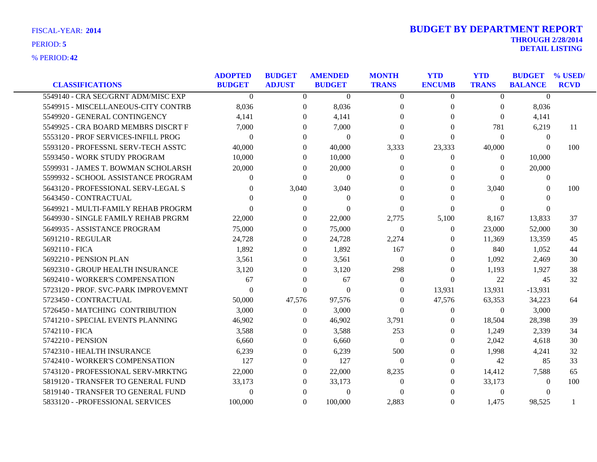| <b>CLASSIFICATIONS</b>              | <b>ADOPTED</b><br><b>BUDGET</b> | <b>BUDGET</b><br><b>ADJUST</b> | <b>AMENDED</b><br><b>BUDGET</b> | <b>MONTH</b><br><b>TRANS</b> | <b>YTD</b><br><b>ENCUMB</b> | <b>YTD</b><br><b>TRANS</b> | <b>BUDGET</b><br><b>BALANCE</b> | % USED/<br><b>RCVD</b> |
|-------------------------------------|---------------------------------|--------------------------------|---------------------------------|------------------------------|-----------------------------|----------------------------|---------------------------------|------------------------|
| 5549140 - CRA SEC/GRNT ADM/MISC EXP | $\theta$                        | $\overline{0}$                 | $\overline{0}$                  | $\theta$                     | $\overline{0}$              | $\overline{0}$             | $\theta$                        |                        |
| 5549915 - MISCELLANEOUS-CITY CONTRB | 8,036                           | $\Omega$                       | 8,036                           | $\Omega$                     | $\theta$                    | $\Omega$                   | 8,036                           |                        |
| 5549920 - GENERAL CONTINGENCY       | 4,141                           | $\Omega$                       | 4,141                           | $\Omega$                     | $\Omega$                    | $\Omega$                   | 4,141                           |                        |
| 5549925 - CRA BOARD MEMBRS DISCRT F | 7,000                           | $\Omega$                       | 7,000                           | $\Omega$                     | $\Omega$                    | 781                        | 6,219                           | -11                    |
| 5553120 - PROF SERVICES-INFILL PROG | $\Omega$                        | $\Omega$                       | $\Omega$                        | $\Omega$                     | $\Omega$                    | $\Omega$                   | $\theta$                        |                        |
| 5593120 - PROFESSNL SERV-TECH ASSTC | 40,000                          | $\Omega$                       | 40,000                          | 3,333                        | 23,333                      | 40,000                     | $\Omega$                        | 100                    |
| 5593450 - WORK STUDY PROGRAM        | 10,000                          | $\Omega$                       | 10,000                          | $\theta$                     | $\Omega$                    | $\Omega$                   | 10,000                          |                        |
| 5599931 - JAMES T. BOWMAN SCHOLARSH | 20,000                          | $\Omega$                       | 20,000                          | $\Omega$                     | $\mathbf{0}$                | $\theta$                   | 20,000                          |                        |
| 5599932 - SCHOOL ASSISTANCE PROGRAM | $\Omega$                        | $\Omega$                       | $\mathbf{0}$                    | $\Omega$                     | $\Omega$                    | $\Omega$                   | $\boldsymbol{0}$                |                        |
| 5643120 - PROFESSIONAL SERV-LEGAL S | 0                               | 3,040                          | 3,040                           | $\Omega$                     | 0                           | 3,040                      | $\Omega$                        | 100                    |
| 5643450 - CONTRACTUAL               |                                 | $\theta$                       | $\Omega$                        | $\Omega$                     |                             | $\Omega$                   | 0                               |                        |
| 5649921 - MULTI-FAMILY REHAB PROGRM |                                 | $\Omega$                       | $\Omega$                        | $\Omega$                     | $\Omega$                    | $\theta$                   | $\Omega$                        |                        |
| 5649930 - SINGLE FAMILY REHAB PRGRM | 22,000                          | $\theta$                       | 22,000                          | 2,775                        | 5,100                       | 8,167                      | 13,833                          | 37                     |
| 5649935 - ASSISTANCE PROGRAM        | 75,000                          | $\Omega$                       | 75,000                          | $\Omega$                     | $\Omega$                    | 23,000                     | 52,000                          | 30                     |
| 5691210 - REGULAR                   | 24.728                          | $\Omega$                       | 24,728                          | 2,274                        | $\theta$                    | 11,369                     | 13,359                          | 45                     |
| 5692110 - FICA                      | 1,892                           | $\Omega$                       | 1,892                           | 167                          | $\Omega$                    | 840                        | 1,052                           | 44                     |
| 5692210 - PENSION PLAN              | 3,561                           | $\theta$                       | 3,561                           | $\theta$                     | $\Omega$                    | 1,092                      | 2,469                           | 30                     |
| 5692310 - GROUP HEALTH INSURANCE    | 3.120                           | $\Omega$                       | 3,120                           | 298                          | $\Omega$                    | 1.193                      | 1.927                           | 38                     |
| 5692410 - WORKER'S COMPENSATION     | 67                              | $\Omega$                       | 67                              | $\Omega$                     | $\Omega$                    | 22                         | 45                              | 32                     |
| 5723120 - PROF. SVC-PARK IMPROVEMNT | $\theta$                        | $\Omega$                       | $\mathbf{0}$                    | $\theta$                     | 13,931                      | 13,931                     | $-13,931$                       |                        |
| 5723450 - CONTRACTUAL               | 50,000                          | 47,576                         | 97,576                          | $\theta$                     | 47,576                      | 63,353                     | 34,223                          | 64                     |
| 5726450 - MATCHING CONTRIBUTION     | 3,000                           | $\Omega$                       | 3,000                           | $\Omega$                     | $\theta$                    | $\Omega$                   | 3,000                           |                        |
| 5741210 - SPECIAL EVENTS PLANNING   | 46,902                          | $\Omega$                       | 46,902                          | 3,791                        | $\Omega$                    | 18,504                     | 28,398                          | 39                     |
| 5742110 - FICA                      | 3,588                           | $\theta$                       | 3,588                           | 253                          | $\Omega$                    | 1,249                      | 2,339                           | 34                     |
| 5742210 - PENSION                   | 6.660                           | $\Omega$                       | 6,660                           | $\Omega$                     | $\Omega$                    | 2,042                      | 4,618                           | 30                     |
| 5742310 - HEALTH INSURANCE          | 6,239                           | $\Omega$                       | 6,239                           | 500                          | $\Omega$                    | 1,998                      | 4,241                           | 32                     |
| 5742410 - WORKER'S COMPENSATION     | 127                             | $\Omega$                       | 127                             | $\Omega$                     | $\Omega$                    | 42                         | 85                              | 33                     |
| 5743120 - PROFESSIONAL SERV-MRKTNG  | 22,000                          | $\Omega$                       | 22,000                          | 8,235                        | $\Omega$                    | 14,412                     | 7,588                           | 65                     |
| 5819120 - TRANSFER TO GENERAL FUND  | 33,173                          | $\theta$                       | 33,173                          | $\Omega$                     | 0                           | 33,173                     | $\theta$                        | 100                    |
| 5819140 - TRANSFER TO GENERAL FUND  | $\Omega$                        | $\Omega$                       | $\theta$                        | $\Omega$                     |                             | $\mathbf{0}$               | $\Omega$                        |                        |
| 5833120 - - PROFESSIONAL SERVICES   | 100,000                         | $\Omega$                       | 100,000                         | 2,883                        | $\Omega$                    | 1,475                      | 98,525                          |                        |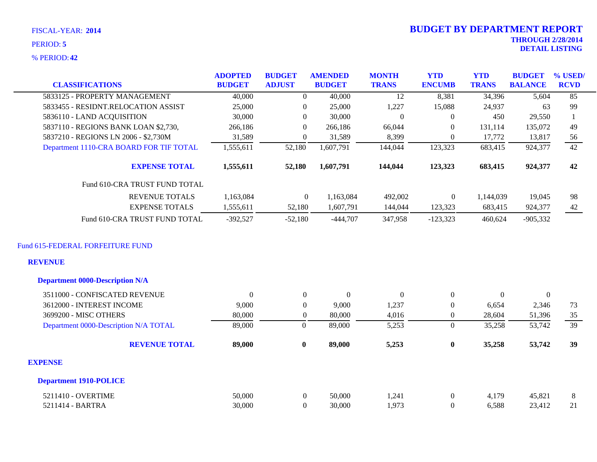| FISCAL-YEAR: 2014 | <b>BUDGET BY DEPARTMENT REPORT</b> |
|-------------------|------------------------------------|
| PERIOD: 5         | <b>THROUGH 2/28/2014</b>           |
|                   | <b>DETAIL LISTING</b>              |
| % PERIOD: 42      |                                    |

# **THROUGH 2/28/2014 2014 BUDGET BY DEPARTMENT REPORT**

| <b>CLASSIFICATIONS</b>                  | <b>ADOPTED</b><br><b>BUDGET</b> | <b>BUDGET</b><br><b>ADJUST</b> | <b>AMENDED</b><br><b>BUDGET</b> | <b>MONTH</b><br><b>TRANS</b> | <b>YTD</b><br><b>ENCUMB</b> | <b>YTD</b><br><b>TRANS</b> | <b>BUDGET</b><br><b>BALANCE</b> | % USED/<br><b>RCVD</b> |
|-----------------------------------------|---------------------------------|--------------------------------|---------------------------------|------------------------------|-----------------------------|----------------------------|---------------------------------|------------------------|
| 5833125 - PROPERTY MANAGEMENT           | 40,000                          | $\Omega$                       | 40,000                          | 12                           | 8,381                       | 34,396                     | 5,604                           | 85                     |
| 5833455 - RESIDNT.RELOCATION ASSIST     | 25,000                          | $\Omega$                       | 25,000                          | 1,227                        | 15,088                      | 24,937                     | 63                              | 99                     |
| 5836110 - LAND ACQUISITION              | 30,000                          | $\theta$                       | 30,000                          | $\Omega$                     | $\theta$                    | 450                        | 29,550                          |                        |
| 5837110 - REGIONS BANK LOAN \$2,730,    | 266,186                         | $\theta$                       | 266,186                         | 66,044                       | $\Omega$                    | 131,114                    | 135,072                         | 49                     |
| 5837210 - REGIONS LN 2006 - \$2,730M    | 31,589                          | $\theta$                       | 31,589                          | 8,399                        | $\Omega$                    | 17,772                     | 13,817                          | 56                     |
| Department 1110-CRA BOARD FOR TIF TOTAL | 1,555,611                       | 52,180                         | 1,607,791                       | 144,044                      | 123,323                     | 683,415                    | 924,377                         | 42                     |
| <b>EXPENSE TOTAL</b>                    | 1,555,611                       | 52,180                         | 1,607,791                       | 144,044                      | 123,323                     | 683,415                    | 924,377                         | 42                     |
| Fund 610-CRA TRUST FUND TOTAL           |                                 |                                |                                 |                              |                             |                            |                                 |                        |
| <b>REVENUE TOTALS</b>                   | 1,163,084                       | $\Omega$                       | 1,163,084                       | 492,002                      | $\overline{0}$              | 1,144,039                  | 19,045                          | 98                     |
| <b>EXPENSE TOTALS</b>                   | 1,555,611                       | 52,180                         | 1,607,791                       | 144,044                      | 123,323                     | 683,415                    | 924,377                         | 42                     |
| Fund 610-CRA TRUST FUND TOTAL           | $-392,527$                      | $-52,180$                      | $-444,707$                      | 347,958                      | $-123,323$                  | 460,624                    | $-905,332$                      |                        |
| Fund 615-FEDERAL FORFEITURE FUND        |                                 |                                |                                 |                              |                             |                            |                                 |                        |
| <b>REVENUE</b>                          |                                 |                                |                                 |                              |                             |                            |                                 |                        |
| <b>Department 0000-Description N/A</b>  |                                 |                                |                                 |                              |                             |                            |                                 |                        |
| 3511000 - CONFISCATED REVENUE           | $\Omega$                        | $\overline{0}$                 | $\mathbf{0}$                    | $\boldsymbol{0}$             | $\overline{0}$              | $\overline{0}$             | $\mathbf{0}$                    |                        |
| 3612000 - INTEREST INCOME               | 9,000                           | $\overline{0}$                 | 9,000                           | 1,237                        | $\theta$                    | 6,654                      | 2,346                           | 73                     |
| 3699200 - MISC OTHERS                   | 80,000                          | $\overline{0}$                 | 80,000                          | 4,016                        | $\overline{0}$              | 28,604                     | 51,396                          | 35                     |
| Department 0000-Description N/A TOTAL   | 89,000                          | $\boldsymbol{0}$               | 89,000                          | 5,253                        | $\overline{0}$              | 35,258                     | 53,742                          | 39                     |
| <b>REVENUE TOTAL</b>                    | 89,000                          | $\bf{0}$                       | 89,000                          | 5,253                        | $\bf{0}$                    | 35,258                     | 53,742                          | 39                     |

### **EXPENSE**

#### **Department 1910-POLICE**

| 5211410 - OVERTIME    | 50,000 | 50,000 | $\mathcal{L}$<br>l, 24 I | 170   | 15,82<br>$\sim$ $\sim$ |                    |
|-----------------------|--------|--------|--------------------------|-------|------------------------|--------------------|
| $-$ RARTRA<br>5211414 | 30,000 | 30,000 | $\Omega$                 | 5,588 |                        | $\sim$ 1<br>$\sim$ |